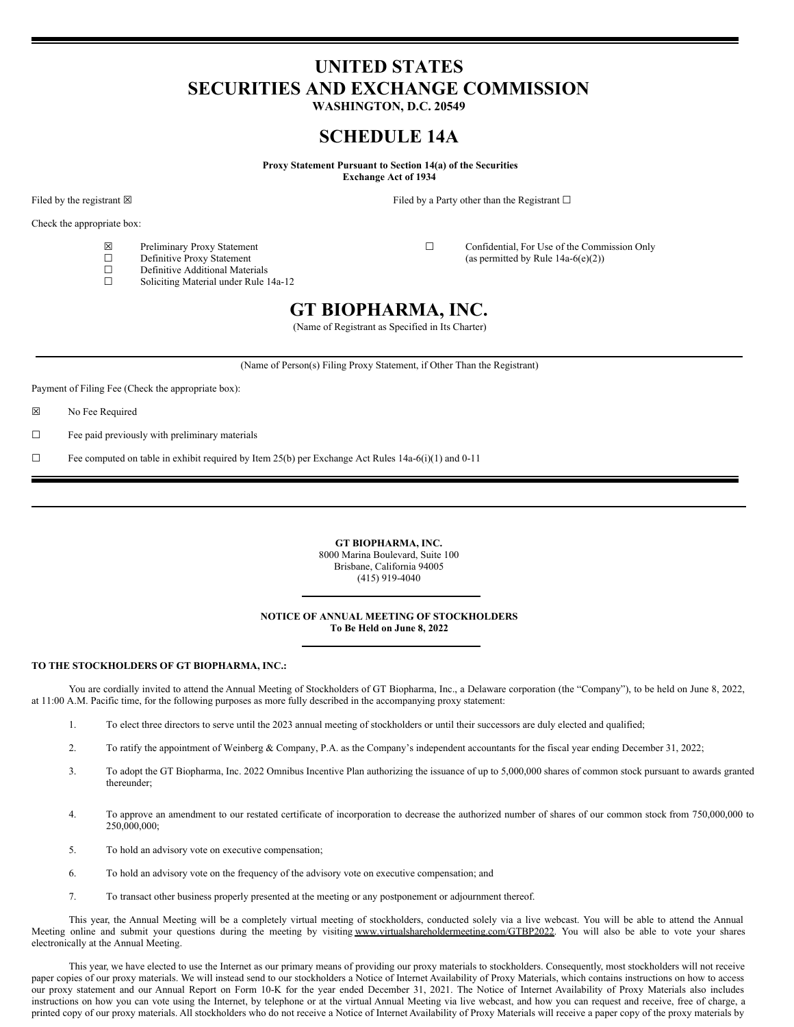# **UNITED STATES SECURITIES AND EXCHANGE COMMISSION**

**WASHINGTON, D.C. 20549**

# **SCHEDULE 14A**

**Proxy Statement Pursuant to Section 14(a) of the Securities**

**Exchange Act of 1934**

Filed by the registrant ⊠ Filed by a Party other than the Registrant □

Check the appropriate box:

- 
- $\Box$  Definitive Proxy Statement (as permitted by Rule 14a-6(e)(2)) <br>  $\Box$  Definitive Additional Materials
- $\Box$  Definitive Additional Materials<br>  $\Box$  Soliciting Material under Rule 1
- Soliciting Material under Rule 14a-12

 $\boxtimes$  Preliminary Proxy Statement  $\Box$  Confidential, For Use of the Commission Only<br>  $\Box$  Confidential, For Use of the Commission Only<br>
(as permitted by Rule 14a-6(e)(2))

## **GT BIOPHARMA, INC.**

(Name of Registrant as Specified in Its Charter)

(Name of Person(s) Filing Proxy Statement, if Other Than the Registrant)

Payment of Filing Fee (Check the appropriate box):

☒ No Fee Required

☐ Fee paid previously with preliminary materials

 $\Box$  Fee computed on table in exhibit required by Item 25(b) per Exchange Act Rules 14a-6(i)(1) and 0-11

**GT BIOPHARMA, INC.** 8000 Marina Boulevard, Suite 100 Brisbane, California 94005 (415) 919-4040

## **NOTICE OF ANNUAL MEETING OF STOCKHOLDERS To Be Held on June 8, 2022**

## **TO THE STOCKHOLDERS OF GT BIOPHARMA, INC.:**

You are cordially invited to attend the Annual Meeting of Stockholders of GT Biopharma, Inc., a Delaware corporation (the "Company"), to be held on June 8, 2022, at 11:00 A.M. Pacific time, for the following purposes as more fully described in the accompanying proxy statement:

- 1. To elect three directors to serve until the 2023 annual meeting of stockholders or until their successors are duly elected and qualified;
- 2. To ratify the appointment of Weinberg & Company, P.A. as the Company's independent accountants for the fiscal year ending December 31, 2022;
- 3. To adopt the GT Biopharma, Inc. 2022 Omnibus Incentive Plan authorizing the issuance of up to 5,000,000 shares of common stock pursuant to awards granted thereunder;
- 4. To approve an amendment to our restated certificate of incorporation to decrease the authorized number of shares of our common stock from 750,000,000 to 250,000,000;
- 5. To hold an advisory vote on executive compensation;
- 6. To hold an advisory vote on the frequency of the advisory vote on executive compensation; and
- 7. To transact other business properly presented at the meeting or any postponement or adjournment thereof.

This year, the Annual Meeting will be a completely virtual meeting of stockholders, conducted solely via a live webcast. You will be able to attend the Annual Meeting online and submit your questions during the meeting by visiting www.virtualshareholdermeeting.com/GTBP2022. You will also be able to vote your shares electronically at the Annual Meeting.

This year, we have elected to use the Internet as our primary means of providing our proxy materials to stockholders. Consequently, most stockholders will not receive paper copies of our proxy materials. We will instead send to our stockholders a Notice of Internet Availability of Proxy Materials, which contains instructions on how to access our proxy statement and our Annual Report on Form 10-K for the year ended December 31, 2021. The Notice of Internet Availability of Proxy Materials also includes instructions on how you can vote using the Internet, by telephone or at the virtual Annual Meeting via live webcast, and how you can request and receive, free of charge, a printed copy of our proxy materials. All stockholders who do not receive a Notice of Internet Availability of Proxy Materials will receive a paper copy of the proxy materials by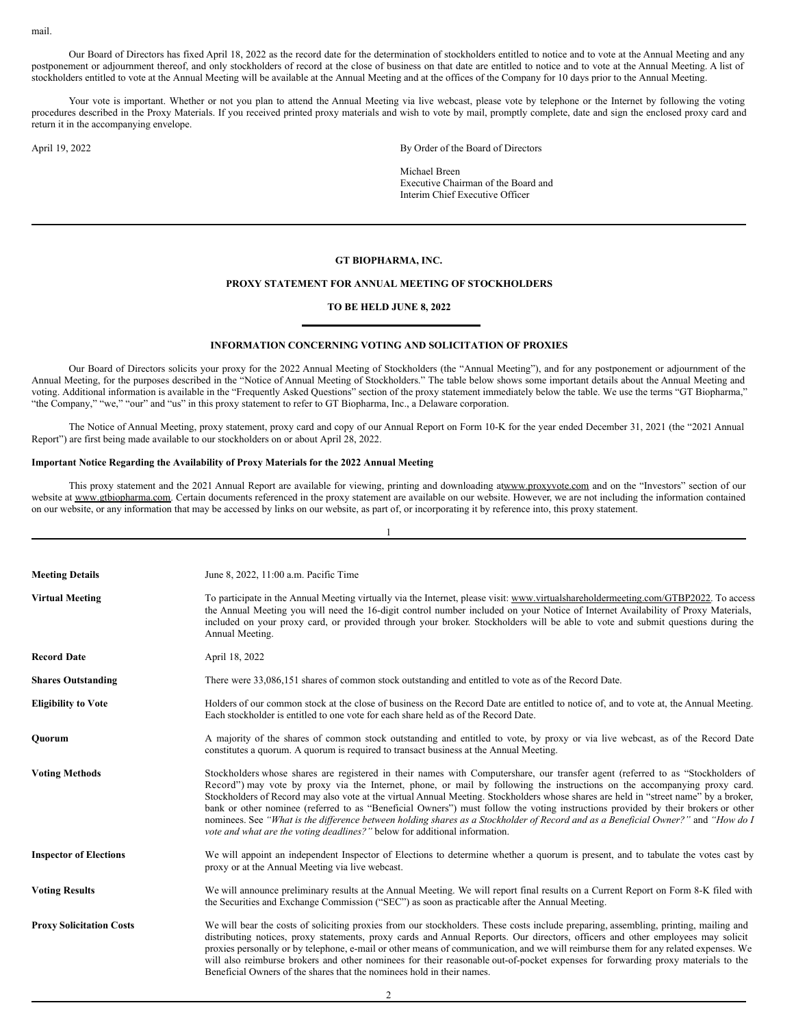mail.

Our Board of Directors has fixed April 18, 2022 as the record date for the determination of stockholders entitled to notice and to vote at the Annual Meeting and any postponement or adjournment thereof, and only stockholders of record at the close of business on that date are entitled to notice and to vote at the Annual Meeting. A list of stockholders entitled to vote at the Annual Meeting will be available at the Annual Meeting and at the offices of the Company for 10 days prior to the Annual Meeting.

Your vote is important. Whether or not you plan to attend the Annual Meeting via live webcast, please vote by telephone or the Internet by following the voting procedures described in the Proxy Materials. If you received printed proxy materials and wish to vote by mail, promptly complete, date and sign the enclosed proxy card and return it in the accompanying envelope.

April 19, 2022 By Order of the Board of Directors

Michael Breen Executive Chairman of the Board and Interim Chief Executive Officer

## **GT BIOPHARMA, INC.**

## **PROXY STATEMENT FOR ANNUAL MEETING OF STOCKHOLDERS**

## **TO BE HELD JUNE 8, 2022**

## **INFORMATION CONCERNING VOTING AND SOLICITATION OF PROXIES**

Our Board of Directors solicits your proxy for the 2022 Annual Meeting of Stockholders (the "Annual Meeting"), and for any postponement or adjournment of the Annual Meeting, for the purposes described in the "Notice of Annual Meeting of Stockholders." The table below shows some important details about the Annual Meeting and voting. Additional information is available in the "Frequently Asked Questions" section of the proxy statement immediately below the table. We use the terms "GT Biopharma," "the Company," "we," "our" and "us" in this proxy statement to refer to GT Biopharma, Inc., a Delaware corporation.

The Notice of Annual Meeting, proxy statement, proxy card and copy of our Annual Report on Form 10-K for the year ended December 31, 2021 (the "2021 Annual Report") are first being made available to our stockholders on or about April 28, 2022.

## **Important Notice Regarding the Availability of Proxy Materials for the 2022 Annual Meeting**

This proxy statement and the 2021 Annual Report are available for viewing, printing and downloading atwww.proxyvote.com and on the "Investors" section of our website at www.gtbiopharma.com. Certain documents referenced in the proxy statement are available on our website. However, we are not including the information contained on our website, or any information that may be accessed by links on our website, as part of, or incorporating it by reference into, this proxy statement.

1

| <b>Meeting Details</b>          | June 8, 2022, 11:00 a.m. Pacific Time                                                                                                                                                                                                                                                                                                                                                                                                                                                                                                                                                                                                                                                                                                                        |
|---------------------------------|--------------------------------------------------------------------------------------------------------------------------------------------------------------------------------------------------------------------------------------------------------------------------------------------------------------------------------------------------------------------------------------------------------------------------------------------------------------------------------------------------------------------------------------------------------------------------------------------------------------------------------------------------------------------------------------------------------------------------------------------------------------|
| <b>Virtual Meeting</b>          | To participate in the Annual Meeting virtually via the Internet, please visit: www.virtualshareholdermeeting.com/GTBP2022. To access<br>the Annual Meeting you will need the 16-digit control number included on your Notice of Internet Availability of Proxy Materials,<br>included on your proxy card, or provided through your broker. Stockholders will be able to vote and submit questions during the<br>Annual Meeting.                                                                                                                                                                                                                                                                                                                              |
| <b>Record Date</b>              | April 18, 2022                                                                                                                                                                                                                                                                                                                                                                                                                                                                                                                                                                                                                                                                                                                                               |
| <b>Shares Outstanding</b>       | There were 33,086,151 shares of common stock outstanding and entitled to vote as of the Record Date.                                                                                                                                                                                                                                                                                                                                                                                                                                                                                                                                                                                                                                                         |
| <b>Eligibility to Vote</b>      | Holders of our common stock at the close of business on the Record Date are entitled to notice of, and to vote at, the Annual Meeting.<br>Each stockholder is entitled to one vote for each share held as of the Record Date.                                                                                                                                                                                                                                                                                                                                                                                                                                                                                                                                |
| Ouorum                          | A majority of the shares of common stock outstanding and entitled to vote, by proxy or via live webcast, as of the Record Date<br>constitutes a quorum. A quorum is required to transact business at the Annual Meeting.                                                                                                                                                                                                                                                                                                                                                                                                                                                                                                                                     |
| <b>Voting Methods</b>           | Stockholders whose shares are registered in their names with Computershare, our transfer agent (referred to as "Stockholders of<br>Record") may vote by proxy via the Internet, phone, or mail by following the instructions on the accompanying proxy card.<br>Stockholders of Record may also vote at the virtual Annual Meeting. Stockholders whose shares are held in "street name" by a broker,<br>bank or other nominee (referred to as "Beneficial Owners") must follow the voting instructions provided by their brokers or other<br>nominees. See "What is the difference between holding shares as a Stockholder of Record and as a Beneficial Owner?" and "How do I<br>vote and what are the voting deadlines?" below for additional information. |
| <b>Inspector of Elections</b>   | We will appoint an independent Inspector of Elections to determine whether a quorum is present, and to tabulate the votes cast by<br>proxy or at the Annual Meeting via live webcast.                                                                                                                                                                                                                                                                                                                                                                                                                                                                                                                                                                        |
| <b>Voting Results</b>           | We will announce preliminary results at the Annual Meeting. We will report final results on a Current Report on Form 8-K filed with<br>the Securities and Exchange Commission ("SEC") as soon as practicable after the Annual Meeting.                                                                                                                                                                                                                                                                                                                                                                                                                                                                                                                       |
| <b>Proxy Solicitation Costs</b> | We will bear the costs of soliciting proxies from our stockholders. These costs include preparing, assembling, printing, mailing and<br>distributing notices, proxy statements, proxy cards and Annual Reports. Our directors, officers and other employees may solicit<br>proxies personally or by telephone, e-mail or other means of communication, and we will reimburse them for any related expenses. We<br>will also reimburse brokers and other nominees for their reasonable out-of-pocket expenses for forwarding proxy materials to the<br>Beneficial Owners of the shares that the nominees hold in their names.                                                                                                                                 |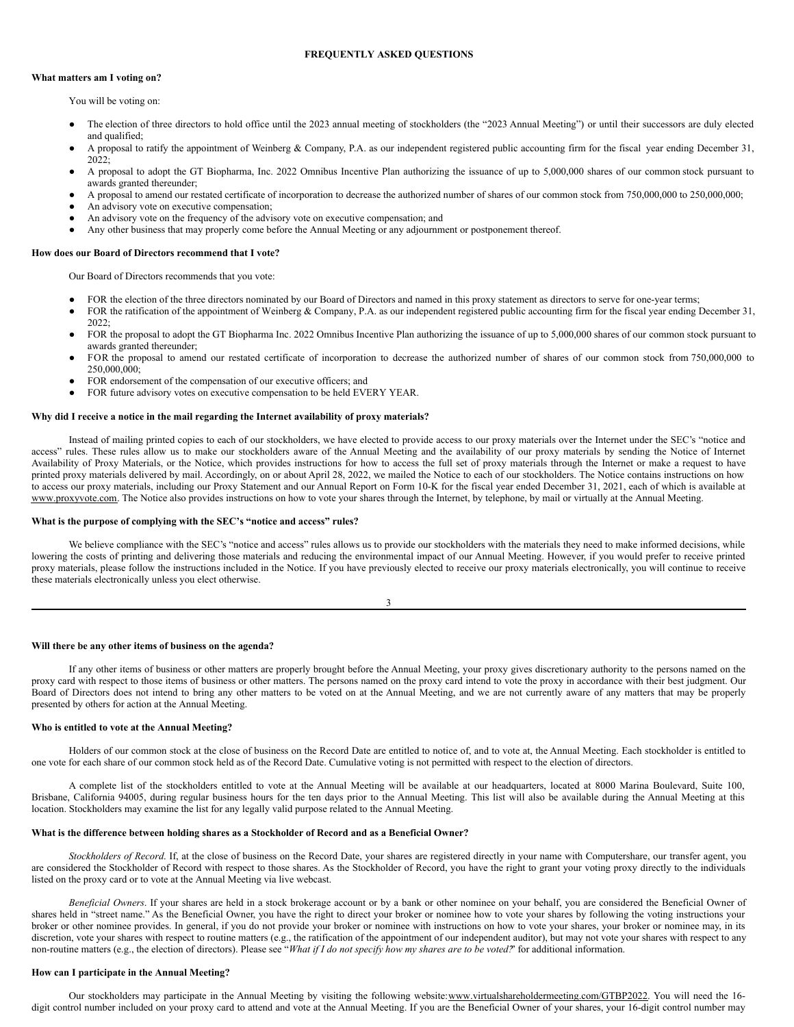## **FREQUENTLY ASKED QUESTIONS**

## **What matters am I voting on?**

You will be voting on:

- The election of three directors to hold office until the 2023 annual meeting of stockholders (the "2023 Annual Meeting") or until their successors are duly elected and qualified;
- A proposal to ratify the appointment of Weinberg & Company, P.A. as our independent registered public accounting firm for the fiscal year ending December 31, 2022;
- A proposal to adopt the GT Biopharma, Inc. 2022 Omnibus Incentive Plan authorizing the issuance of up to 5,000,000 shares of our common stock pursuant to awards granted thereunder;
- A proposal to amend our restated certificate of incorporation to decrease the authorized number of shares of our common stock from 750,000,000 to 250,000,000;
- An advisory vote on executive compensation;
- An advisory vote on the frequency of the advisory vote on executive compensation; and
- Any other business that may properly come before the Annual Meeting or any adjournment or postponement thereof.

#### **How does our Board of Directors recommend that I vote?**

Our Board of Directors recommends that you vote:

- FOR the election of the three directors nominated by our Board of Directors and named in this proxy statement as directors to serve for one-year terms;
- FOR the ratification of the appointment of Weinberg & Company, P.A. as our independent registered public accounting firm for the fiscal year ending December 31, 2022;
- FOR the proposal to adopt the GT Biopharma Inc. 2022 Omnibus Incentive Plan authorizing the issuance of up to 5,000,000 shares of our common stock pursuant to awards granted thereunder;
- FOR the proposal to amend our restated certificate of incorporation to decrease the authorized number of shares of our common stock from 750,000,000 to 250,000,000;
- FOR endorsement of the compensation of our executive officers; and
- FOR future advisory votes on executive compensation to be held EVERY YEAR.

#### **Why did I receive a notice in the mail regarding the Internet availability of proxy materials?**

Instead of mailing printed copies to each of our stockholders, we have elected to provide access to our proxy materials over the Internet under the SEC's "notice and access" rules. These rules allow us to make our stockholders aware of the Annual Meeting and the availability of our proxy materials by sending the Notice of Internet Availability of Proxy Materials, or the Notice, which provides instructions for how to access the full set of proxy materials through the Internet or make a request to have printed proxy materials delivered by mail. Accordingly, on or about April 28, 2022, we mailed the Notice to each of our stockholders. The Notice contains instructions on how to access our proxy materials, including our Proxy Statement and our Annual Report on Form 10-K for the fiscal year ended December 31, 2021, each of which is available at www.proxyvote.com. The Notice also provides instructions on how to vote your shares through the Internet, by telephone, by mail or virtually at the Annual Meeting.

#### **What is the purpose of complying with the SEC's "notice and access" rules?**

We believe compliance with the SEC's "notice and access" rules allows us to provide our stockholders with the materials they need to make informed decisions, while lowering the costs of printing and delivering those materials and reducing the environmental impact of our Annual Meeting. However, if you would prefer to receive printed proxy materials, please follow the instructions included in the Notice. If you have previously elected to receive our proxy materials electronically, you will continue to receive these materials electronically unless you elect otherwise.

3

**Will there be any other items of business on the agenda?**

If any other items of business or other matters are properly brought before the Annual Meeting, your proxy gives discretionary authority to the persons named on the proxy card with respect to those items of business or other matters. The persons named on the proxy card intend to vote the proxy in accordance with their best judgment. Our Board of Directors does not intend to bring any other matters to be voted on at the Annual Meeting, and we are not currently aware of any matters that may be properly presented by others for action at the Annual Meeting.

#### **Who is entitled to vote at the Annual Meeting?**

Holders of our common stock at the close of business on the Record Date are entitled to notice of, and to vote at, the Annual Meeting. Each stockholder is entitled to one vote for each share of our common stock held as of the Record Date. Cumulative voting is not permitted with respect to the election of directors.

A complete list of the stockholders entitled to vote at the Annual Meeting will be available at our headquarters, located at 8000 Marina Boulevard, Suite 100, Brisbane, California 94005, during regular business hours for the ten days prior to the Annual Meeting. This list will also be available during the Annual Meeting at this location. Stockholders may examine the list for any legally valid purpose related to the Annual Meeting.

## **What is the difference between holding shares as a Stockholder of Record and as a Beneficial Owner?**

*Stockholders of Record*. If, at the close of business on the Record Date, your shares are registered directly in your name with Computershare, our transfer agent, you are considered the Stockholder of Record with respect to those shares. As the Stockholder of Record, you have the right to grant your voting proxy directly to the individuals listed on the proxy card or to vote at the Annual Meeting via live webcast.

*Beneficial Owners*. If your shares are held in a stock brokerage account or by a bank or other nominee on your behalf, you are considered the Beneficial Owner of shares held in "street name." As the Beneficial Owner, you have the right to direct your broker or nominee how to vote your shares by following the voting instructions your broker or other nominee provides. In general, if you do not provide your broker or nominee with instructions on how to vote your shares, your broker or nominee may, in its discretion, vote your shares with respect to routine matters (e.g., the ratification of the appointment of our independent auditor), but may not vote your shares with respect to any non-routine matters (e.g., the election of directors). Please see "What if I do not specify how my shares are to be voted?" for additional information.

#### **How can I participate in the Annual Meeting?**

Our stockholders may participate in the Annual Meeting by visiting the following website:www.virtualshareholdermeeting.com/GTBP2022. You will need the 16digit control number included on your proxy card to attend and vote at the Annual Meeting. If you are the Beneficial Owner of your shares, your 16-digit control number may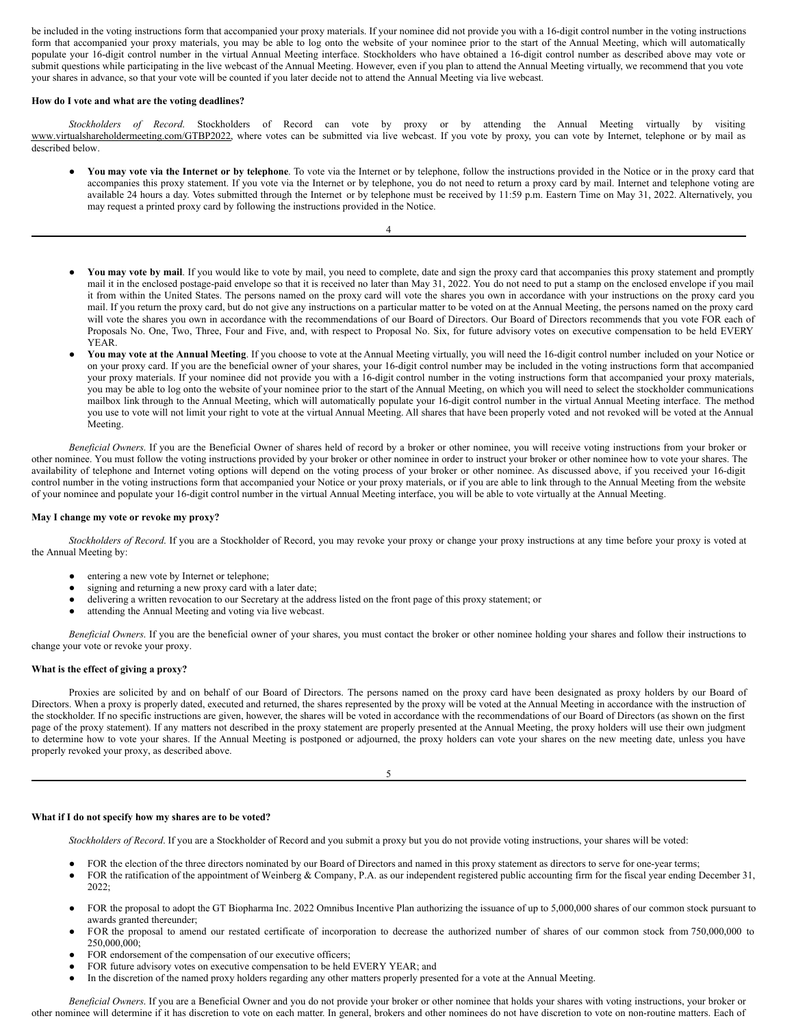be included in the voting instructions form that accompanied your proxy materials. If your nominee did not provide you with a 16-digit control number in the voting instructions form that accompanied your proxy materials, you may be able to log onto the website of your nominee prior to the start of the Annual Meeting, which will automatically populate your 16-digit control number in the virtual Annual Meeting interface. Stockholders who have obtained a 16-digit control number as described above may vote or submit questions while participating in the live webcast of the Annual Meeting. However, even if you plan to attend the Annual Meeting virtually, we recommend that you vote your shares in advance, so that your vote will be counted if you later decide not to attend the Annual Meeting via live webcast.

#### **How do I vote and what are the voting deadlines?**

*Stockholders of Record*. Stockholders of Record can vote by proxy or by attending the Annual Meeting virtually by visiting www.virtualshareholdermeeting.com/GTBP2022, where votes can be submitted via live webcast. If you vote by proxy, you can vote by Internet, telephone or by mail as described below.

4

- You may vote via the Internet or by telephone. To vote via the Internet or by telephone, follow the instructions provided in the Notice or in the proxy card that accompanies this proxy statement. If you vote via the Internet or by telephone, you do not need to return a proxy card by mail. Internet and telephone voting are available 24 hours a day. Votes submitted through the Internet or by telephone must be received by 11:59 p.m. Eastern Time on May 31, 2022. Alternatively, you may request a printed proxy card by following the instructions provided in the Notice.
- You may vote by mail. If you would like to vote by mail, you need to complete, date and sign the proxy card that accompanies this proxy statement and promptly mail it in the enclosed postage-paid envelope so that it is received no later than May 31, 2022. You do not need to put a stamp on the enclosed envelope if you mail it from within the United States. The persons named on the proxy card will vote the shares you own in accordance with your instructions on the proxy card you mail. If you return the proxy card, but do not give any instructions on a particular matter to be voted on at the Annual Meeting, the persons named on the proxy card will vote the shares you own in accordance with the recommendations of our Board of Directors. Our Board of Directors recommends that you vote FOR each of Proposals No. One, Two, Three, Four and Five, and, with respect to Proposal No. Six, for future advisory votes on executive compensation to be held EVERY YEAR.
- **You may vote at the Annual Meeting**. If you choose to vote at the Annual Meeting virtually, you will need the 16-digit control number included on your Notice or on your proxy card. If you are the beneficial owner of your shares, your 16-digit control number may be included in the voting instructions form that accompanied your proxy materials. If your nominee did not provide you with a 16-digit control number in the voting instructions form that accompanied your proxy materials, you may be able to log onto the website of your nominee prior to the start of the Annual Meeting, on which you will need to select the stockholder communications mailbox link through to the Annual Meeting, which will automatically populate your 16-digit control number in the virtual Annual Meeting interface. The method you use to vote will not limit your right to vote at the virtual Annual Meeting. All shares that have been properly voted and not revoked will be voted at the Annual Meeting.

*Beneficial Owners*. If you are the Beneficial Owner of shares held of record by a broker or other nominee, you will receive voting instructions from your broker or other nominee. You must follow the voting instructions provided by your broker or other nominee in order to instruct your broker or other nominee how to vote your shares. The availability of telephone and Internet voting options will depend on the voting process of your broker or other nominee. As discussed above, if you received your 16-digit control number in the voting instructions form that accompanied your Notice or your proxy materials, or if you are able to link through to the Annual Meeting from the website of your nominee and populate your 16-digit control number in the virtual Annual Meeting interface, you will be able to vote virtually at the Annual Meeting.

## **May I change my vote or revoke my proxy?**

*Stockholders of Record*. If you are a Stockholder of Record, you may revoke your proxy or change your proxy instructions at any time before your proxy is voted at the Annual Meeting by:

- entering a new vote by Internet or telephone;
- signing and returning a new proxy card with a later date;
- delivering a written revocation to our Secretary at the address listed on the front page of this proxy statement; or
- attending the Annual Meeting and voting via live webcast.

*Beneficial Owners*. If you are the beneficial owner of your shares, you must contact the broker or other nominee holding your shares and follow their instructions to change your vote or revoke your proxy.

#### **What is the effect of giving a proxy?**

Proxies are solicited by and on behalf of our Board of Directors. The persons named on the proxy card have been designated as proxy holders by our Board of Directors. When a proxy is properly dated, executed and returned, the shares represented by the proxy will be voted at the Annual Meeting in accordance with the instruction of the stockholder. If no specific instructions are given, however, the shares will be voted in accordance with the recommendations of our Board of Directors (as shown on the first page of the proxy statement). If any matters not described in the proxy statement are properly presented at the Annual Meeting, the proxy holders will use their own judgment to determine how to vote your shares. If the Annual Meeting is postponed or adjourned, the proxy holders can vote your shares on the new meeting date, unless you have properly revoked your proxy, as described above.

5

#### **What if I do not specify how my shares are to be voted?**

*Stockholders of Record*. If you are a Stockholder of Record and you submit a proxy but you do not provide voting instructions, your shares will be voted:

- FOR the election of the three directors nominated by our Board of Directors and named in this proxy statement as directors to serve for one-year terms;
- FOR the ratification of the appointment of Weinberg & Company, P.A. as our independent registered public accounting firm for the fiscal year ending December 31, 2022;
- FOR the proposal to adopt the GT Biopharma Inc. 2022 Omnibus Incentive Plan authorizing the issuance of up to 5,000,000 shares of our common stock pursuant to awards granted thereunder;
- FOR the proposal to amend our restated certificate of incorporation to decrease the authorized number of shares of our common stock from 750,000,000 to 250,000,000;
- FOR endorsement of the compensation of our executive officers;
- FOR future advisory votes on executive compensation to be held EVERY YEAR; and
- In the discretion of the named proxy holders regarding any other matters properly presented for a vote at the Annual Meeting.

*Beneficial Owners*. If you are a Beneficial Owner and you do not provide your broker or other nominee that holds your shares with voting instructions, your broker or other nominee will determine if it has discretion to vote on each matter. In general, brokers and other nominees do not have discretion to vote on non-routine matters. Each of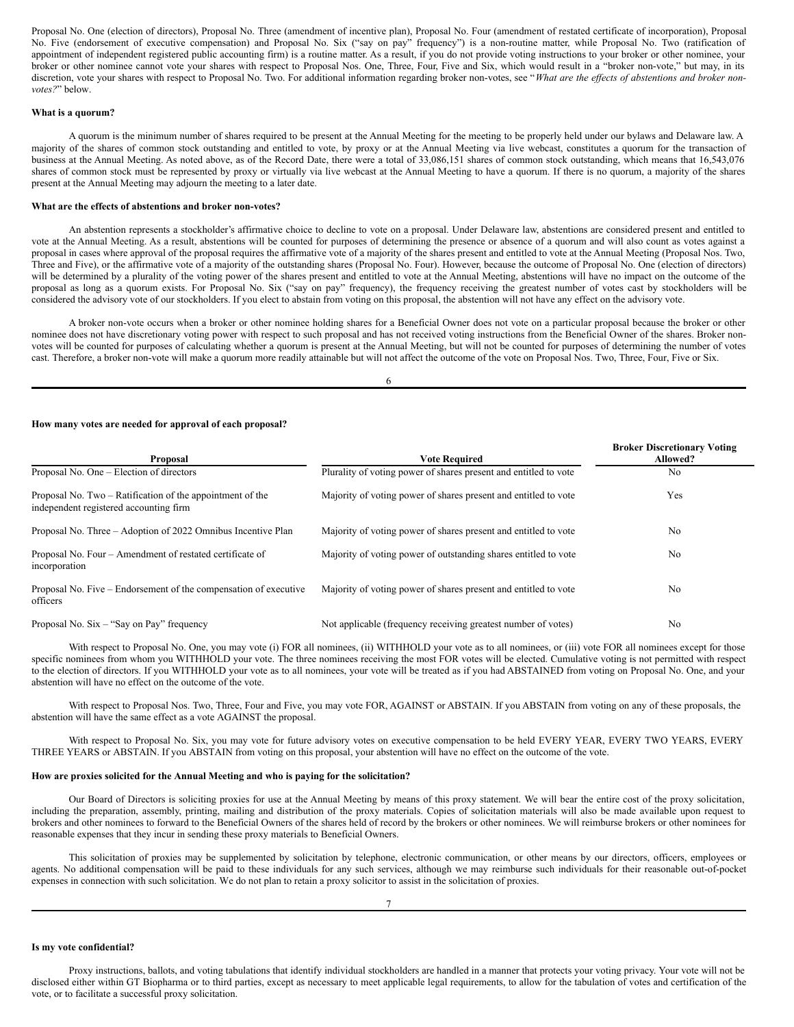Proposal No. One (election of directors), Proposal No. Three (amendment of incentive plan), Proposal No. Four (amendment of restated certificate of incorporation), Proposal No. Five (endorsement of executive compensation) and Proposal No. Six ("say on pay" frequency") is a non-routine matter, while Proposal No. Two (ratification of appointment of independent registered public accounting firm) is a routine matter. As a result, if you do not provide voting instructions to your broker or other nominee, your broker or other nominee cannot vote your shares with respect to Proposal Nos. One, Three, Four, Five and Six, which would result in a "broker non-vote," but may, in its discretion, vote your shares with respect to Proposal No. Two. For additional information regarding broker non-votes, see "What are the effects of abstentions and broker non*votes?*" below.

## **What is a quorum?**

A quorum is the minimum number of shares required to be present at the Annual Meeting for the meeting to be properly held under our bylaws and Delaware law. A majority of the shares of common stock outstanding and entitled to vote, by proxy or at the Annual Meeting via live webcast, constitutes a quorum for the transaction of business at the Annual Meeting. As noted above, as of the Record Date, there were a total of 33,086,151 shares of common stock outstanding, which means that 16,543,076 shares of common stock must be represented by proxy or virtually via live webcast at the Annual Meeting to have a quorum. If there is no quorum, a majority of the shares present at the Annual Meeting may adjourn the meeting to a later date.

#### **What are the effects of abstentions and broker non-votes?**

An abstention represents a stockholder's affirmative choice to decline to vote on a proposal. Under Delaware law, abstentions are considered present and entitled to vote at the Annual Meeting. As a result, abstentions will be counted for purposes of determining the presence or absence of a quorum and will also count as votes against a proposal in cases where approval of the proposal requires the affirmative vote of a majority of the shares present and entitled to vote at the Annual Meeting (Proposal Nos. Two, Three and Five), or the affirmative vote of a majority of the outstanding shares (Proposal No. Four). However, because the outcome of Proposal No. One (election of directors) will be determined by a plurality of the voting power of the shares present and entitled to vote at the Annual Meeting, abstentions will have no impact on the outcome of the proposal as long as a quorum exists. For Proposal No. Six ("say on pay" frequency), the frequency receiving the greatest number of votes cast by stockholders will be considered the advisory vote of our stockholders. If you elect to abstain from voting on this proposal, the abstention will not have any effect on the advisory vote.

A broker non-vote occurs when a broker or other nominee holding shares for a Beneficial Owner does not vote on a particular proposal because the broker or other nominee does not have discretionary voting power with respect to such proposal and has not received voting instructions from the Beneficial Owner of the shares. Broker nonvotes will be counted for purposes of calculating whether a quorum is present at the Annual Meeting, but will not be counted for purposes of determining the number of votes cast. Therefore, a broker non-vote will make a quorum more readily attainable but will not affect the outcome of the vote on Proposal Nos. Two, Three, Four, Five or Six.

6

#### **How many votes are needed for approval of each proposal?**

| <b>Proposal</b>                                                                                     | <b>Vote Required</b>                                             | <b>Broker Discretionary Voting</b><br>Allowed? |
|-----------------------------------------------------------------------------------------------------|------------------------------------------------------------------|------------------------------------------------|
| Proposal No. One – Election of directors                                                            | Plurality of voting power of shares present and entitled to vote | N <sub>0</sub>                                 |
| Proposal No. Two – Ratification of the appointment of the<br>independent registered accounting firm | Majority of voting power of shares present and entitled to vote  | Yes                                            |
| Proposal No. Three – Adoption of 2022 Omnibus Incentive Plan                                        | Majority of voting power of shares present and entitled to vote  | N <sub>0</sub>                                 |
| Proposal No. Four – Amendment of restated certificate of<br>incorporation                           | Majority of voting power of outstanding shares entitled to vote  | N <sub>0</sub>                                 |
| Proposal No. Five – Endorsement of the compensation of executive<br>officers                        | Majority of voting power of shares present and entitled to vote  | N <sub>0</sub>                                 |
| Proposal No. $Six - "Say on Pay" frequency$                                                         | Not applicable (frequency receiving greatest number of votes)    | N <sub>0</sub>                                 |

With respect to Proposal No. One, you may vote (i) FOR all nominees, (ii) WITHHOLD your vote as to all nominees, or (iii) vote FOR all nominees except for those specific nominees from whom you WITHHOLD your vote. The three nominees receiving the most FOR votes will be elected. Cumulative voting is not permitted with respect to the election of directors. If you WITHHOLD your vote as to all nominees, your vote will be treated as if you had ABSTAINED from voting on Proposal No. One, and your abstention will have no effect on the outcome of the vote.

With respect to Proposal Nos. Two, Three, Four and Five, you may vote FOR, AGAINST or ABSTAIN. If you ABSTAIN from voting on any of these proposals, the abstention will have the same effect as a vote AGAINST the proposal.

With respect to Proposal No. Six, you may vote for future advisory votes on executive compensation to be held EVERY YEAR, EVERY TWO YEARS, EVERY THREE YEARS or ABSTAIN. If you ABSTAIN from voting on this proposal, your abstention will have no effect on the outcome of the vote.

#### **How are proxies solicited for the Annual Meeting and who is paying for the solicitation?**

Our Board of Directors is soliciting proxies for use at the Annual Meeting by means of this proxy statement. We will bear the entire cost of the proxy solicitation, including the preparation, assembly, printing, mailing and distribution of the proxy materials. Copies of solicitation materials will also be made available upon request to brokers and other nominees to forward to the Beneficial Owners of the shares held of record by the brokers or other nominees. We will reimburse brokers or other nominees for reasonable expenses that they incur in sending these proxy materials to Beneficial Owners.

This solicitation of proxies may be supplemented by solicitation by telephone, electronic communication, or other means by our directors, officers, employees or agents. No additional compensation will be paid to these individuals for any such services, although we may reimburse such individuals for their reasonable out-of-pocket expenses in connection with such solicitation. We do not plan to retain a proxy solicitor to assist in the solicitation of proxies.

#### **Is my vote confidential?**

Proxy instructions, ballots, and voting tabulations that identify individual stockholders are handled in a manner that protects your voting privacy. Your vote will not be disclosed either within GT Biopharma or to third parties, except as necessary to meet applicable legal requirements, to allow for the tabulation of votes and certification of the vote, or to facilitate a successful proxy solicitation.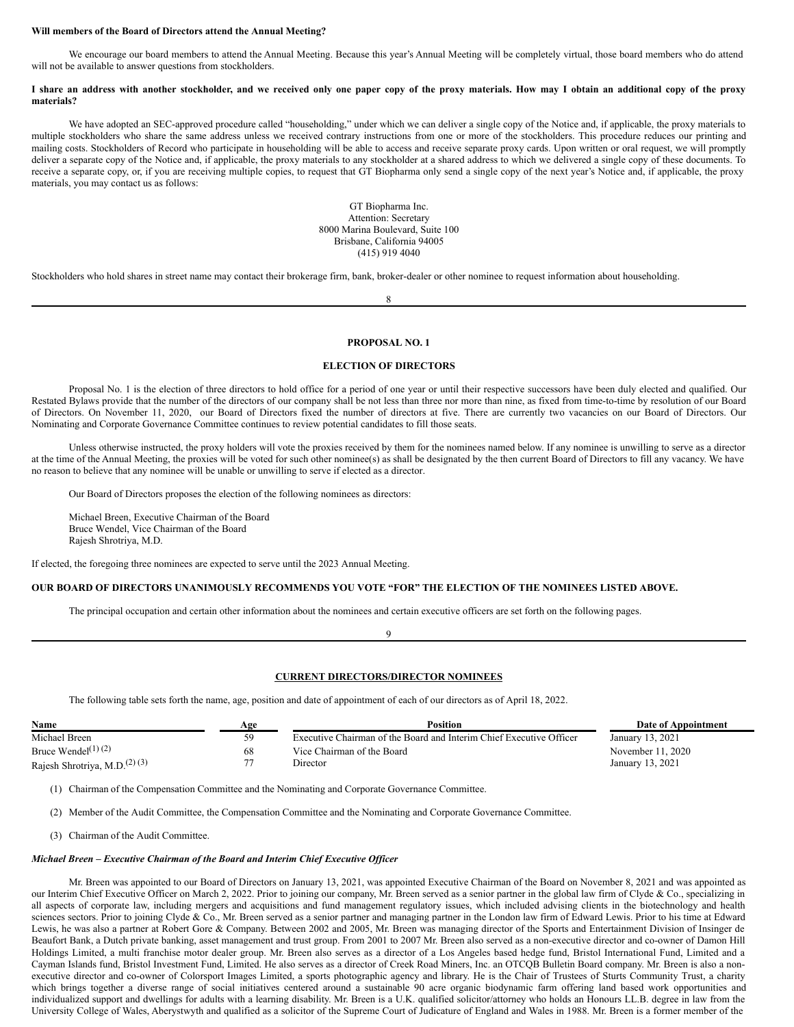#### **Will members of the Board of Directors attend the Annual Meeting?**

We encourage our board members to attend the Annual Meeting. Because this year's Annual Meeting will be completely virtual, those board members who do attend will not be available to answer questions from stockholders.

#### I share an address with another stockholder, and we received only one paper copy of the proxy materials. How may I obtain an additional copy of the proxy **materials?**

We have adopted an SEC-approved procedure called "householding," under which we can deliver a single copy of the Notice and, if applicable, the proxy materials to multiple stockholders who share the same address unless we received contrary instructions from one or more of the stockholders. This procedure reduces our printing and mailing costs. Stockholders of Record who participate in householding will be able to access and receive separate proxy cards. Upon written or oral request, we will promptly deliver a separate copy of the Notice and, if applicable, the proxy materials to any stockholder at a shared address to which we delivered a single copy of these documents. To receive a separate copy, or, if you are receiving multiple copies, to request that GT Biopharma only send a single copy of the next year's Notice and, if applicable, the proxy materials, you may contact us as follows:

> GT Biopharma Inc. Attention: Secretary 8000 Marina Boulevard, Suite 100 Brisbane, California 94005 (415) 919 4040

Stockholders who hold shares in street name may contact their brokerage firm, bank, broker-dealer or other nominee to request information about householding.

8

## **PROPOSAL NO. 1**

### **ELECTION OF DIRECTORS**

Proposal No. 1 is the election of three directors to hold office for a period of one year or until their respective successors have been duly elected and qualified. Our Restated Bylaws provide that the number of the directors of our company shall be not less than three nor more than nine, as fixed from time-to-time by resolution of our Board of Directors. On November 11, 2020, our Board of Directors fixed the number of directors at five. There are currently two vacancies on our Board of Directors. Our Nominating and Corporate Governance Committee continues to review potential candidates to fill those seats.

Unless otherwise instructed, the proxy holders will vote the proxies received by them for the nominees named below. If any nominee is unwilling to serve as a director at the time of the Annual Meeting, the proxies will be voted for such other nominee(s) as shall be designated by the then current Board of Directors to fill any vacancy. We have no reason to believe that any nominee will be unable or unwilling to serve if elected as a director.

Our Board of Directors proposes the election of the following nominees as directors:

Michael Breen, Executive Chairman of the Board Bruce Wendel, Vice Chairman of the Board Rajesh Shrotriya, M.D.

If elected, the foregoing three nominees are expected to serve until the 2023 Annual Meeting.

#### **OUR BOARD OF DIRECTORS UNANIMOUSLY RECOMMENDS YOU VOTE "FOR" THE ELECTION OF THE NOMINEES LISTED ABOVE.**

The principal occupation and certain other information about the nominees and certain executive officers are set forth on the following pages.

# 9

## **CURRENT DIRECTORS/DIRECTOR NOMINEES**

The following table sets forth the name, age, position and date of appointment of each of our directors as of April 18, 2022.

| Name                                     | Age | <b>Position</b>                                                     | Date of Appointment |
|------------------------------------------|-----|---------------------------------------------------------------------|---------------------|
| Michael Breen                            | 50  | Executive Chairman of the Board and Interim Chief Executive Officer | January 13, 2021    |
| Bruce Wendel <sup>(1)(2)</sup>           | 68  | Vice Chairman of the Board                                          | November 11, 2020   |
| Rajesh Shrotriya, M.D. <sup>(2)(3)</sup> |     | Director                                                            | January 13, 2021    |

(1) Chairman of the Compensation Committee and the Nominating and Corporate Governance Committee.

(2) Member of the Audit Committee, the Compensation Committee and the Nominating and Corporate Governance Committee.

(3) Chairman of the Audit Committee.

#### *Michael Breen – Executive Chairman of the Board and Interim Chief Executive Of icer*

Mr. Breen was appointed to our Board of Directors on January 13, 2021, was appointed Executive Chairman of the Board on November 8, 2021 and was appointed as our Interim Chief Executive Officer on March 2, 2022. Prior to joining our company, Mr. Breen served as a senior partner in the global law firm of Clyde & Co., specializing in all aspects of corporate law, including mergers and acquisitions and fund management regulatory issues, which included advising clients in the biotechnology and health sciences sectors. Prior to joining Clyde & Co., Mr. Breen served as a senior partner and managing partner in the London law firm of Edward Lewis. Prior to his time at Edward Lewis, he was also a partner at Robert Gore & Company. Between 2002 and 2005, Mr. Breen was managing director of the Sports and Entertainment Division of Insinger de Beaufort Bank, a Dutch private banking, asset management and trust group. From 2001 to 2007 Mr. Breen also served as a non-executive director and co-owner of Damon Hill Holdings Limited, a multi franchise motor dealer group. Mr. Breen also serves as a director of a Los Angeles based hedge fund, Bristol International Fund, Limited and a Cayman Islands fund, Bristol Investment Fund, Limited. He also serves as a director of Creek Road Miners, Inc. an OTCQB Bulletin Board company. Mr. Breen is also a nonexecutive director and co-owner of Colorsport Images Limited, a sports photographic agency and library. He is the Chair of Trustees of Sturts Community Trust, a charity which brings together a diverse range of social initiatives centered around a sustainable 90 acre organic biodynamic farm offering land based work opportunities and individualized support and dwellings for adults with a learning disability. Mr. Breen is a U.K. qualified solicitor/attorney who holds an Honours LL.B. degree in law from the University College of Wales, Aberystwyth and qualified as a solicitor of the Supreme Court of Judicature of England and Wales in 1988. Mr. Breen is a former member of the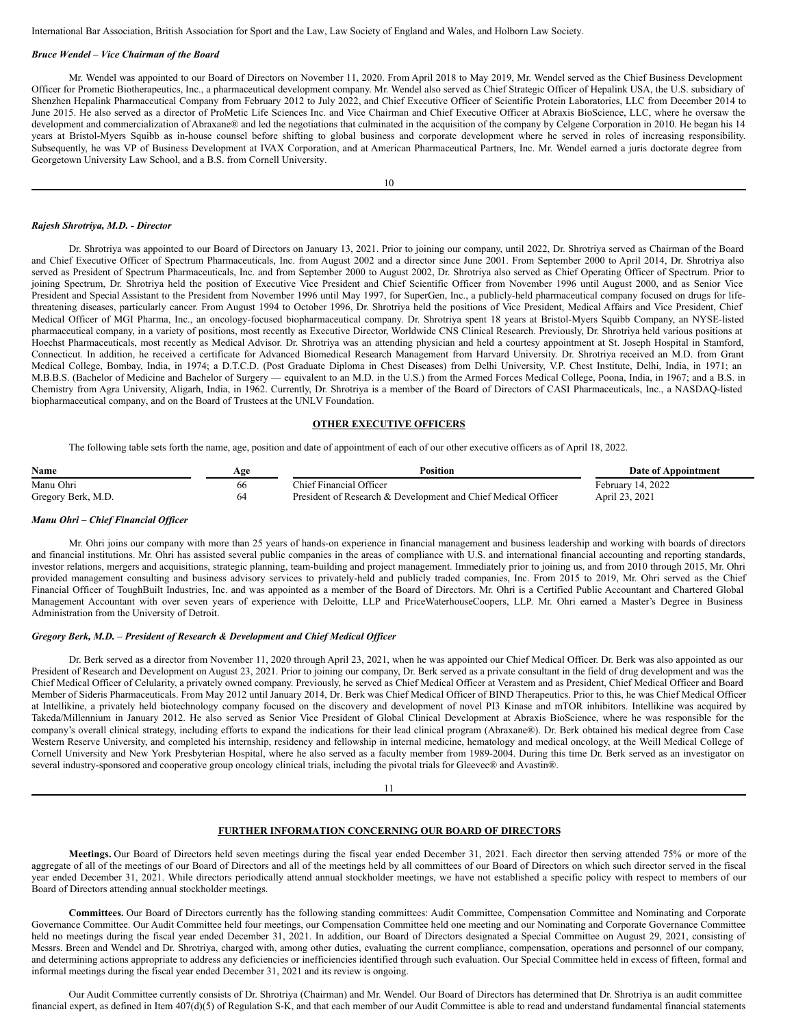International Bar Association, British Association for Sport and the Law, Law Society of England and Wales, and Holborn Law Society.

#### *Bruce Wendel – Vice Chairman of the Board*

Mr. Wendel was appointed to our Board of Directors on November 11, 2020. From April 2018 to May 2019, Mr. Wendel served as the Chief Business Development Officer for Prometic Biotherapeutics, Inc., a pharmaceutical development company. Mr. Wendel also served as Chief Strategic Officer of Hepalink USA, the U.S. subsidiary of Shenzhen Hepalink Pharmaceutical Company from February 2012 to July 2022, and Chief Executive Officer of Scientific Protein Laboratories, LLC from December 2014 to June 2015. He also served as a director of ProMetic Life Sciences Inc. and Vice Chairman and Chief Executive Officer at Abraxis BioScience, LLC, where he oversaw the development and commercialization of Abraxane® and led the negotiations that culminated in the acquisition of the company by Celgene Corporation in 2010. He began his 14 years at Bristol-Myers Squibb as in-house counsel before shifting to global business and corporate development where he served in roles of increasing responsibility. Subsequently, he was VP of Business Development at IVAX Corporation, and at American Pharmaceutical Partners, Inc. Mr. Wendel earned a juris doctorate degree from Georgetown University Law School, and a B.S. from Cornell University.

#### *Rajesh Shrotriya, M.D. - Director*

Dr. Shrotriya was appointed to our Board of Directors on January 13, 2021. Prior to joining our company, until 2022, Dr. Shrotriya served as Chairman of the Board and Chief Executive Officer of Spectrum Pharmaceuticals, Inc. from August 2002 and a director since June 2001. From September 2000 to April 2014, Dr. Shrotriya also served as President of Spectrum Pharmaceuticals, Inc. and from September 2000 to August 2002, Dr. Shrotriya also served as Chief Operating Officer of Spectrum. Prior to joining Spectrum, Dr. Shrotriya held the position of Executive Vice President and Chief Scientific Officer from November 1996 until August 2000, and as Senior Vice President and Special Assistant to the President from November 1996 until May 1997, for SuperGen, Inc., a publicly-held pharmaceutical company focused on drugs for lifethreatening diseases, particularly cancer. From August 1994 to October 1996, Dr. Shrotriya held the positions of Vice President, Medical Affairs and Vice President, Chief Medical Officer of MGI Pharma, Inc., an oncology-focused biopharmaceutical company. Dr. Shrotriya spent 18 years at Bristol-Myers Squibb Company, an NYSE-listed pharmaceutical company, in a variety of positions, most recently as Executive Director, Worldwide CNS Clinical Research. Previously, Dr. Shrotriya held various positions at Hoechst Pharmaceuticals, most recently as Medical Advisor. Dr. Shrotriya was an attending physician and held a courtesy appointment at St. Joseph Hospital in Stamford, Connecticut. In addition, he received a certificate for Advanced Biomedical Research Management from Harvard University. Dr. Shrotriya received an M.D. from Grant Medical College, Bombay, India, in 1974; a D.T.C.D. (Post Graduate Diploma in Chest Diseases) from Delhi University, V.P. Chest Institute, Delhi, India, in 1971; an M.B.B.S. (Bachelor of Medicine and Bachelor of Surgery — equivalent to an M.D. in the U.S.) from the Armed Forces Medical College, Poona, India, in 1967; and a B.S. in Chemistry from Agra University, Aligarh, India, in 1962. Currently, Dr. Shrotriya is a member of the Board of Directors of CASI Pharmaceuticals, Inc., a NASDAQ-listed biopharmaceutical company, and on the Board of Trustees at the UNLV Foundation.

## **OTHER EXECUTIVE OFFICERS**

The following table sets forth the name, age, position and date of appointment of each of our other executive officers as of April 18, 2022.

| Name               | Age | Position                                                      | Date of Appointment |
|--------------------|-----|---------------------------------------------------------------|---------------------|
| Manu Ohri          | 66  | Chief Financial Officer                                       | February 14, 2022   |
| Gregory Berk, M.D. | 64  | President of Research & Development and Chief Medical Officer | April 23, 2021      |

## *Manu Ohri – Chief Financial Of icer*

Mr. Ohri joins our company with more than 25 years of hands-on experience in financial management and business leadership and working with boards of directors and financial institutions. Mr. Ohri has assisted several public companies in the areas of compliance with U.S. and international financial accounting and reporting standards, investor relations, mergers and acquisitions, strategic planning, team-building and project management. Immediately prior to joining us, and from 2010 through 2015, Mr. Ohri provided management consulting and business advisory services to privately-held and publicly traded companies, Inc. From 2015 to 2019, Mr. Ohri served as the Chief Financial Officer of ToughBuilt Industries, Inc. and was appointed as a member of the Board of Directors. Mr. Ohri is a Certified Public Accountant and Chartered Global Management Accountant with over seven years of experience with Deloitte, LLP and PriceWaterhouseCoopers, LLP. Mr. Ohri earned a Master's Degree in Business Administration from the University of Detroit.

## *Gregory Berk, M.D. – President of Research & Development and Chief Medical Of icer*

Dr. Berk served as a director from November 11, 2020 through April 23, 2021, when he was appointed our Chief Medical Officer. Dr. Berk was also appointed as our President of Research and Development on August 23, 2021. Prior to joining our company, Dr. Berk served as a private consultant in the field of drug development and was the Chief Medical Officer of Celularity, a privately owned company. Previously, he served as Chief Medical Officer at Verastem and as President, Chief Medical Officer and Board Member of Sideris Pharmaceuticals. From May 2012 until January 2014, Dr. Berk was Chief Medical Officer of BIND Therapeutics. Prior to this, he was Chief Medical Officer at Intellikine, a privately held biotechnology company focused on the discovery and development of novel PI3 Kinase and mTOR inhibitors. Intellikine was acquired by Takeda/Millennium in January 2012. He also served as Senior Vice President of Global Clinical Development at Abraxis BioScience, where he was responsible for the company's overall clinical strategy, including efforts to expand the indications for their lead clinical program (Abraxane®). Dr. Berk obtained his medical degree from Case Western Reserve University, and completed his internship, residency and fellowship in internal medicine, hematology and medical oncology, at the Weill Medical College of Cornell University and New York Presbyterian Hospital, where he also served as a faculty member from 1989-2004. During this time Dr. Berk served as an investigator on several industry-sponsored and cooperative group oncology clinical trials, including the pivotal trials for Gleevec® and Avastin®.

#### 11

#### **FURTHER INFORMATION CONCERNING OUR BOARD OF DIRECTORS**

**Meetings.** Our Board of Directors held seven meetings during the fiscal year ended December 31, 2021. Each director then serving attended 75% or more of the aggregate of all of the meetings of our Board of Directors and all of the meetings held by all committees of our Board of Directors on which such director served in the fiscal year ended December 31, 2021. While directors periodically attend annual stockholder meetings, we have not established a specific policy with respect to members of our Board of Directors attending annual stockholder meetings.

**Committees.** Our Board of Directors currently has the following standing committees: Audit Committee, Compensation Committee and Nominating and Corporate Governance Committee. Our Audit Committee held four meetings, our Compensation Committee held one meeting and our Nominating and Corporate Governance Committee held no meetings during the fiscal year ended December 31, 2021. In addition, our Board of Directors designated a Special Committee on August 29, 2021, consisting of Messrs. Breen and Wendel and Dr. Shrotriya, charged with, among other duties, evaluating the current compliance, compensation, operations and personnel of our company, and determining actions appropriate to address any deficiencies or inefficiencies identified through such evaluation. Our Special Committee held in excess of fifteen, formal and informal meetings during the fiscal year ended December 31, 2021 and its review is ongoing.

Our Audit Committee currently consists of Dr. Shrotriya (Chairman) and Mr. Wendel. Our Board of Directors has determined that Dr. Shrotriya is an audit committee financial expert, as defined in Item 407(d)(5) of Regulation S-K, and that each member of our Audit Committee is able to read and understand fundamental financial statements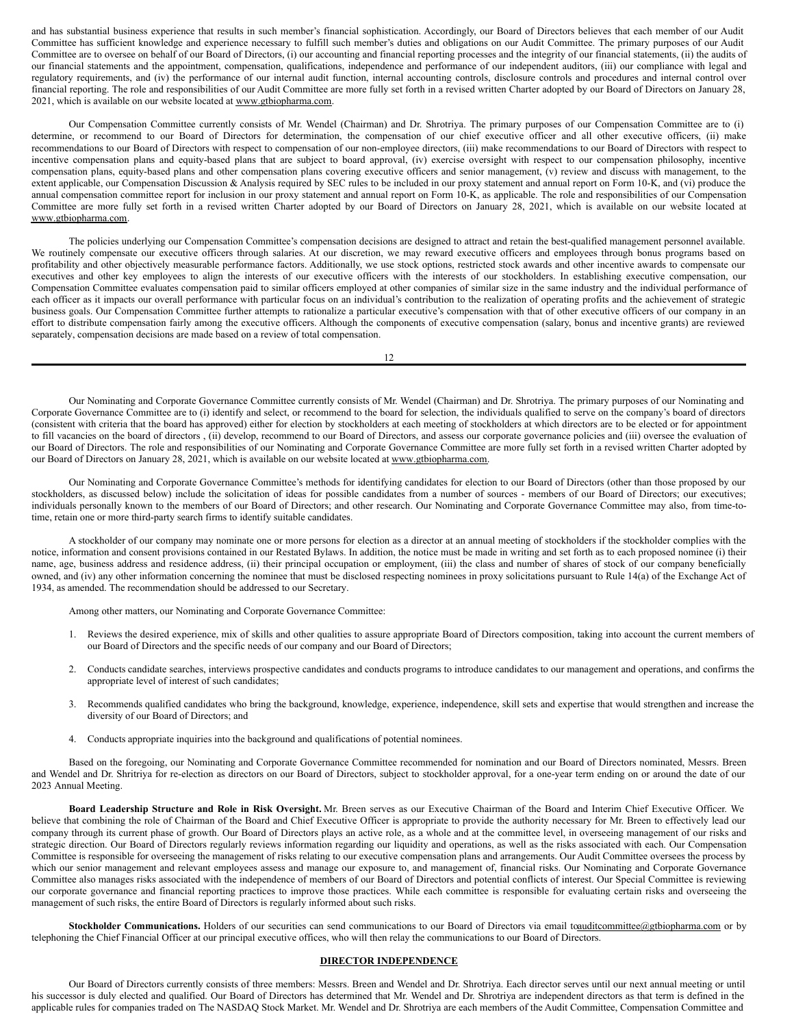and has substantial business experience that results in such member's financial sophistication. Accordingly, our Board of Directors believes that each member of our Audit Committee has sufficient knowledge and experience necessary to fulfill such member's duties and obligations on our Audit Committee. The primary purposes of our Audit Committee are to oversee on behalf of our Board of Directors, (i) our accounting and financial reporting processes and the integrity of our financial statements, (ii) the audits of our financial statements and the appointment, compensation, qualifications, independence and performance of our independent auditors, (iii) our compliance with legal and regulatory requirements, and (iv) the performance of our internal audit function, internal accounting controls, disclosure controls and procedures and internal control over financial reporting. The role and responsibilities of our Audit Committee are more fully set forth in a revised written Charter adopted by our Board of Directors on January 28, 2021, which is available on our website located at www.gtbiopharma.com.

Our Compensation Committee currently consists of Mr. Wendel (Chairman) and Dr. Shrotriya. The primary purposes of our Compensation Committee are to (i) determine, or recommend to our Board of Directors for determination, the compensation of our chief executive officer and all other executive officers, (ii) make recommendations to our Board of Directors with respect to compensation of our non-employee directors, (iii) make recommendations to our Board of Directors with respect to incentive compensation plans and equity-based plans that are subject to board approval, (iv) exercise oversight with respect to our compensation philosophy, incentive compensation plans, equity-based plans and other compensation plans covering executive officers and senior management, (v) review and discuss with management, to the extent applicable, our Compensation Discussion & Analysis required by SEC rules to be included in our proxy statement and annual report on Form 10-K, and (vi) produce the annual compensation committee report for inclusion in our proxy statement and annual report on Form 10-K, as applicable. The role and responsibilities of our Compensation Committee are more fully set forth in a revised written Charter adopted by our Board of Directors on January 28, 2021, which is available on our website located at www.gtbiopharma.com.

The policies underlying our Compensation Committee's compensation decisions are designed to attract and retain the best-qualified management personnel available. We routinely compensate our executive officers through salaries. At our discretion, we may reward executive officers and employees through bonus programs based on profitability and other objectively measurable performance factors. Additionally, we use stock options, restricted stock awards and other incentive awards to compensate our executives and other key employees to align the interests of our executive officers with the interests of our stockholders. In establishing executive compensation, our Compensation Committee evaluates compensation paid to similar officers employed at other companies of similar size in the same industry and the individual performance of each officer as it impacts our overall performance with particular focus on an individual's contribution to the realization of operating profits and the achievement of strategic business goals. Our Compensation Committee further attempts to rationalize a particular executive's compensation with that of other executive officers of our company in an effort to distribute compensation fairly among the executive officers. Although the components of executive compensation (salary, bonus and incentive grants) are reviewed separately, compensation decisions are made based on a review of total compensation.

12

Our Nominating and Corporate Governance Committee currently consists of Mr. Wendel (Chairman) and Dr. Shrotriya. The primary purposes of our Nominating and Corporate Governance Committee are to (i) identify and select, or recommend to the board for selection, the individuals qualified to serve on the company's board of directors (consistent with criteria that the board has approved) either for election by stockholders at each meeting of stockholders at which directors are to be elected or for appointment to fill vacancies on the board of directors , (ii) develop, recommend to our Board of Directors, and assess our corporate governance policies and (iii) oversee the evaluation of our Board of Directors. The role and responsibilities of our Nominating and Corporate Governance Committee are more fully set forth in a revised written Charter adopted by our Board of Directors on January 28, 2021, which is available on our website located at www.gtbiopharma.com.

Our Nominating and Corporate Governance Committee's methods for identifying candidates for election to our Board of Directors (other than those proposed by our stockholders, as discussed below) include the solicitation of ideas for possible candidates from a number of sources - members of our Board of Directors; our executives; individuals personally known to the members of our Board of Directors; and other research. Our Nominating and Corporate Governance Committee may also, from time-totime, retain one or more third-party search firms to identify suitable candidates.

A stockholder of our company may nominate one or more persons for election as a director at an annual meeting of stockholders if the stockholder complies with the notice, information and consent provisions contained in our Restated Bylaws. In addition, the notice must be made in writing and set forth as to each proposed nominee (i) their name, age, business address and residence address, (ii) their principal occupation or employment, (iii) the class and number of shares of stock of our company beneficially owned, and (iv) any other information concerning the nominee that must be disclosed respecting nominees in proxy solicitations pursuant to Rule 14(a) of the Exchange Act of 1934, as amended. The recommendation should be addressed to our Secretary.

Among other matters, our Nominating and Corporate Governance Committee:

- 1. Reviews the desired experience, mix of skills and other qualities to assure appropriate Board of Directors composition, taking into account the current members of our Board of Directors and the specific needs of our company and our Board of Directors;
- 2. Conducts candidate searches, interviews prospective candidates and conducts programs to introduce candidates to our management and operations, and confirms the appropriate level of interest of such candidates;
- 3. Recommends qualified candidates who bring the background, knowledge, experience, independence, skill sets and expertise that would strengthen and increase the diversity of our Board of Directors; and
- 4. Conducts appropriate inquiries into the background and qualifications of potential nominees.

Based on the foregoing, our Nominating and Corporate Governance Committee recommended for nomination and our Board of Directors nominated, Messrs. Breen and Wendel and Dr. Shritriya for re-election as directors on our Board of Directors, subject to stockholder approval, for a one-year term ending on or around the date of our 2023 Annual Meeting.

**Board Leadership Structure and Role in Risk Oversight.** Mr. Breen serves as our Executive Chairman of the Board and Interim Chief Executive Officer. We believe that combining the role of Chairman of the Board and Chief Executive Officer is appropriate to provide the authority necessary for Mr. Breen to effectively lead our company through its current phase of growth. Our Board of Directors plays an active role, as a whole and at the committee level, in overseeing management of our risks and strategic direction. Our Board of Directors regularly reviews information regarding our liquidity and operations, as well as the risks associated with each. Our Compensation Committee is responsible for overseeing the management of risks relating to our executive compensation plans and arrangements. Our Audit Committee oversees the process by which our senior management and relevant employees assess and manage our exposure to, and management of, financial risks. Our Nominating and Corporate Governance Committee also manages risks associated with the independence of members of our Board of Directors and potential conflicts of interest. Our Special Committee is reviewing our corporate governance and financial reporting practices to improve those practices. While each committee is responsible for evaluating certain risks and overseeing the management of such risks, the entire Board of Directors is regularly informed about such risks.

**Stockholder Communications.** Holders of our securities can send communications to our Board of Directors via email toauditcommittee@gtbiopharma.com or by telephoning the Chief Financial Officer at our principal executive offices, who will then relay the communications to our Board of Directors.

## **DIRECTOR INDEPENDENCE**

Our Board of Directors currently consists of three members: Messrs. Breen and Wendel and Dr. Shrotriya. Each director serves until our next annual meeting or until his successor is duly elected and qualified. Our Board of Directors has determined that Mr. Wendel and Dr. Shrotriya are independent directors as that term is defined in the applicable rules for companies traded on The NASDAQ Stock Market. Mr. Wendel and Dr. Shrotriya are each members of the Audit Committee, Compensation Committee and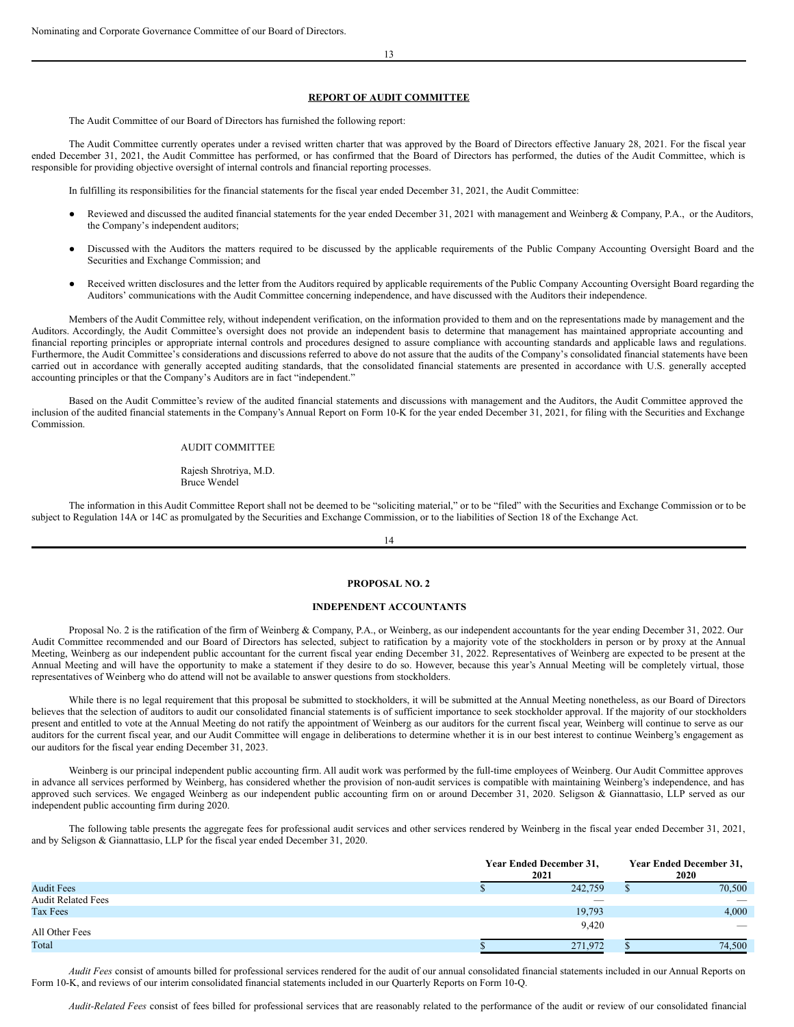#### **REPORT OF AUDIT COMMITTEE**

The Audit Committee of our Board of Directors has furnished the following report:

The Audit Committee currently operates under a revised written charter that was approved by the Board of Directors effective January 28, 2021. For the fiscal year ended December 31, 2021, the Audit Committee has performed, or has confirmed that the Board of Directors has performed, the duties of the Audit Committee, which is responsible for providing objective oversight of internal controls and financial reporting processes.

In fulfilling its responsibilities for the financial statements for the fiscal year ended December 31, 2021, the Audit Committee:

- Reviewed and discussed the audited financial statements for the year ended December 31, 2021 with management and Weinberg & Company, P.A., or the Auditors, the Company's independent auditors;
- Discussed with the Auditors the matters required to be discussed by the applicable requirements of the Public Company Accounting Oversight Board and the Securities and Exchange Commission; and
- Received written disclosures and the letter from the Auditors required by applicable requirements of the Public Company Accounting Oversight Board regarding the Auditors' communications with the Audit Committee concerning independence, and have discussed with the Auditors their independence.

Members of the Audit Committee rely, without independent verification, on the information provided to them and on the representations made by management and the Auditors. Accordingly, the Audit Committee's oversight does not provide an independent basis to determine that management has maintained appropriate accounting and financial reporting principles or appropriate internal controls and procedures designed to assure compliance with accounting standards and applicable laws and regulations. Furthermore, the Audit Committee's considerations and discussions referred to above do not assure that the audits of the Company's consolidated financial statements have been carried out in accordance with generally accepted auditing standards, that the consolidated financial statements are presented in accordance with U.S. generally accepted accounting principles or that the Company's Auditors are in fact "independent."

Based on the Audit Committee's review of the audited financial statements and discussions with management and the Auditors, the Audit Committee approved the inclusion of the audited financial statements in the Company's Annual Report on Form 10-K for the year ended December 31, 2021, for filing with the Securities and Exchange Commission.

AUDIT COMMITTEE

Rajesh Shrotriya, M.D. Bruce Wendel

The information in this Audit Committee Report shall not be deemed to be "soliciting material," or to be "filed" with the Securities and Exchange Commission or to be subject to Regulation 14A or 14C as promulgated by the Securities and Exchange Commission, or to the liabilities of Section 18 of the Exchange Act.

14

#### **PROPOSAL NO. 2**

### **INDEPENDENT ACCOUNTANTS**

Proposal No. 2 is the ratification of the firm of Weinberg & Company, P.A., or Weinberg, as our independent accountants for the year ending December 31, 2022. Our Audit Committee recommended and our Board of Directors has selected, subject to ratification by a majority vote of the stockholders in person or by proxy at the Annual Meeting, Weinberg as our independent public accountant for the current fiscal year ending December 31, 2022. Representatives of Weinberg are expected to be present at the Annual Meeting and will have the opportunity to make a statement if they desire to do so. However, because this year's Annual Meeting will be completely virtual, those representatives of Weinberg who do attend will not be available to answer questions from stockholders.

While there is no legal requirement that this proposal be submitted to stockholders, it will be submitted at the Annual Meeting nonetheless, as our Board of Directors believes that the selection of auditors to audit our consolidated financial statements is of sufficient importance to seek stockholder approval. If the majority of our stockholders present and entitled to vote at the Annual Meeting do not ratify the appointment of Weinberg as our auditors for the current fiscal year, Weinberg will continue to serve as our auditors for the current fiscal year, and our Audit Committee will engage in deliberations to determine whether it is in our best interest to continue Weinberg's engagement as our auditors for the fiscal year ending December 31, 2023.

Weinberg is our principal independent public accounting firm. All audit work was performed by the full-time employees of Weinberg. Our Audit Committee approves in advance all services performed by Weinberg, has considered whether the provision of non-audit services is compatible with maintaining Weinberg's independence, and has approved such services. We engaged Weinberg as our independent public accounting firm on or around December 31, 2020. Seligson & Giannattasio, LLP served as our independent public accounting firm during 2020.

The following table presents the aggregate fees for professional audit services and other services rendered by Weinberg in the fiscal year ended December 31, 2021, and by Seligson & Giannattasio, LLP for the fiscal year ended December 31, 2020.

|                           | <b>Year Ended December 31,</b><br>2021 | Year Ended December 31,<br>2020 |  |                          |
|---------------------------|----------------------------------------|---------------------------------|--|--------------------------|
| <b>Audit Fees</b>         |                                        | 242,759                         |  | 70,500                   |
| <b>Audit Related Fees</b> |                                        | _                               |  | $\overline{\phantom{m}}$ |
| Tax Fees                  |                                        | 19,793                          |  | 4,000                    |
| All Other Fees            |                                        | 9,420                           |  | $\overline{\phantom{a}}$ |
| Total                     |                                        | 271,972                         |  | 74,500                   |

*Audit Fees* consist of amounts billed for professional services rendered for the audit of our annual consolidated financial statements included in our Annual Reports on Form 10-K, and reviews of our interim consolidated financial statements included in our Quarterly Reports on Form 10-Q.

*Audit-Related Fees* consist of fees billed for professional services that are reasonably related to the performance of the audit or review of our consolidated financial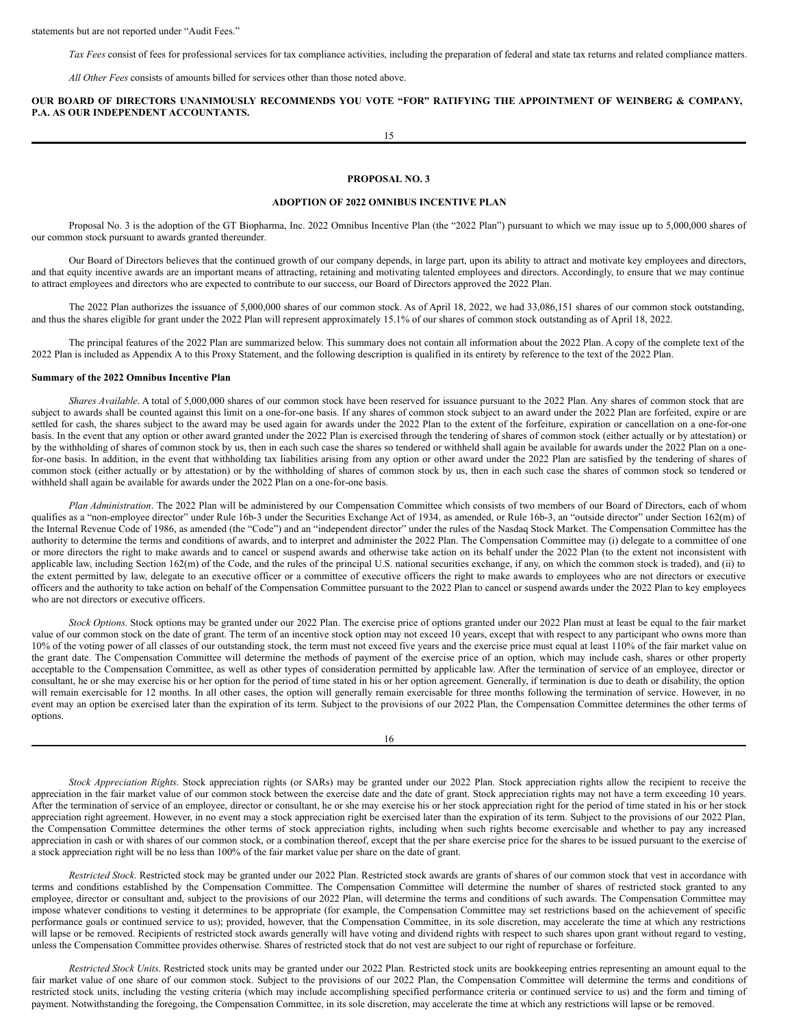statements but are not reported under "Audit Fees."

*Tax Fees* consist of fees for professional services for tax compliance activities, including the preparation of federal and state tax returns and related compliance matters.

*All Other Fees* consists of amounts billed for services other than those noted above.

**OUR BOARD OF DIRECTORS UNANIMOUSLY RECOMMENDS YOU VOTE "FOR" RATIFYING THE APPOINTMENT OF WEINBERG & COMPANY, P.A. AS OUR INDEPENDENT ACCOUNTANTS.**

15

## **PROPOSAL NO. 3**

## **ADOPTION OF 2022 OMNIBUS INCENTIVE PLAN**

Proposal No. 3 is the adoption of the GT Biopharma, Inc. 2022 Omnibus Incentive Plan (the "2022 Plan") pursuant to which we may issue up to 5,000,000 shares of our common stock pursuant to awards granted thereunder.

Our Board of Directors believes that the continued growth of our company depends, in large part, upon its ability to attract and motivate key employees and directors, and that equity incentive awards are an important means of attracting, retaining and motivating talented employees and directors. Accordingly, to ensure that we may continue to attract employees and directors who are expected to contribute to our success, our Board of Directors approved the 2022 Plan.

The 2022 Plan authorizes the issuance of 5,000,000 shares of our common stock. As of April 18, 2022, we had 33,086,151 shares of our common stock outstanding, and thus the shares eligible for grant under the 2022 Plan will represent approximately 15.1% of our shares of common stock outstanding as of April 18, 2022.

The principal features of the 2022 Plan are summarized below. This summary does not contain all information about the 2022 Plan. A copy of the complete text of the 2022 Plan is included as Appendix A to this Proxy Statement, and the following description is qualified in its entirety by reference to the text of the 2022 Plan.

#### **Summary of the 2022 Omnibus Incentive Plan**

*Shares Available*. A total of 5,000,000 shares of our common stock have been reserved for issuance pursuant to the 2022 Plan. Any shares of common stock that are subject to awards shall be counted against this limit on a one-for-one basis. If any shares of common stock subject to an award under the 2022 Plan are forfeited, expire or are settled for cash, the shares subject to the award may be used again for awards under the 2022 Plan to the extent of the forfeiture, expiration or cancellation on a one-for-one basis. In the event that any option or other award granted under the 2022 Plan is exercised through the tendering of shares of common stock (either actually or by attestation) or by the withholding of shares of common stock by us, then in each such case the shares so tendered or withheld shall again be available for awards under the 2022 Plan on a onefor-one basis. In addition, in the event that withholding tax liabilities arising from any option or other award under the 2022 Plan are satisfied by the tendering of shares of common stock (either actually or by attestation) or by the withholding of shares of common stock by us, then in each such case the shares of common stock so tendered or withheld shall again be available for awards under the 2022 Plan on a one-for-one basis.

*Plan Administration*. The 2022 Plan will be administered by our Compensation Committee which consists of two members of our Board of Directors, each of whom qualifies as a "non-employee director" under Rule 16b-3 under the Securities Exchange Act of 1934, as amended, or Rule 16b-3, an "outside director" under Section 162(m) of the Internal Revenue Code of 1986, as amended (the "Code") and an "independent director" under the rules of the Nasdaq Stock Market. The Compensation Committee has the authority to determine the terms and conditions of awards, and to interpret and administer the 2022 Plan. The Compensation Committee may (i) delegate to a committee of one or more directors the right to make awards and to cancel or suspend awards and otherwise take action on its behalf under the 2022 Plan (to the extent not inconsistent with applicable law, including Section 162(m) of the Code, and the rules of the principal U.S. national securities exchange, if any, on which the common stock is traded), and (ii) to the extent permitted by law, delegate to an executive officer or a committee of executive officers the right to make awards to employees who are not directors or executive officers and the authority to take action on behalf of the Compensation Committee pursuant to the 2022 Plan to cancel or suspend awards under the 2022 Plan to key employees who are not directors or executive officers.

*Stock Options*. Stock options may be granted under our 2022 Plan. The exercise price of options granted under our 2022 Plan must at least be equal to the fair market value of our common stock on the date of grant. The term of an incentive stock option may not exceed 10 years, except that with respect to any participant who owns more than 10% of the voting power of all classes of our outstanding stock, the term must not exceed five years and the exercise price must equal at least 110% of the fair market value on the grant date. The Compensation Committee will determine the methods of payment of the exercise price of an option, which may include cash, shares or other property acceptable to the Compensation Committee, as well as other types of consideration permitted by applicable law. After the termination of service of an employee, director or consultant, he or she may exercise his or her option for the period of time stated in his or her option agreement. Generally, if termination is due to death or disability, the option will remain exercisable for 12 months. In all other cases, the option will generally remain exercisable for three months following the termination of service. However, in no event may an option be exercised later than the expiration of its term. Subject to the provisions of our 2022 Plan, the Compensation Committee determines the other terms of options.

*Stock Appreciation Rights*. Stock appreciation rights (or SARs) may be granted under our 2022 Plan. Stock appreciation rights allow the recipient to receive the appreciation in the fair market value of our common stock between the exercise date and the date of grant. Stock appreciation rights may not have a term exceeding 10 years. After the termination of service of an employee, director or consultant, he or she may exercise his or her stock appreciation right for the period of time stated in his or her stock appreciation right agreement. However, in no event may a stock appreciation right be exercised later than the expiration of its term. Subject to the provisions of our 2022 Plan, the Compensation Committee determines the other terms of stock appreciation rights, including when such rights become exercisable and whether to pay any increased appreciation in cash or with shares of our common stock, or a combination thereof, except that the per share exercise price for the shares to be issued pursuant to the exercise of a stock appreciation right will be no less than 100% of the fair market value per share on the date of grant.

*Restricted Stock*. Restricted stock may be granted under our 2022 Plan. Restricted stock awards are grants of shares of our common stock that vest in accordance with terms and conditions established by the Compensation Committee. The Compensation Committee will determine the number of shares of restricted stock granted to any employee, director or consultant and, subject to the provisions of our 2022 Plan, will determine the terms and conditions of such awards. The Compensation Committee may impose whatever conditions to vesting it determines to be appropriate (for example, the Compensation Committee may set restrictions based on the achievement of specific performance goals or continued service to us); provided, however, that the Compensation Committee, in its sole discretion, may accelerate the time at which any restrictions will lapse or be removed. Recipients of restricted stock awards generally will have voting and dividend rights with respect to such shares upon grant without regard to vesting, unless the Compensation Committee provides otherwise. Shares of restricted stock that do not vest are subject to our right of repurchase or forfeiture.

*Restricted Stock Units*. Restricted stock units may be granted under our 2022 Plan. Restricted stock units are bookkeeping entries representing an amount equal to the fair market value of one share of our common stock. Subject to the provisions of our 2022 Plan, the Compensation Committee will determine the terms and conditions of restricted stock units, including the vesting criteria (which may include accomplishing specified performance criteria or continued service to us) and the form and timing of payment. Notwithstanding the foregoing, the Compensation Committee, in its sole discretion, may accelerate the time at which any restrictions will lapse or be removed.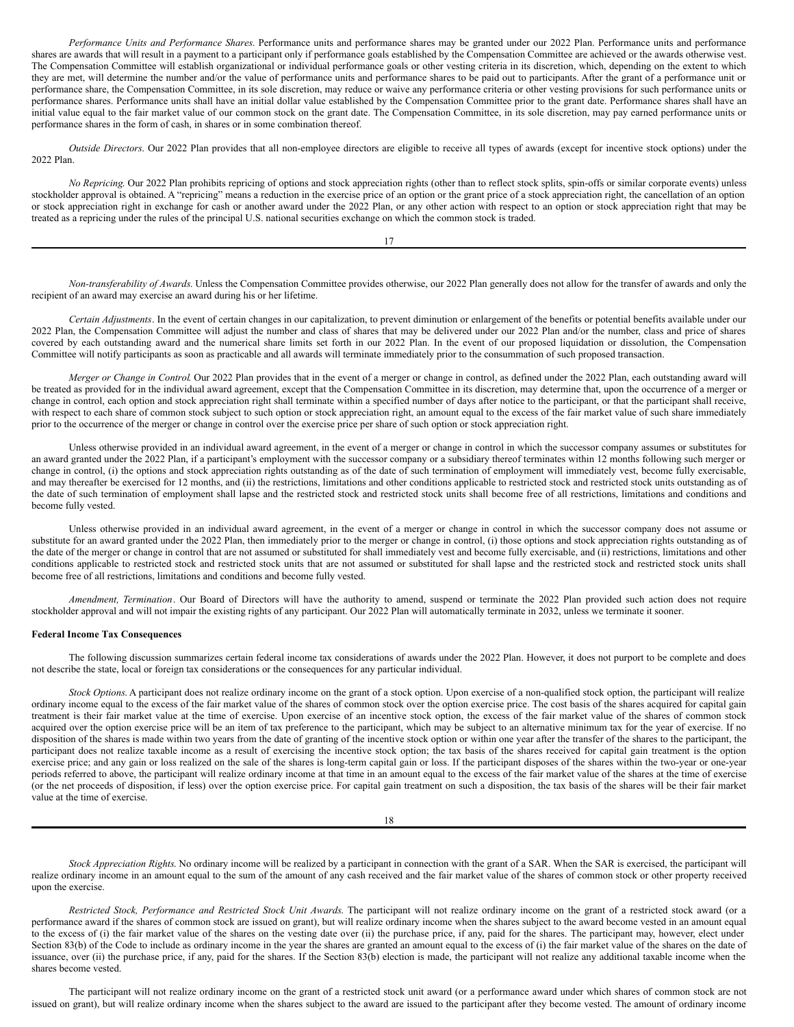*Performance Units and Performance Shares*. Performance units and performance shares may be granted under our 2022 Plan. Performance units and performance shares are awards that will result in a payment to a participant only if performance goals established by the Compensation Committee are achieved or the awards otherwise vest. The Compensation Committee will establish organizational or individual performance goals or other vesting criteria in its discretion, which, depending on the extent to which they are met, will determine the number and/or the value of performance units and performance shares to be paid out to participants. After the grant of a performance unit or performance share, the Compensation Committee, in its sole discretion, may reduce or waive any performance criteria or other vesting provisions for such performance units or performance shares. Performance units shall have an initial dollar value established by the Compensation Committee prior to the grant date. Performance shares shall have an initial value equal to the fair market value of our common stock on the grant date. The Compensation Committee, in its sole discretion, may pay earned performance units or performance shares in the form of cash, in shares or in some combination thereof.

*Outside Directors*. Our 2022 Plan provides that all non-employee directors are eligible to receive all types of awards (except for incentive stock options) under the 2022 Plan.

*No Repricing*. Our 2022 Plan prohibits repricing of options and stock appreciation rights (other than to reflect stock splits, spin-offs or similar corporate events) unless stockholder approval is obtained. A "repricing" means a reduction in the exercise price of an option or the grant price of a stock appreciation right, the cancellation of an option or stock appreciation right in exchange for cash or another award under the 2022 Plan, or any other action with respect to an option or stock appreciation right that may be treated as a repricing under the rules of the principal U.S. national securities exchange on which the common stock is traded.

17

*Non-transferability of Awards*. Unless the Compensation Committee provides otherwise, our 2022 Plan generally does not allow for the transfer of awards and only the recipient of an award may exercise an award during his or her lifetime.

*Certain Adjustments*. In the event of certain changes in our capitalization, to prevent diminution or enlargement of the benefits or potential benefits available under our 2022 Plan, the Compensation Committee will adjust the number and class of shares that may be delivered under our 2022 Plan and/or the number, class and price of shares covered by each outstanding award and the numerical share limits set forth in our 2022 Plan. In the event of our proposed liquidation or dissolution, the Compensation Committee will notify participants as soon as practicable and all awards will terminate immediately prior to the consummation of such proposed transaction.

*Merger or Change in Control*. Our 2022 Plan provides that in the event of a merger or change in control, as defined under the 2022 Plan, each outstanding award will be treated as provided for in the individual award agreement, except that the Compensation Committee in its discretion, may determine that, upon the occurrence of a merger or change in control, each option and stock appreciation right shall terminate within a specified number of days after notice to the participant, or that the participant shall receive, with respect to each share of common stock subject to such option or stock appreciation right, an amount equal to the excess of the fair market value of such share immediately prior to the occurrence of the merger or change in control over the exercise price per share of such option or stock appreciation right.

Unless otherwise provided in an individual award agreement, in the event of a merger or change in control in which the successor company assumes or substitutes for an award granted under the 2022 Plan, if a participant's employment with the successor company or a subsidiary thereof terminates within 12 months following such merger or change in control, (i) the options and stock appreciation rights outstanding as of the date of such termination of employment will immediately vest, become fully exercisable, and may thereafter be exercised for 12 months, and (ii) the restrictions, limitations and other conditions applicable to restricted stock and restricted stock units outstanding as of the date of such termination of employment shall lapse and the restricted stock and restricted stock units shall become free of all restrictions, limitations and conditions and become fully vested.

Unless otherwise provided in an individual award agreement, in the event of a merger or change in control in which the successor company does not assume or substitute for an award granted under the 2022 Plan, then immediately prior to the merger or change in control, (i) those options and stock appreciation rights outstanding as of the date of the merger or change in control that are not assumed or substituted for shall immediately vest and become fully exercisable, and (ii) restrictions, limitations and other conditions applicable to restricted stock and restricted stock units that are not assumed or substituted for shall lapse and the restricted stock and restricted stock units shall become free of all restrictions, limitations and conditions and become fully vested.

*Amendment, Termination*. Our Board of Directors will have the authority to amend, suspend or terminate the 2022 Plan provided such action does not require stockholder approval and will not impair the existing rights of any participant. Our 2022 Plan will automatically terminate in 2032, unless we terminate it sooner.

## **Federal Income Tax Consequences**

The following discussion summarizes certain federal income tax considerations of awards under the 2022 Plan. However, it does not purport to be complete and does not describe the state, local or foreign tax considerations or the consequences for any particular individual.

*Stock Options*. A participant does not realize ordinary income on the grant of a stock option. Upon exercise of a non-qualified stock option, the participant will realize ordinary income equal to the excess of the fair market value of the shares of common stock over the option exercise price. The cost basis of the shares acquired for capital gain treatment is their fair market value at the time of exercise. Upon exercise of an incentive stock option, the excess of the fair market value of the shares of common stock acquired over the option exercise price will be an item of tax preference to the participant, which may be subject to an alternative minimum tax for the year of exercise. If no disposition of the shares is made within two years from the date of granting of the incentive stock option or within one year after the transfer of the shares to the participant, the participant does not realize taxable income as a result of exercising the incentive stock option; the tax basis of the shares received for capital gain treatment is the option exercise price; and any gain or loss realized on the sale of the shares is long-term capital gain or loss. If the participant disposes of the shares within the two-year or one-year periods referred to above, the participant will realize ordinary income at that time in an amount equal to the excess of the fair market value of the shares at the time of exercise (or the net proceeds of disposition, if less) over the option exercise price. For capital gain treatment on such a disposition, the tax basis of the shares will be their fair market value at the time of exercise.

18

*Stock Appreciation Rights*. No ordinary income will be realized by a participant in connection with the grant of a SAR. When the SAR is exercised, the participant will realize ordinary income in an amount equal to the sum of the amount of any cash received and the fair market value of the shares of common stock or other property received upon the exercise.

*Restricted Stock, Performance and Restricted Stock Unit Awards*. The participant will not realize ordinary income on the grant of a restricted stock award (or a performance award if the shares of common stock are issued on grant), but will realize ordinary income when the shares subject to the award become vested in an amount equal to the excess of (i) the fair market value of the shares on the vesting date over (ii) the purchase price, if any, paid for the shares. The participant may, however, elect under Section 83(b) of the Code to include as ordinary income in the year the shares are granted an amount equal to the excess of (i) the fair market value of the shares on the date of issuance, over (ii) the purchase price, if any, paid for the shares. If the Section 83(b) election is made, the participant will not realize any additional taxable income when the shares become vested.

The participant will not realize ordinary income on the grant of a restricted stock unit award (or a performance award under which shares of common stock are not issued on grant), but will realize ordinary income when the shares subject to the award are issued to the participant after they become vested. The amount of ordinary income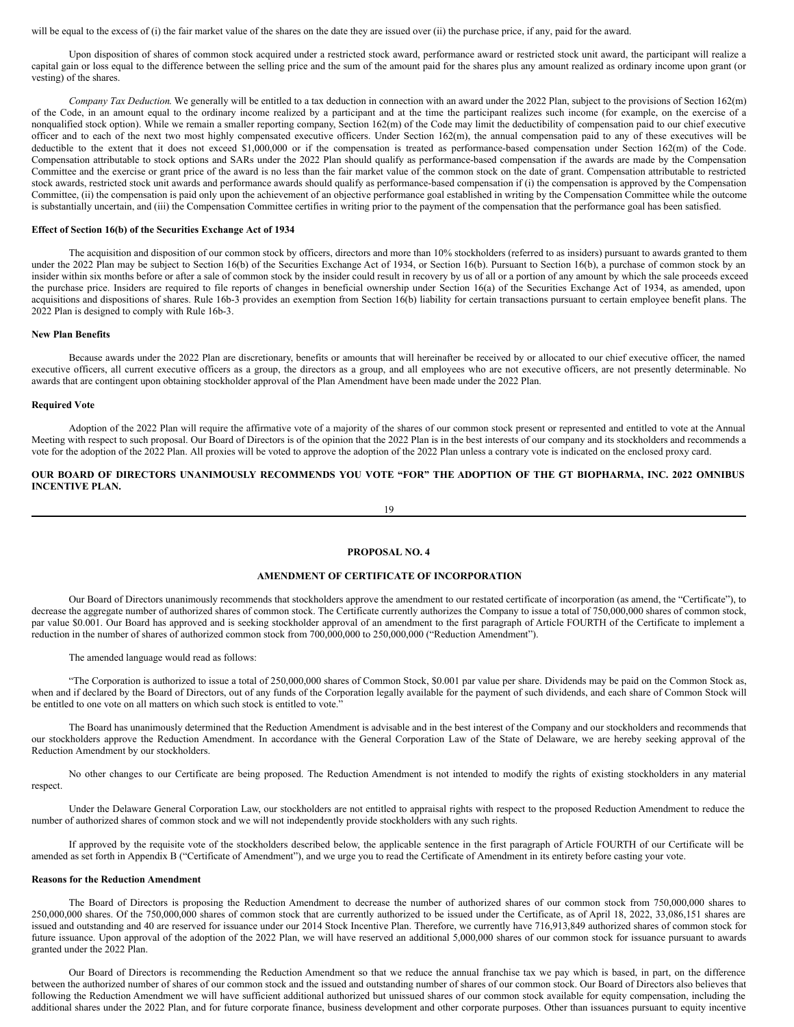will be equal to the excess of (i) the fair market value of the shares on the date they are issued over (ii) the purchase price, if any, paid for the award.

Upon disposition of shares of common stock acquired under a restricted stock award, performance award or restricted stock unit award, the participant will realize a capital gain or loss equal to the difference between the selling price and the sum of the amount paid for the shares plus any amount realized as ordinary income upon grant (or vesting) of the shares.

*Company Tax Deduction*. We generally will be entitled to a tax deduction in connection with an award under the 2022 Plan, subject to the provisions of Section 162(m) of the Code, in an amount equal to the ordinary income realized by a participant and at the time the participant realizes such income (for example, on the exercise of a nonqualified stock option). While we remain a smaller reporting company, Section 162(m) of the Code may limit the deductibility of compensation paid to our chief executive officer and to each of the next two most highly compensated executive officers. Under Section 162(m), the annual compensation paid to any of these executives will be deductible to the extent that it does not exceed \$1,000,000 or if the compensation is treated as performance-based compensation under Section 162(m) of the Code. Compensation attributable to stock options and SARs under the 2022 Plan should qualify as performance-based compensation if the awards are made by the Compensation Committee and the exercise or grant price of the award is no less than the fair market value of the common stock on the date of grant. Compensation attributable to restricted stock awards, restricted stock unit awards and performance awards should qualify as performance-based compensation if (i) the compensation is approved by the Compensation Committee, (ii) the compensation is paid only upon the achievement of an objective performance goal established in writing by the Compensation Committee while the outcome is substantially uncertain, and (iii) the Compensation Committee certifies in writing prior to the payment of the compensation that the performance goal has been satisfied.

#### **Effect of Section 16(b) of the Securities Exchange Act of 1934**

The acquisition and disposition of our common stock by officers, directors and more than 10% stockholders (referred to as insiders) pursuant to awards granted to them under the 2022 Plan may be subject to Section 16(b) of the Securities Exchange Act of 1934, or Section 16(b). Pursuant to Section 16(b), a purchase of common stock by an insider within six months before or after a sale of common stock by the insider could result in recovery by us of all or a portion of any amount by which the sale proceeds exceed the purchase price. Insiders are required to file reports of changes in beneficial ownership under Section 16(a) of the Securities Exchange Act of 1934, as amended, upon acquisitions and dispositions of shares. Rule 16b-3 provides an exemption from Section 16(b) liability for certain transactions pursuant to certain employee benefit plans. The 2022 Plan is designed to comply with Rule 16b-3.

#### **New Plan Benefits**

Because awards under the 2022 Plan are discretionary, benefits or amounts that will hereinafter be received by or allocated to our chief executive officer, the named executive officers, all current executive officers as a group, the directors as a group, and all employees who are not executive officers, are not presently determinable. No awards that are contingent upon obtaining stockholder approval of the Plan Amendment have been made under the 2022 Plan.

#### **Required Vote**

Adoption of the 2022 Plan will require the affirmative vote of a majority of the shares of our common stock present or represented and entitled to vote at the Annual Meeting with respect to such proposal. Our Board of Directors is of the opinion that the 2022 Plan is in the best interests of our company and its stockholders and recommends a vote for the adoption of the 2022 Plan. All proxies will be voted to approve the adoption of the 2022 Plan unless a contrary vote is indicated on the enclosed proxy card.

## OUR BOARD OF DIRECTORS UNANIMOUSLY RECOMMENDS YOU VOTE "FOR" THE ADOPTION OF THE GT BIOPHARMA, INC. 2022 OMNIBUS **INCENTIVE PLAN.**

19

#### **PROPOSAL NO. 4**

## **AMENDMENT OF CERTIFICATE OF INCORPORATION**

Our Board of Directors unanimously recommends that stockholders approve the amendment to our restated certificate of incorporation (as amend, the "Certificate"), to decrease the aggregate number of authorized shares of common stock. The Certificate currently authorizes the Company to issue a total of 750,000,000 shares of common stock, par value \$0.001. Our Board has approved and is seeking stockholder approval of an amendment to the first paragraph of Article FOURTH of the Certificate to implement a reduction in the number of shares of authorized common stock from 700,000,000 to 250,000,000 ("Reduction Amendment").

The amended language would read as follows:

"The Corporation is authorized to issue a total of 250,000,000 shares of Common Stock, \$0.001 par value per share. Dividends may be paid on the Common Stock as, when and if declared by the Board of Directors, out of any funds of the Corporation legally available for the payment of such dividends, and each share of Common Stock will be entitled to one vote on all matters on which such stock is entitled to vote.'

The Board has unanimously determined that the Reduction Amendment is advisable and in the best interest of the Company and our stockholders and recommends that our stockholders approve the Reduction Amendment. In accordance with the General Corporation Law of the State of Delaware, we are hereby seeking approval of the Reduction Amendment by our stockholders.

No other changes to our Certificate are being proposed. The Reduction Amendment is not intended to modify the rights of existing stockholders in any material respect.

Under the Delaware General Corporation Law, our stockholders are not entitled to appraisal rights with respect to the proposed Reduction Amendment to reduce the number of authorized shares of common stock and we will not independently provide stockholders with any such rights.

If approved by the requisite vote of the stockholders described below, the applicable sentence in the first paragraph of Article FOURTH of our Certificate will be amended as set forth in Appendix B ("Certificate of Amendment"), and we urge you to read the Certificate of Amendment in its entirety before casting your vote.

### **Reasons for the Reduction Amendment**

The Board of Directors is proposing the Reduction Amendment to decrease the number of authorized shares of our common stock from 750,000,000 shares to 250,000,000 shares. Of the 750,000,000 shares of common stock that are currently authorized to be issued under the Certificate, as of April 18, 2022, 33,086,151 shares are issued and outstanding and 40 are reserved for issuance under our 2014 Stock Incentive Plan. Therefore, we currently have 716,913,849 authorized shares of common stock for future issuance. Upon approval of the adoption of the 2022 Plan, we will have reserved an additional 5,000,000 shares of our common stock for issuance pursuant to awards granted under the 2022 Plan.

Our Board of Directors is recommending the Reduction Amendment so that we reduce the annual franchise tax we pay which is based, in part, on the difference between the authorized number of shares of our common stock and the issued and outstanding number of shares of our common stock. Our Board of Directors also believes that following the Reduction Amendment we will have sufficient additional authorized but unissued shares of our common stock available for equity compensation, including the additional shares under the 2022 Plan, and for future corporate finance, business development and other corporate purposes. Other than issuances pursuant to equity incentive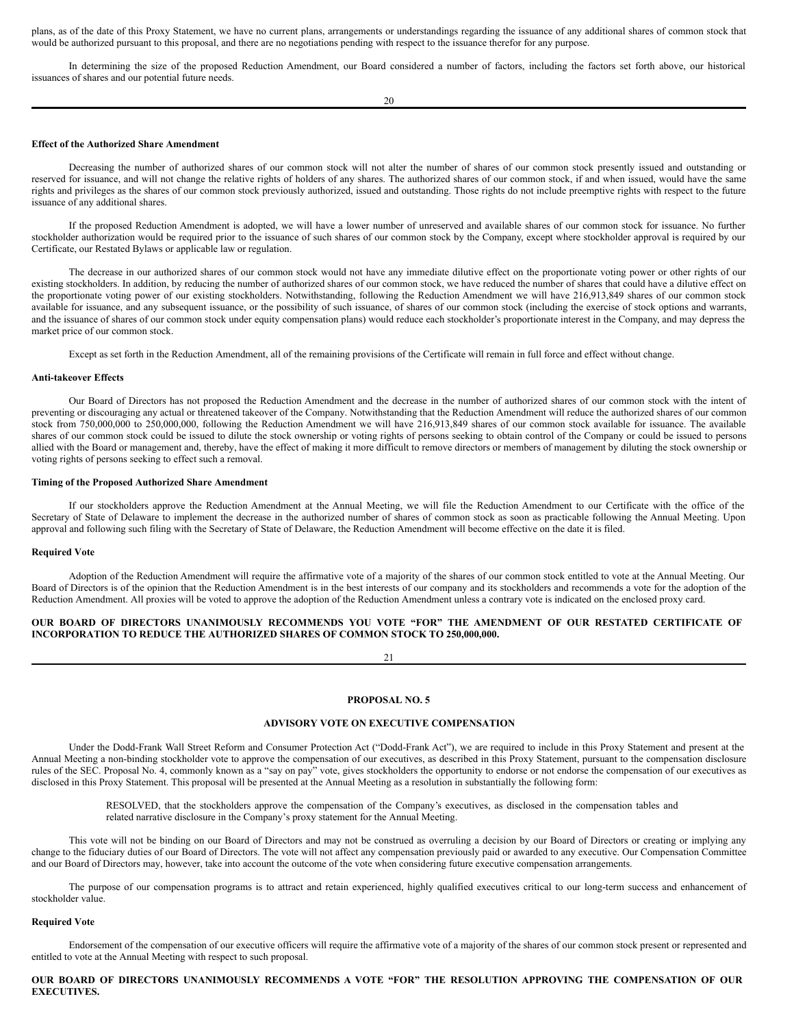plans, as of the date of this Proxy Statement, we have no current plans, arrangements or understandings regarding the issuance of any additional shares of common stock that would be authorized pursuant to this proposal, and there are no negotiations pending with respect to the issuance therefor for any purpose.

In determining the size of the proposed Reduction Amendment, our Board considered a number of factors, including the factors set forth above, our historical issuances of shares and our potential future needs.

20

#### **Effect of the Authorized Share Amendment**

Decreasing the number of authorized shares of our common stock will not alter the number of shares of our common stock presently issued and outstanding or reserved for issuance, and will not change the relative rights of holders of any shares. The authorized shares of our common stock, if and when issued, would have the same rights and privileges as the shares of our common stock previously authorized, issued and outstanding. Those rights do not include preemptive rights with respect to the future issuance of any additional shares.

If the proposed Reduction Amendment is adopted, we will have a lower number of unreserved and available shares of our common stock for issuance. No further stockholder authorization would be required prior to the issuance of such shares of our common stock by the Company, except where stockholder approval is required by our Certificate, our Restated Bylaws or applicable law or regulation.

The decrease in our authorized shares of our common stock would not have any immediate dilutive effect on the proportionate voting power or other rights of our existing stockholders. In addition, by reducing the number of authorized shares of our common stock, we have reduced the number of shares that could have a dilutive effect on the proportionate voting power of our existing stockholders. Notwithstanding, following the Reduction Amendment we will have 216,913,849 shares of our common stock available for issuance, and any subsequent issuance, or the possibility of such issuance, of shares of our common stock (including the exercise of stock options and warrants, and the issuance of shares of our common stock under equity compensation plans) would reduce each stockholder's proportionate interest in the Company, and may depress the market price of our common stock.

Except as set forth in the Reduction Amendment, all of the remaining provisions of the Certificate will remain in full force and effect without change.

#### **Anti-takeover Effects**

Our Board of Directors has not proposed the Reduction Amendment and the decrease in the number of authorized shares of our common stock with the intent of preventing or discouraging any actual or threatened takeover of the Company. Notwithstanding that the Reduction Amendment will reduce the authorized shares of our common stock from 750,000,000 to 250,000,000, following the Reduction Amendment we will have 216,913,849 shares of our common stock available for issuance. The available shares of our common stock could be issued to dilute the stock ownership or voting rights of persons seeking to obtain control of the Company or could be issued to persons allied with the Board or management and, thereby, have the effect of making it more difficult to remove directors or members of management by diluting the stock ownership or voting rights of persons seeking to effect such a removal.

## **Timing of the Proposed Authorized Share Amendment**

If our stockholders approve the Reduction Amendment at the Annual Meeting, we will file the Reduction Amendment to our Certificate with the office of the Secretary of State of Delaware to implement the decrease in the authorized number of shares of common stock as soon as practicable following the Annual Meeting. Upon approval and following such filing with the Secretary of State of Delaware, the Reduction Amendment will become effective on the date it is filed.

#### **Required Vote**

Adoption of the Reduction Amendment will require the affirmative vote of a majority of the shares of our common stock entitled to vote at the Annual Meeting. Our Board of Directors is of the opinion that the Reduction Amendment is in the best interests of our company and its stockholders and recommends a vote for the adoption of the Reduction Amendment. All proxies will be voted to approve the adoption of the Reduction Amendment unless a contrary vote is indicated on the enclosed proxy card.

## **OUR BOARD OF DIRECTORS UNANIMOUSLY RECOMMENDS YOU VOTE "FOR" THE AMENDMENT OF OUR RESTATED CERTIFICATE OF INCORPORATION TO REDUCE THE AUTHORIZED SHARES OF COMMON STOCK TO 250,000,000.**

21

#### **PROPOSAL NO. 5**

## **ADVISORY VOTE ON EXECUTIVE COMPENSATION**

Under the Dodd-Frank Wall Street Reform and Consumer Protection Act ("Dodd-Frank Act"), we are required to include in this Proxy Statement and present at the Annual Meeting a non-binding stockholder vote to approve the compensation of our executives, as described in this Proxy Statement, pursuant to the compensation disclosure rules of the SEC. Proposal No. 4, commonly known as a "say on pay" vote, gives stockholders the opportunity to endorse or not endorse the compensation of our executives as disclosed in this Proxy Statement. This proposal will be presented at the Annual Meeting as a resolution in substantially the following form:

> RESOLVED, that the stockholders approve the compensation of the Company's executives, as disclosed in the compensation tables and related narrative disclosure in the Company's proxy statement for the Annual Meeting.

This vote will not be binding on our Board of Directors and may not be construed as overruling a decision by our Board of Directors or creating or implying any change to the fiduciary duties of our Board of Directors. The vote will not affect any compensation previously paid or awarded to any executive. Our Compensation Committee and our Board of Directors may, however, take into account the outcome of the vote when considering future executive compensation arrangements.

The purpose of our compensation programs is to attract and retain experienced, highly qualified executives critical to our long-term success and enhancement of stockholder value.

#### **Required Vote**

Endorsement of the compensation of our executive officers will require the affirmative vote of a majority of the shares of our common stock present or represented and entitled to vote at the Annual Meeting with respect to such proposal.

## **OUR BOARD OF DIRECTORS UNANIMOUSLY RECOMMENDS A VOTE "FOR" THE RESOLUTION APPROVING THE COMPENSATION OF OUR EXECUTIVES.**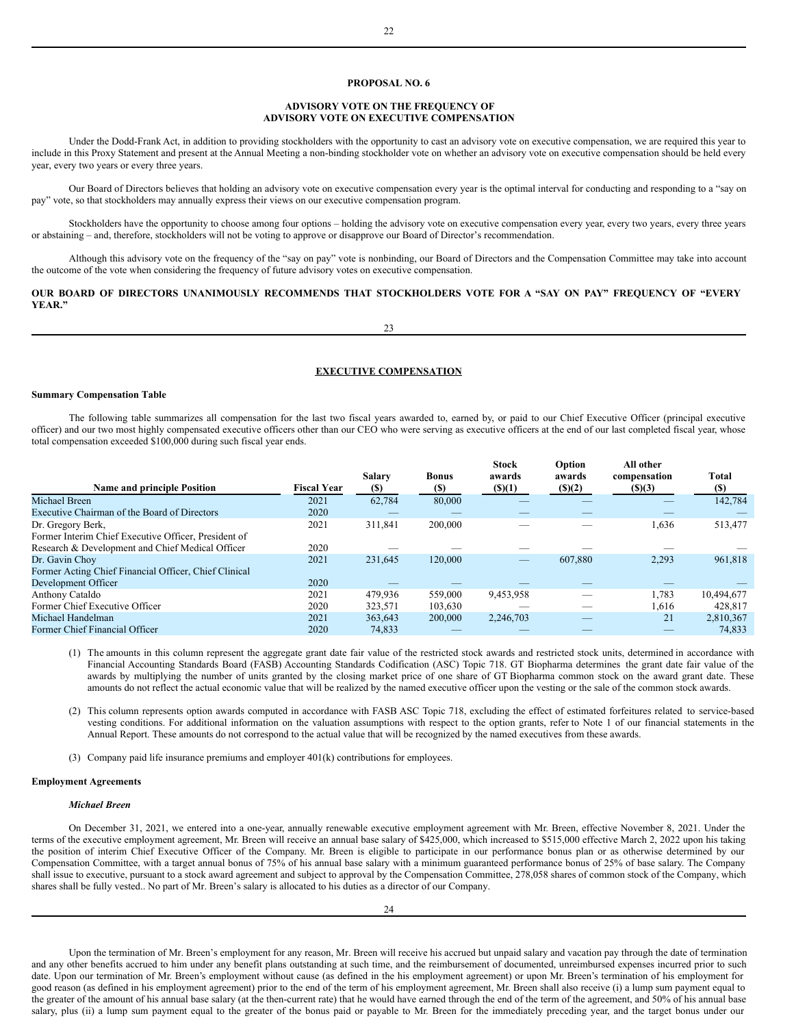## **PROPOSAL NO. 6**

## **ADVISORY VOTE ON THE FREQUENCY OF ADVISORY VOTE ON EXECUTIVE COMPENSATION**

Under the Dodd-Frank Act, in addition to providing stockholders with the opportunity to cast an advisory vote on executive compensation, we are required this year to include in this Proxy Statement and present at the Annual Meeting a non-binding stockholder vote on whether an advisory vote on executive compensation should be held every year, every two years or every three years.

Our Board of Directors believes that holding an advisory vote on executive compensation every year is the optimal interval for conducting and responding to a "say on pay" vote, so that stockholders may annually express their views on our executive compensation program.

Stockholders have the opportunity to choose among four options – holding the advisory vote on executive compensation every year, every two years, every three years or abstaining – and, therefore, stockholders will not be voting to approve or disapprove our Board of Director's recommendation.

Although this advisory vote on the frequency of the "say on pay" vote is nonbinding, our Board of Directors and the Compensation Committee may take into account the outcome of the vote when considering the frequency of future advisory votes on executive compensation.

## OUR BOARD OF DIRECTORS UNANIMOUSLY RECOMMENDS THAT STOCKHOLDERS VOTE FOR A "SAY ON PAY" FREQUENCY OF "EVERY **YEAR."**

23

## **EXECUTIVE COMPENSATION**

## **Summary Compensation Table**

The following table summarizes all compensation for the last two fiscal years awarded to, earned by, or paid to our Chief Executive Officer (principal executive officer) and our two most highly compensated executive officers other than our CEO who were serving as executive officers at the end of our last completed fiscal year, whose total compensation exceeded \$100,000 during such fiscal year ends.

| <b>Name and principle Position</b>                    | <b>Fiscal Year</b> | <b>Salary</b><br><b>(S)</b> | <b>Bonus</b><br><b>(\$)</b> | <b>Stock</b><br>awards<br>$($ (\$)(1) | Option<br>awards<br>(s)(2) | All other<br>compensation<br>\$)(3) | <b>Total</b><br><b>(\$)</b> |
|-------------------------------------------------------|--------------------|-----------------------------|-----------------------------|---------------------------------------|----------------------------|-------------------------------------|-----------------------------|
| Michael Breen                                         | 2021               | 62,784                      | 80,000                      |                                       |                            |                                     | 142,784                     |
| Executive Chairman of the Board of Directors          | 2020               |                             |                             |                                       |                            |                                     |                             |
| Dr. Gregory Berk,                                     | 2021               | 311.841                     | 200,000                     |                                       |                            | 1,636                               | 513,477                     |
| Former Interim Chief Executive Officer, President of  |                    |                             |                             |                                       |                            |                                     |                             |
| Research & Development and Chief Medical Officer      | 2020               |                             |                             |                                       |                            |                                     |                             |
| Dr. Gavin Choy                                        | 2021               | 231.645                     | 120,000                     | _                                     | 607.880                    | 2,293                               | 961,818                     |
| Former Acting Chief Financial Officer, Chief Clinical |                    |                             |                             |                                       |                            |                                     |                             |
| Development Officer                                   | 2020               |                             |                             |                                       |                            |                                     |                             |
| Anthony Cataldo                                       | 2021               | 479.936                     | 559,000                     | 9,453,958                             |                            | 1,783                               | 10.494.677                  |
| Former Chief Executive Officer                        | 2020               | 323,571                     | 103,630                     |                                       |                            | 1,616                               | 428.817                     |
| Michael Handelman                                     | 2021               | 363,643                     | 200,000                     | 2,246,703                             | _                          | 21                                  | 2,810,367                   |
| Former Chief Financial Officer                        | 2020               | 74,833                      |                             |                                       |                            |                                     | 74,833                      |
|                                                       |                    |                             |                             |                                       |                            |                                     |                             |

(1) The amounts in this column represent the aggregate grant date fair value of the restricted stock awards and restricted stock units, determined in accordance with Financial Accounting Standards Board (FASB) Accounting Standards Codification (ASC) Topic 718. GT Biopharma determines the grant date fair value of the awards by multiplying the number of units granted by the closing market price of one share of GT Biopharma common stock on the award grant date. These amounts do not reflect the actual economic value that will be realized by the named executive officer upon the vesting or the sale of the common stock awards.

(2) This column represents option awards computed in accordance with FASB ASC Topic 718, excluding the effect of estimated forfeitures related to service-based vesting conditions. For additional information on the valuation assumptions with respect to the option grants, refer to Note 1 of our financial statements in the Annual Report. These amounts do not correspond to the actual value that will be recognized by the named executives from these awards.

(3) Company paid life insurance premiums and employer 401(k) contributions for employees.

#### **Employment Agreements**

#### *Michael Breen*

On December 31, 2021, we entered into a one-year, annually renewable executive employment agreement with Mr. Breen, effective November 8, 2021. Under the terms of the executive employment agreement, Mr. Breen will receive an annual base salary of \$425,000, which increased to \$515,000 effective March 2, 2022 upon his taking the position of interim Chief Executive Officer of the Company. Mr. Breen is eligible to participate in our performance bonus plan or as otherwise determined by our Compensation Committee, with a target annual bonus of 75% of his annual base salary with a minimum guaranteed performance bonus of 25% of base salary. The Company shall issue to executive, pursuant to a stock award agreement and subject to approval by the Compensation Committee, 278,058 shares of common stock of the Company, which shares shall be fully vested.. No part of Mr. Breen's salary is allocated to his duties as a director of our Company.

Upon the termination of Mr. Breen's employment for any reason, Mr. Breen will receive his accrued but unpaid salary and vacation pay through the date of termination and any other benefits accrued to him under any benefit plans outstanding at such time, and the reimbursement of documented, unreimbursed expenses incurred prior to such date. Upon our termination of Mr. Breen's employment without cause (as defined in the his employment agreement) or upon Mr. Breen's termination of his employment for good reason (as defined in his employment agreement) prior to the end of the term of his employment agreement, Mr. Breen shall also receive (i) a lump sum payment equal to the greater of the amount of his annual base salary (at the then-current rate) that he would have earned through the end of the term of the agreement, and 50% of his annual base salary, plus (ii) a lump sum payment equal to the greater of the bonus paid or payable to Mr. Breen for the immediately preceding year, and the target bonus under our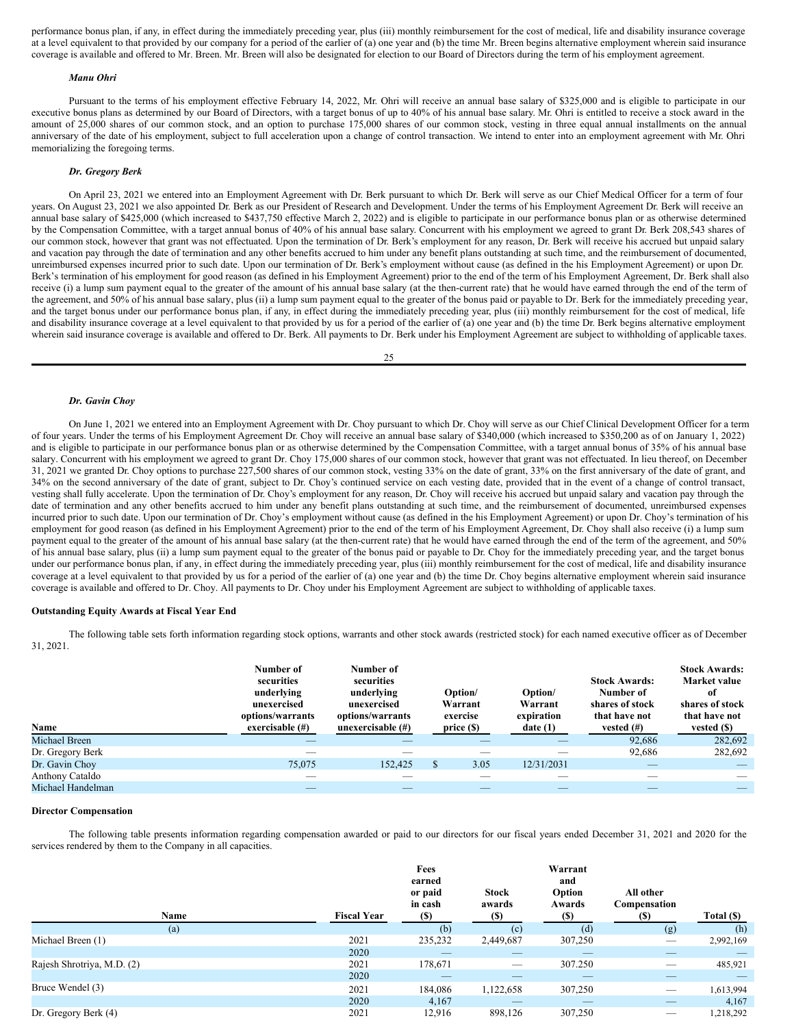performance bonus plan, if any, in effect during the immediately preceding year, plus (iii) monthly reimbursement for the cost of medical, life and disability insurance coverage at a level equivalent to that provided by our company for a period of the earlier of (a) one year and (b) the time Mr. Breen begins alternative employment wherein said insurance coverage is available and offered to Mr. Breen. Mr. Breen will also be designated for election to our Board of Directors during the term of his employment agreement.

#### *Manu Ohri*

Pursuant to the terms of his employment effective February 14, 2022, Mr. Ohri will receive an annual base salary of \$325,000 and is eligible to participate in our executive bonus plans as determined by our Board of Directors, with a target bonus of up to 40% of his annual base salary. Mr. Ohri is entitled to receive a stock award in the amount of 25,000 shares of our common stock, and an option to purchase 175,000 shares of our common stock, vesting in three equal annual installments on the annual anniversary of the date of his employment, subject to full acceleration upon a change of control transaction. We intend to enter into an employment agreement with Mr. Ohri memorializing the foregoing terms.

## *Dr. Gregory Berk*

On April 23, 2021 we entered into an Employment Agreement with Dr. Berk pursuant to which Dr. Berk will serve as our Chief Medical Officer for a term of four years. On August 23, 2021 we also appointed Dr. Berk as our President of Research and Development. Under the terms of his Employment Agreement Dr. Berk will receive an annual base salary of \$425,000 (which increased to \$437,750 effective March 2, 2022) and is eligible to participate in our performance bonus plan or as otherwise determined by the Compensation Committee, with a target annual bonus of 40% of his annual base salary. Concurrent with his employment we agreed to grant Dr. Berk 208,543 shares of our common stock, however that grant was not effectuated. Upon the termination of Dr. Berk's employment for any reason, Dr. Berk will receive his accrued but unpaid salary and vacation pay through the date of termination and any other benefits accrued to him under any benefit plans outstanding at such time, and the reimbursement of documented, unreimbursed expenses incurred prior to such date. Upon our termination of Dr. Berk's employment without cause (as defined in the his Employment Agreement) or upon Dr. Berk's termination of his employment for good reason (as defined in his Employment Agreement) prior to the end of the term of his Employment Agreement, Dr. Berk shall also receive (i) a lump sum payment equal to the greater of the amount of his annual base salary (at the then-current rate) that he would have earned through the end of the term of the agreement, and 50% of his annual base salary, plus (ii) a lump sum payment equal to the greater of the bonus paid or payable to Dr. Berk for the immediately preceding year, and the target bonus under our performance bonus plan, if any, in effect during the immediately preceding year, plus (iii) monthly reimbursement for the cost of medical, life and disability insurance coverage at a level equivalent to that provided by us for a period of the earlier of (a) one year and (b) the time Dr. Berk begins alternative employment wherein said insurance coverage is available and offered to Dr. Berk. All payments to Dr. Berk under his Employment Agreement are subject to withholding of applicable taxes.

25

#### *Dr. Gavin Choy*

On June 1, 2021 we entered into an Employment Agreement with Dr. Choy pursuant to which Dr. Choy will serve as our Chief Clinical Development Officer for a term of four years. Under the terms of his Employment Agreement Dr. Choy will receive an annual base salary of \$340,000 (which increased to \$350,200 as of on January 1, 2022) and is eligible to participate in our performance bonus plan or as otherwise determined by the Compensation Committee, with a target annual bonus of 35% of his annual base salary. Concurrent with his employment we agreed to grant Dr. Choy 175,000 shares of our common stock, however that grant was not effectuated. In lieu thereof, on December 31, 2021 we granted Dr. Choy options to purchase 227,500 shares of our common stock, vesting 33% on the date of grant, 33% on the first anniversary of the date of grant, and 34% on the second anniversary of the date of grant, subject to Dr. Choy's continued service on each vesting date, provided that in the event of a change of control transact, vesting shall fully accelerate. Upon the termination of Dr. Choy's employment for any reason, Dr. Choy will receive his accrued but unpaid salary and vacation pay through the date of termination and any other benefits accrued to him under any benefit plans outstanding at such time, and the reimbursement of documented, unreimbursed expenses incurred prior to such date. Upon our termination of Dr. Choy's employment without cause (as defined in the his Employment Agreement) or upon Dr. Choy's termination of his employment for good reason (as defined in his Employment Agreement) prior to the end of the term of his Employment Agreement, Dr. Choy shall also receive (i) a lump sum payment equal to the greater of the amount of his annual base salary (at the then-current rate) that he would have earned through the end of the term of the agreement, and 50% of his annual base salary, plus (ii) a lump sum payment equal to the greater of the bonus paid or payable to Dr. Choy for the immediately preceding year, and the target bonus under our performance bonus plan, if any, in effect during the immediately preceding year, plus (iii) monthly reimbursement for the cost of medical, life and disability insurance coverage at a level equivalent to that provided by us for a period of the earlier of (a) one year and (b) the time Dr. Choy begins alternative employment wherein said insurance coverage is available and offered to Dr. Choy. All payments to Dr. Choy under his Employment Agreement are subject to withholding of applicable taxes.

## **Outstanding Equity Awards at Fiscal Year End**

The following table sets forth information regarding stock options, warrants and other stock awards (restricted stock) for each named executive officer as of December 31, 2021.

| Name              | Number of<br>securities<br>underlying<br>unexercised<br>options/warrants<br>exercisable $(\#)$ | Number of<br>securities<br>underlying<br>unexercised<br>options/warrants<br>unexercisable $(\#)$ | Option/<br>Warrant<br>exercise<br>price( <sub>s</sub> ) | Option/<br>Warrant<br>expiration<br>date(1) | <b>Stock Awards:</b><br>Number of<br>shares of stock<br>that have not<br>vested $(\#)$ | <b>Stock Awards:</b><br>Market value<br>of<br>shares of stock<br>that have not<br>vested $(S)$ |
|-------------------|------------------------------------------------------------------------------------------------|--------------------------------------------------------------------------------------------------|---------------------------------------------------------|---------------------------------------------|----------------------------------------------------------------------------------------|------------------------------------------------------------------------------------------------|
| Michael Breen     | _                                                                                              | _                                                                                                | _                                                       | _                                           | 92,686                                                                                 | 282,692                                                                                        |
| Dr. Gregory Berk  |                                                                                                |                                                                                                  |                                                         |                                             | 92.686                                                                                 | 282,692                                                                                        |
| Dr. Gavin Choy    | 75,075                                                                                         | 152,425                                                                                          | 3.05                                                    | 12/31/2031                                  | $\overline{\phantom{a}}$                                                               | $\overline{\phantom{a}}$                                                                       |
| Anthony Cataldo   |                                                                                                |                                                                                                  |                                                         |                                             |                                                                                        |                                                                                                |
| Michael Handelman | _                                                                                              | _                                                                                                | _                                                       | $-$                                         | $\overline{\phantom{a}}$                                                               |                                                                                                |

## **Director Compensation**

The following table presents information regarding compensation awarded or paid to our directors for our fiscal years ended December 31, 2021 and 2020 for the services rendered by them to the Company in all capacities.

| Name                       | <b>Fiscal Year</b> | Fees<br>earned<br>or paid<br>in cash<br><b>(\$)</b> | <b>Stock</b><br>awards<br><b>(\$)</b> | Warrant<br>and<br>Option<br>Awards<br><b>(\$)</b> | All other<br>Compensation<br>(S) | Total (\$) |
|----------------------------|--------------------|-----------------------------------------------------|---------------------------------------|---------------------------------------------------|----------------------------------|------------|
| (a)                        |                    | (b)                                                 | (c)                                   | (d)                                               | (g)                              | (h)        |
| Michael Breen (1)          | 2021               | 235,232                                             | 2,449,687                             | 307,250                                           |                                  | 2,992,169  |
|                            | 2020               | _                                                   | $\overbrace{\hspace{25mm}}^{}$        |                                                   |                                  |            |
| Rajesh Shrotriya, M.D. (2) | 2021               | 178,671                                             | $\overbrace{\hspace{25mm}}^{}$        | 307.250                                           |                                  | 485,921    |
|                            | 2020               | $-$                                                 | _                                     | $\overline{\phantom{a}}$                          | _                                |            |
| Bruce Wendel (3)           | 2021               | 184,086                                             | 1,122,658                             | 307,250                                           |                                  | 1,613,994  |
|                            | 2020               | 4,167                                               | _                                     |                                                   | _                                | 4,167      |
| Dr. Gregory Berk (4)       | 2021               | 12,916                                              | 898,126                               | 307,250                                           |                                  | 1,218,292  |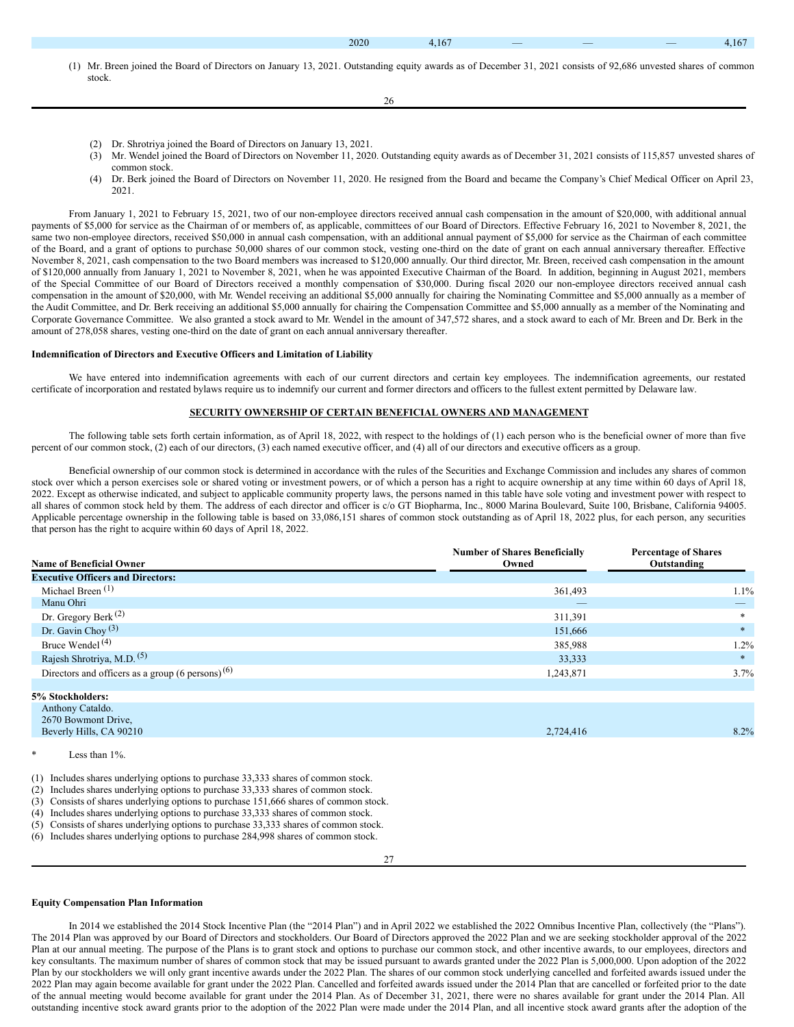(1) Mr. Breen joined the Board of Directors on January 13, 2021. Outstanding equity awards as of December 31, 2021 consists of 92,686 unvested shares of common stock.

26

- (2) Dr. Shrotriya joined the Board of Directors on January 13, 2021.
- (3) Mr. Wendel joined the Board of Directors on November 11, 2020. Outstanding equity awards as of December 31, 2021 consists of 115,857 unvested shares of common stock.
- (4) Dr. Berk joined the Board of Directors on November 11, 2020. He resigned from the Board and became the Company's Chief Medical Officer on April 23, 2021.

From January 1, 2021 to February 15, 2021, two of our non-employee directors received annual cash compensation in the amount of \$20,000, with additional annual payments of \$5,000 for service as the Chairman of or members of, as applicable, committees of our Board of Directors. Effective February 16, 2021 to November 8, 2021, the same two non-employee directors, received \$50,000 in annual cash compensation, with an additional annual payment of \$5,000 for service as the Chairman of each committee of the Board, and a grant of options to purchase 50,000 shares of our common stock, vesting one-third on the date of grant on each annual anniversary thereafter. Effective November 8, 2021, cash compensation to the two Board members was increased to \$120,000 annually. Our third director, Mr. Breen, received cash compensation in the amount of \$120,000 annually from January 1, 2021 to November 8, 2021, when he was appointed Executive Chairman of the Board. In addition, beginning in August 2021, members of the Special Committee of our Board of Directors received a monthly compensation of \$30,000. During fiscal 2020 our non-employee directors received annual cash compensation in the amount of \$20,000, with Mr. Wendel receiving an additional \$5,000 annually for chairing the Nominating Committee and \$5,000 annually as a member of the Audit Committee, and Dr. Berk receiving an additional \$5,000 annually for chairing the Compensation Committee and \$5,000 annually as a member of the Nominating and Corporate Governance Committee. We also granted a stock award to Mr. Wendel in the amount of 347,572 shares, and a stock award to each of Mr. Breen and Dr. Berk in the amount of 278,058 shares, vesting one-third on the date of grant on each annual anniversary thereafter.

#### **Indemnification of Directors and Executive Officers and Limitation of Liability**

We have entered into indemnification agreements with each of our current directors and certain key employees. The indemnification agreements, our restated certificate of incorporation and restated bylaws require us to indemnify our current and former directors and officers to the fullest extent permitted by Delaware law.

#### **SECURITY OWNERSHIP OF CERTAIN BENEFICIAL OWNERS AND MANAGEMENT**

The following table sets forth certain information, as of April 18, 2022, with respect to the holdings of (1) each person who is the beneficial owner of more than five percent of our common stock, (2) each of our directors, (3) each named executive officer, and (4) all of our directors and executive officers as a group.

Beneficial ownership of our common stock is determined in accordance with the rules of the Securities and Exchange Commission and includes any shares of common stock over which a person exercises sole or shared voting or investment powers, or of which a person has a right to acquire ownership at any time within 60 days of April 18, 2022. Except as otherwise indicated, and subject to applicable community property laws, the persons named in this table have sole voting and investment power with respect to all shares of common stock held by them. The address of each director and officer is c/o GT Biopharma, Inc., 8000 Marina Boulevard, Suite 100, Brisbane, California 94005. Applicable percentage ownership in the following table is based on 33,086,151 shares of common stock outstanding as of April 18, 2022 plus, for each person, any securities that person has the right to acquire within 60 days of April 18, 2022.

| <b>Name of Beneficial Owner</b>                              | <b>Number of Shares Beneficially</b><br>Owned | <b>Percentage of Shares</b><br>Outstanding |
|--------------------------------------------------------------|-----------------------------------------------|--------------------------------------------|
| <b>Executive Officers and Directors:</b>                     |                                               |                                            |
| Michael Breen $(1)$                                          | 361,493                                       | $1.1\%$                                    |
| Manu Ohri                                                    | _                                             | $-$                                        |
| Dr. Gregory Berk $^{(2)}$                                    | 311,391                                       |                                            |
| Dr. Gavin Choy $(3)$                                         | 151,666                                       |                                            |
| Bruce Wendel <sup>(4)</sup>                                  | 385,988                                       | $1.2\%$                                    |
| Rajesh Shrotriya, M.D. <sup>(5)</sup>                        | 33,333                                        |                                            |
| Directors and officers as a group (6 persons) <sup>(6)</sup> | 1,243,871                                     | $3.7\%$                                    |
|                                                              |                                               |                                            |
| 5% Stockholders:                                             |                                               |                                            |
| Anthony Cataldo.                                             |                                               |                                            |

| 2670 Bowmont Drive,     |           |      |
|-------------------------|-----------|------|
| Beverly Hills, CA 90210 | 2,724,416 | 8.2% |
|                         |           |      |

Less than  $1\%$ .

(1) Includes shares underlying options to purchase 33,333 shares of common stock.

(2) Includes shares underlying options to purchase 33,333 shares of common stock.

- (3) Consists of shares underlying options to purchase 151,666 shares of common stock.
- (4) Includes shares underlying options to purchase 33,333 shares of common stock.
- (5) Consists of shares underlying options to purchase 33,333 shares of common stock.

(6) Includes shares underlying options to purchase 284,998 shares of common stock.

#### **Equity Compensation Plan Information**

In 2014 we established the 2014 Stock Incentive Plan (the "2014 Plan") and in April 2022 we established the 2022 Omnibus Incentive Plan, collectively (the "Plans"). The 2014 Plan was approved by our Board of Directors and stockholders. Our Board of Directors approved the 2022 Plan and we are seeking stockholder approval of the 2022 Plan at our annual meeting. The purpose of the Plans is to grant stock and options to purchase our common stock, and other incentive awards, to our employees, directors and key consultants. The maximum number of shares of common stock that may be issued pursuant to awards granted under the 2022 Plan is 5,000,000. Upon adoption of the 2022 Plan by our stockholders we will only grant incentive awards under the 2022 Plan. The shares of our common stock underlying cancelled and forfeited awards issued under the 2022 Plan may again become available for grant under the 2022 Plan. Cancelled and forfeited awards issued under the 2014 Plan that are cancelled or forfeited prior to the date of the annual meeting would become available for grant under the 2014 Plan. As of December 31, 2021, there were no shares available for grant under the 2014 Plan. All outstanding incentive stock award grants prior to the adoption of the 2022 Plan were made under the 2014 Plan, and all incentive stock award grants after the adoption of the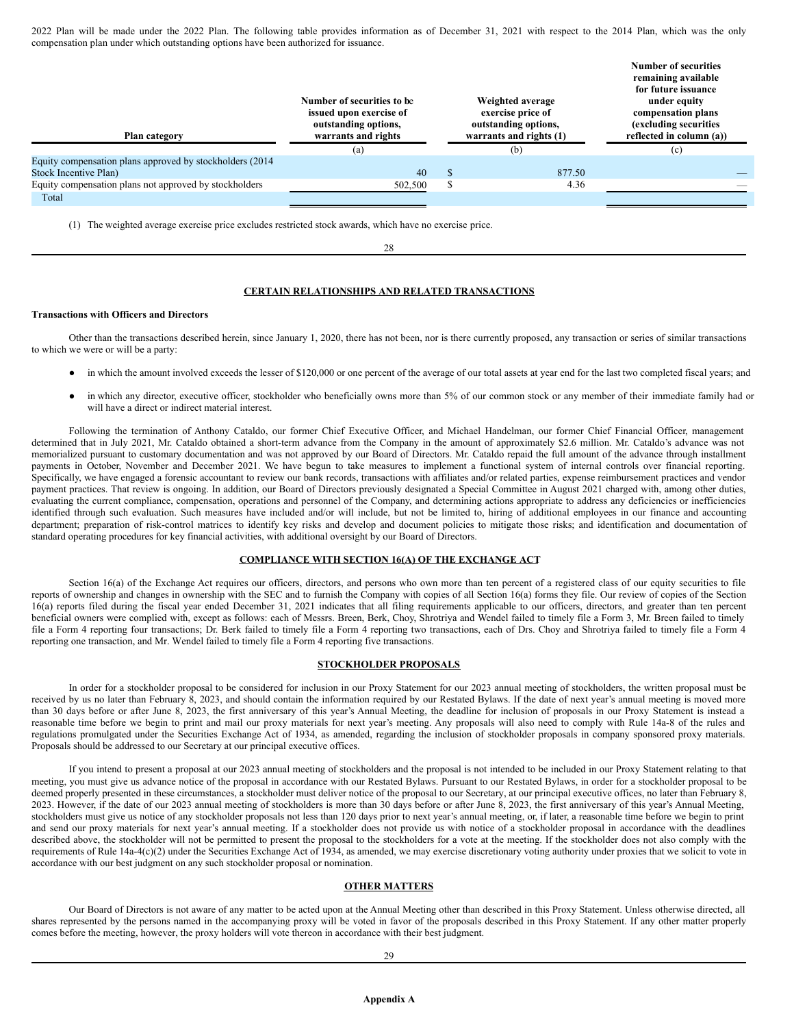2022 Plan will be made under the 2022 Plan. The following table provides information as of December 31, 2021 with respect to the 2014 Plan, which was the only compensation plan under which outstanding options have been authorized for issuance.

| Plan category                                             | Number of securities to be<br>issued upon exercise of<br>outstanding options,<br>warrants and rights<br>(a) |   | Weighted average<br>exercise price of<br>outstanding options,<br>warrants and rights (1)<br>(b) | <b>Number of securities</b><br>remaining available<br>for future issuance<br>under equity<br>compensation plans<br>(excluding securities)<br>reflected in column (a))<br>(c) |
|-----------------------------------------------------------|-------------------------------------------------------------------------------------------------------------|---|-------------------------------------------------------------------------------------------------|------------------------------------------------------------------------------------------------------------------------------------------------------------------------------|
| Equity compensation plans approved by stockholders (2014) |                                                                                                             |   |                                                                                                 |                                                                                                                                                                              |
| Stock Incentive Plan)                                     | 40                                                                                                          |   | 877.50                                                                                          |                                                                                                                                                                              |
| Equity compensation plans not approved by stockholders    | 502,500                                                                                                     | S | 4.36                                                                                            |                                                                                                                                                                              |
| Total                                                     |                                                                                                             |   |                                                                                                 |                                                                                                                                                                              |

(1) The weighted average exercise price excludes restricted stock awards, which have no exercise price.

## **CERTAIN RELATIONSHIPS AND RELATED TRANSACTIONS**

28

#### **Transactions with Officers and Directors**

Other than the transactions described herein, since January 1, 2020, there has not been, nor is there currently proposed, any transaction or series of similar transactions to which we were or will be a party:

- in which the amount involved exceeds the lesser of \$120,000 or one percent of the average of our total assets at year end for the last two completed fiscal years; and
- in which any director, executive officer, stockholder who beneficially owns more than 5% of our common stock or any member of their immediate family had or will have a direct or indirect material interest.

Following the termination of Anthony Cataldo, our former Chief Executive Officer, and Michael Handelman, our former Chief Financial Officer, management determined that in July 2021, Mr. Cataldo obtained a short-term advance from the Company in the amount of approximately \$2.6 million. Mr. Cataldo's advance was not memorialized pursuant to customary documentation and was not approved by our Board of Directors. Mr. Cataldo repaid the full amount of the advance through installment payments in October, November and December 2021. We have begun to take measures to implement a functional system of internal controls over financial reporting. Specifically, we have engaged a forensic accountant to review our bank records, transactions with affiliates and/or related parties, expense reimbursement practices and vendor payment practices. That review is ongoing. In addition, our Board of Directors previously designated a Special Committee in August 2021 charged with, among other duties, evaluating the current compliance, compensation, operations and personnel of the Company, and determining actions appropriate to address any deficiencies or inefficiencies identified through such evaluation. Such measures have included and/or will include, but not be limited to, hiring of additional employees in our finance and accounting department; preparation of risk-control matrices to identify key risks and develop and document policies to mitigate those risks; and identification and documentation of standard operating procedures for key financial activities, with additional oversight by our Board of Directors.

#### **COMPLIANCE WITH SECTION 16(A) OF THE EXCHANGE ACT**

Section 16(a) of the Exchange Act requires our officers, directors, and persons who own more than ten percent of a registered class of our equity securities to file reports of ownership and changes in ownership with the SEC and to furnish the Company with copies of all Section 16(a) forms they file. Our review of copies of the Section 16(a) reports filed during the fiscal year ended December 31, 2021 indicates that all filing requirements applicable to our officers, directors, and greater than ten percent beneficial owners were complied with, except as follows: each of Messrs. Breen, Berk, Choy, Shrotriya and Wendel failed to timely file a Form 3, Mr. Breen failed to timely file a Form 4 reporting four transactions; Dr. Berk failed to timely file a Form 4 reporting two transactions, each of Drs. Choy and Shrotriya failed to timely file a Form 4 reporting one transaction, and Mr. Wendel failed to timely file a Form 4 reporting five transactions.

#### **STOCKHOLDER PROPOSALS**

In order for a stockholder proposal to be considered for inclusion in our Proxy Statement for our 2023 annual meeting of stockholders, the written proposal must be received by us no later than February 8, 2023, and should contain the information required by our Restated Bylaws. If the date of next year's annual meeting is moved more than 30 days before or after June 8, 2023, the first anniversary of this year's Annual Meeting, the deadline for inclusion of proposals in our Proxy Statement is instead a reasonable time before we begin to print and mail our proxy materials for next year's meeting. Any proposals will also need to comply with Rule 14a-8 of the rules and regulations promulgated under the Securities Exchange Act of 1934, as amended, regarding the inclusion of stockholder proposals in company sponsored proxy materials. Proposals should be addressed to our Secretary at our principal executive offices.

If you intend to present a proposal at our 2023 annual meeting of stockholders and the proposal is not intended to be included in our Proxy Statement relating to that meeting, you must give us advance notice of the proposal in accordance with our Restated Bylaws. Pursuant to our Restated Bylaws, in order for a stockholder proposal to be deemed properly presented in these circumstances, a stockholder must deliver notice of the proposal to our Secretary, at our principal executive offices, no later than February 8, 2023. However, if the date of our 2023 annual meeting of stockholders is more than 30 days before or after June 8, 2023, the first anniversary of this year's Annual Meeting, stockholders must give us notice of any stockholder proposals not less than 120 days prior to next year's annual meeting, or, if later, a reasonable time before we begin to print and send our proxy materials for next year's annual meeting. If a stockholder does not provide us with notice of a stockholder proposal in accordance with the deadlines described above, the stockholder will not be permitted to present the proposal to the stockholders for a vote at the meeting. If the stockholder does not also comply with the requirements of Rule 14a-4(c)(2) under the Securities Exchange Act of 1934, as amended, we may exercise discretionary voting authority under proxies that we solicit to vote in accordance with our best judgment on any such stockholder proposal or nomination.

## **OTHER MATTERS**

Our Board of Directors is not aware of any matter to be acted upon at the Annual Meeting other than described in this Proxy Statement. Unless otherwise directed, all shares represented by the persons named in the accompanying proxy will be voted in favor of the proposals described in this Proxy Statement. If any other matter properly comes before the meeting, however, the proxy holders will vote thereon in accordance with their best judgment.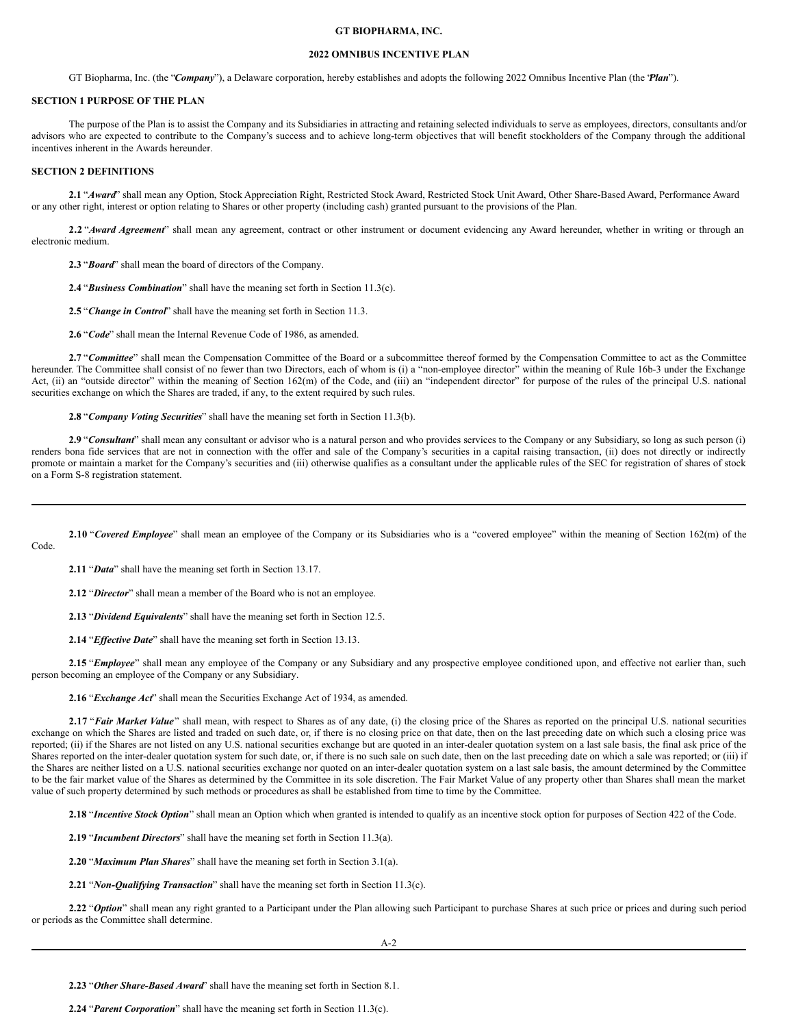## **GT BIOPHARMA, INC.**

## **2022 OMNIBUS INCENTIVE PLAN**

GT Biopharma, Inc. (the "*Company*"), a Delaware corporation, hereby establishes and adopts the following 2022 Omnibus Incentive Plan (the "*Plan*").

#### **SECTION 1 PURPOSE OF THE PLAN**

The purpose of the Plan is to assist the Company and its Subsidiaries in attracting and retaining selected individuals to serve as employees, directors, consultants and/or advisors who are expected to contribute to the Company's success and to achieve long-term objectives that will benefit stockholders of the Company through the additional incentives inherent in the Awards hereunder.

#### **SECTION 2 DEFINITIONS**

2.1 "Award" shall mean any Option, Stock Appreciation Right, Restricted Stock Award, Restricted Stock Unit Award, Other Share-Based Award, Performance Award or any other right, interest or option relating to Shares or other property (including cash) granted pursuant to the provisions of the Plan.

2.2 "Award Agreement" shall mean any agreement, contract or other instrument or document evidencing any Award hereunder, whether in writing or through an electronic medium.

**2.3** "*Board*" shall mean the board of directors of the Company.

**2.4** "*Business Combination*" shall have the meaning set forth in Section 11.3(c).

**2.5** "*Change in Control*" shall have the meaning set forth in Section 11.3.

**2.6** "*Code*" shall mean the Internal Revenue Code of 1986, as amended.

2.7 "Committee" shall mean the Compensation Committee of the Board or a subcommittee thereof formed by the Compensation Committee to act as the Committee hereunder. The Committee shall consist of no fewer than two Directors, each of whom is (i) a "non-employee director" within the meaning of Rule 16b-3 under the Exchange Act, (ii) an "outside director" within the meaning of Section 162(m) of the Code, and (iii) an "independent director" for purpose of the rules of the principal U.S. national securities exchange on which the Shares are traded, if any, to the extent required by such rules.

**2.8** "*Company Voting Securities*" shall have the meaning set forth in Section 11.3(b).

2.9 "Consultant" shall mean any consultant or advisor who is a natural person and who provides services to the Company or any Subsidiary, so long as such person (i) renders bona fide services that are not in connection with the offer and sale of the Company's securities in a capital raising transaction, (ii) does not directly or indirectly promote or maintain a market for the Company's securities and (iii) otherwise qualifies as a consultant under the applicable rules of the SEC for registration of shares of stock on a Form S-8 registration statement.

2.10 "*Covered Employee*" shall mean an employee of the Company or its Subsidiaries who is a "covered employee" within the meaning of Section 162(m) of the Code.

**2.11** "*Data*" shall have the meaning set forth in Section 13.17.

**2.12** "*Director*" shall mean a member of the Board who is not an employee.

**2.13** "*Dividend Equivalents*" shall have the meaning set forth in Section 12.5.

2.14 "*Effective Date*" shall have the meaning set forth in Section 13.13.

2.15 "*Employee*" shall mean any employee of the Company or any Subsidiary and any prospective employee conditioned upon, and effective not earlier than, such person becoming an employee of the Company or any Subsidiary.

**2.16** "*Exchange Act*" shall mean the Securities Exchange Act of 1934, as amended.

**2.17** "*Fair Market Value*" shall mean, with respect to Shares as of any date, (i) the closing price of the Shares as reported on the principal U.S. national securities exchange on which the Shares are listed and traded on such date, or, if there is no closing price on that date, then on the last preceding date on which such a closing price was reported; (ii) if the Shares are not listed on any U.S. national securities exchange but are quoted in an inter-dealer quotation system on a last sale basis, the final ask price of the Shares reported on the inter-dealer quotation system for such date, or, if there is no such sale on such date, then on the last preceding date on which a sale was reported; or (iii) if the Shares are neither listed on a U.S. national securities exchange nor quoted on an inter-dealer quotation system on a last sale basis, the amount determined by the Committee to be the fair market value of the Shares as determined by the Committee in its sole discretion. The Fair Market Value of any property other than Shares shall mean the market value of such property determined by such methods or procedures as shall be established from time to time by the Committee.

**2.18** "*Incentive Stock Option*" shall mean an Option which when granted is intended to qualify as an incentive stock option for purposes of Section 422 of the Code.

**2.19** "*Incumbent Directors*" shall have the meaning set forth in Section 11.3(a).

**2.20** "*Maximum Plan Shares*" shall have the meaning set forth in Section 3.1(a).

**2.21** "*Non-Qualifying Transaction*" shall have the meaning set forth in Section 11.3(c).

**2.22** "*Option*" shall mean any right granted to a Participant under the Plan allowing such Participant to purchase Shares at such price or prices and during such period or periods as the Committee shall determine.

**2.23** "*Other Share-Based Award*" shall have the meaning set forth in Section 8.1.

**2.24** "*Parent Corporation*" shall have the meaning set forth in Section 11.3(c).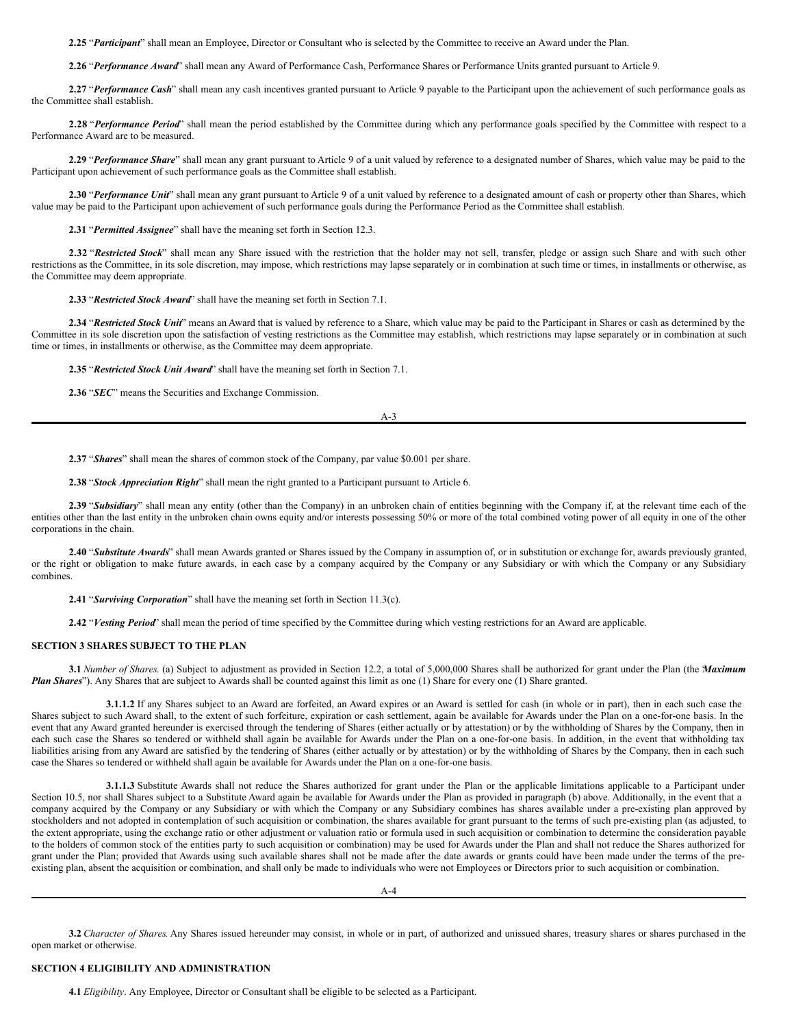**2.25** "*Participant*" shall mean an Employee, Director or Consultant who is selected by the Committee to receive an Award under the Plan.

**2.26** "*Performance Award*" shall mean any Award of Performance Cash, Performance Shares or Performance Units granted pursuant to Article 9.

**2.27** "*Performance Cash*" shall mean any cash incentives granted pursuant to Article 9 payable to the Participant upon the achievement of such performance goals as the Committee shall establish.

**2.28** "*Performance Period*" shall mean the period established by the Committee during which any performance goals specified by the Committee with respect to a Performance Award are to be measured.

**2.29** "*Performance Share*" shall mean any grant pursuant to Article 9 of a unit valued by reference to a designated number of Shares, which value may be paid to the Participant upon achievement of such performance goals as the Committee shall establish.

**2.30** "*Performance Unit*" shall mean any grant pursuant to Article 9 of a unit valued by reference to a designated amount of cash or property other than Shares, which value may be paid to the Participant upon achievement of such performance goals during the Performance Period as the Committee shall establish.

**2.31** "*Permitted Assignee*" shall have the meaning set forth in Section 12.3.

**2.32** "*Restricted Stock*" shall mean any Share issued with the restriction that the holder may not sell, transfer, pledge or assign such Share and with such other restrictions as the Committee, in its sole discretion, may impose, which restrictions may lapse separately or in combination at such time or times, in installments or otherwise, as the Committee may deem appropriate.

**2.33** "*Restricted Stock Award*" shall have the meaning set forth in Section 7.1.

**2.34** "*Restricted Stock Unit*" means an Award that is valued by reference to a Share, which value may be paid to the Participant in Shares or cash as determined by the Committee in its sole discretion upon the satisfaction of vesting restrictions as the Committee may establish, which restrictions may lapse separately or in combination at such time or times, in installments or otherwise, as the Committee may deem appropriate.

**2.35** "*Restricted Stock Unit Award*" shall have the meaning set forth in Section 7.1.

**2.36** "*SEC*" means the Securities and Exchange Commission.

A-3

**2.37** "*Shares*" shall mean the shares of common stock of the Company, par value \$0.001 per share.

**2.38** "*Stock Appreciation Right*" shall mean the right granted to a Participant pursuant to Article 6.

**2.39** "*Subsidiary*" shall mean any entity (other than the Company) in an unbroken chain of entities beginning with the Company if, at the relevant time each of the entities other than the last entity in the unbroken chain owns equity and/or interests possessing 50% or more of the total combined voting power of all equity in one of the other corporations in the chain.

2.40 "Substitute Awards' shall mean Awards granted or Shares issued by the Company in assumption of, or in substitution or exchange for, awards previously granted, or the right or obligation to make future awards, in each case by a company acquired by the Company or any Subsidiary or with which the Company or any Subsidiary combines.

**2.41** "*Surviving Corporation*" shall have the meaning set forth in Section 11.3(c).

**2.42** "*Vesting Period*" shall mean the period of time specified by the Committee during which vesting restrictions for an Award are applicable.

#### **SECTION 3 SHARES SUBJECT TO THE PLAN**

**3.1** *Number of Shares*. (a) Subject to adjustment as provided in Section 12.2, a total of 5,000,000 Shares shall be authorized for grant under the Plan (the "*Maximum Plan Shares*"). Any Shares that are subject to Awards shall be counted against this limit as one (1) Share for every one (1) Share granted.

**3.1.1.2** If any Shares subject to an Award are forfeited, an Award expires or an Award is settled for cash (in whole or in part), then in each such case the Shares subject to such Award shall, to the extent of such forfeiture, expiration or cash settlement, again be available for Awards under the Plan on a one-for-one basis. In the event that any Award granted hereunder is exercised through the tendering of Shares (either actually or by attestation) or by the withholding of Shares by the Company, then in each such case the Shares so tendered or withheld shall again be available for Awards under the Plan on a one-for-one basis. In addition, in the event that withholding tax liabilities arising from any Award are satisfied by the tendering of Shares (either actually or by attestation) or by the withholding of Shares by the Company, then in each such case the Shares so tendered or withheld shall again be available for Awards under the Plan on a one-for-one basis.

**3.1.1.3** Substitute Awards shall not reduce the Shares authorized for grant under the Plan or the applicable limitations applicable to a Participant under Section 10.5, nor shall Shares subject to a Substitute Award again be available for Awards under the Plan as provided in paragraph (b) above. Additionally, in the event that a company acquired by the Company or any Subsidiary or with which the Company or any Subsidiary combines has shares available under a pre-existing plan approved by stockholders and not adopted in contemplation of such acquisition or combination, the shares available for grant pursuant to the terms of such pre-existing plan (as adjusted, to the extent appropriate, using the exchange ratio or other adjustment or valuation ratio or formula used in such acquisition or combination to determine the consideration payable to the holders of common stock of the entities party to such acquisition or combination) may be used for Awards under the Plan and shall not reduce the Shares authorized for grant under the Plan; provided that Awards using such available shares shall not be made after the date awards or grants could have been made under the terms of the preexisting plan, absent the acquisition or combination, and shall only be made to individuals who were not Employees or Directors prior to such acquisition or combination.

A-4

**3.2** *Character of Shares*. Any Shares issued hereunder may consist, in whole or in part, of authorized and unissued shares, treasury shares or shares purchased in the open market or otherwise.

## **SECTION 4 ELIGIBILITY AND ADMINISTRATION**

**4.1** *Eligibility*. Any Employee, Director or Consultant shall be eligible to be selected as a Participant.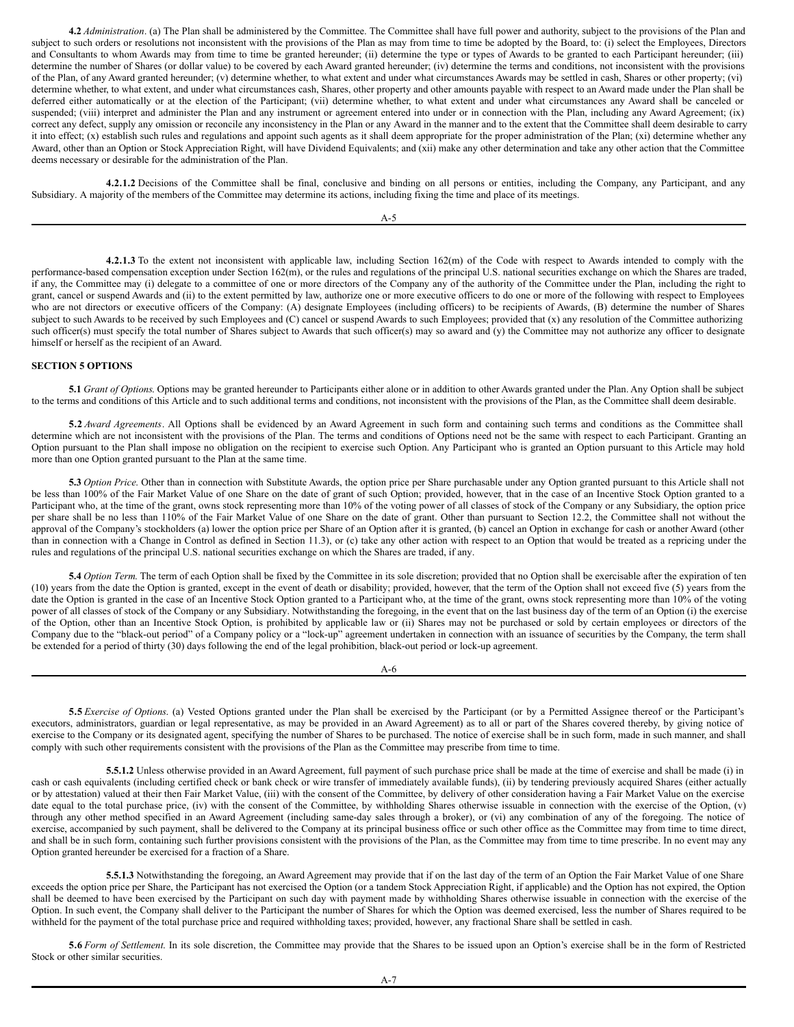**4.2** *Administration*. (a) The Plan shall be administered by the Committee. The Committee shall have full power and authority, subject to the provisions of the Plan and subject to such orders or resolutions not inconsistent with the provisions of the Plan as may from time to time be adopted by the Board, to: (i) select the Employees, Directors and Consultants to whom Awards may from time to time be granted hereunder; (ii) determine the type or types of Awards to be granted to each Participant hereunder; (iii) determine the number of Shares (or dollar value) to be covered by each Award granted hereunder; (iv) determine the terms and conditions, not inconsistent with the provisions of the Plan, of any Award granted hereunder; (v) determine whether, to what extent and under what circumstances Awards may be settled in cash, Shares or other property; (vi) determine whether, to what extent, and under what circumstances cash, Shares, other property and other amounts payable with respect to an Award made under the Plan shall be deferred either automatically or at the election of the Participant; (vii) determine whether, to what extent and under what circumstances any Award shall be canceled or suspended; (viii) interpret and administer the Plan and any instrument or agreement entered into under or in connection with the Plan, including any Award Agreement; (ix) correct any defect, supply any omission or reconcile any inconsistency in the Plan or any Award in the manner and to the extent that the Committee shall deem desirable to carry it into effect; (x) establish such rules and regulations and appoint such agents as it shall deem appropriate for the proper administration of the Plan; (xi) determine whether any Award, other than an Option or Stock Appreciation Right, will have Dividend Equivalents; and (xii) make any other determination and take any other action that the Committee deems necessary or desirable for the administration of the Plan.

**4.2.1.2** Decisions of the Committee shall be final, conclusive and binding on all persons or entities, including the Company, any Participant, and any Subsidiary. A majority of the members of the Committee may determine its actions, including fixing the time and place of its meetings.

A-5

**4.2.1.3** To the extent not inconsistent with applicable law, including Section 162(m) of the Code with respect to Awards intended to comply with the performance-based compensation exception under Section 162(m), or the rules and regulations of the principal U.S. national securities exchange on which the Shares are traded, if any, the Committee may (i) delegate to a committee of one or more directors of the Company any of the authority of the Committee under the Plan, including the right to grant, cancel or suspend Awards and (ii) to the extent permitted by law, authorize one or more executive officers to do one or more of the following with respect to Employees who are not directors or executive officers of the Company: (A) designate Employees (including officers) to be recipients of Awards, (B) determine the number of Shares subject to such Awards to be received by such Employees and (C) cancel or suspend Awards to such Employees; provided that (x) any resolution of the Committee authorizing such officer(s) must specify the total number of Shares subject to Awards that such officer(s) may so award and (y) the Committee may not authorize any officer to designate himself or herself as the recipient of an Award.

## **SECTION 5 OPTIONS**

**5.1** *Grant of Options*. Options may be granted hereunder to Participants either alone or in addition to other Awards granted under the Plan. Any Option shall be subject to the terms and conditions of this Article and to such additional terms and conditions, not inconsistent with the provisions of the Plan, as the Committee shall deem desirable.

**5.2** *Award Agreements*. All Options shall be evidenced by an Award Agreement in such form and containing such terms and conditions as the Committee shall determine which are not inconsistent with the provisions of the Plan. The terms and conditions of Options need not be the same with respect to each Participant. Granting an Option pursuant to the Plan shall impose no obligation on the recipient to exercise such Option. Any Participant who is granted an Option pursuant to this Article may hold more than one Option granted pursuant to the Plan at the same time.

**5.3** *Option Price*. Other than in connection with Substitute Awards, the option price per Share purchasable under any Option granted pursuant to this Article shall not be less than 100% of the Fair Market Value of one Share on the date of grant of such Option; provided, however, that in the case of an Incentive Stock Option granted to a Participant who, at the time of the grant, owns stock representing more than 10% of the voting power of all classes of stock of the Company or any Subsidiary, the option price per share shall be no less than 110% of the Fair Market Value of one Share on the date of grant. Other than pursuant to Section 12.2, the Committee shall not without the approval of the Company's stockholders (a) lower the option price per Share of an Option after it is granted, (b) cancel an Option in exchange for cash or another Award (other than in connection with a Change in Control as defined in Section 11.3), or (c) take any other action with respect to an Option that would be treated as a repricing under the rules and regulations of the principal U.S. national securities exchange on which the Shares are traded, if any.

**5.4** *Option Term*. The term of each Option shall be fixed by the Committee in its sole discretion; provided that no Option shall be exercisable after the expiration of ten (10) years from the date the Option is granted, except in the event of death or disability; provided, however, that the term of the Option shall not exceed five (5) years from the date the Option is granted in the case of an Incentive Stock Option granted to a Participant who, at the time of the grant, owns stock representing more than 10% of the voting power of all classes of stock of the Company or any Subsidiary. Notwithstanding the foregoing, in the event that on the last business day of the term of an Option (i) the exercise of the Option, other than an Incentive Stock Option, is prohibited by applicable law or (ii) Shares may not be purchased or sold by certain employees or directors of the Company due to the "black-out period" of a Company policy or a "lock-up" agreement undertaken in connection with an issuance of securities by the Company, the term shall be extended for a period of thirty (30) days following the end of the legal prohibition, black-out period or lock-up agreement.

A-6

**5.5** *Exercise of Options*. (a) Vested Options granted under the Plan shall be exercised by the Participant (or by a Permitted Assignee thereof or the Participant's executors, administrators, guardian or legal representative, as may be provided in an Award Agreement) as to all or part of the Shares covered thereby, by giving notice of exercise to the Company or its designated agent, specifying the number of Shares to be purchased. The notice of exercise shall be in such form, made in such manner, and shall comply with such other requirements consistent with the provisions of the Plan as the Committee may prescribe from time to time.

**5.5.1.2** Unless otherwise provided in an Award Agreement, full payment of such purchase price shall be made at the time of exercise and shall be made (i) in cash or cash equivalents (including certified check or bank check or wire transfer of immediately available funds), (ii) by tendering previously acquired Shares (either actually or by attestation) valued at their then Fair Market Value, (iii) with the consent of the Committee, by delivery of other consideration having a Fair Market Value on the exercise date equal to the total purchase price, (iv) with the consent of the Committee, by withholding Shares otherwise issuable in connection with the exercise of the Option, (v) through any other method specified in an Award Agreement (including same-day sales through a broker), or (vi) any combination of any of the foregoing. The notice of exercise, accompanied by such payment, shall be delivered to the Company at its principal business office or such other office as the Committee may from time to time direct, and shall be in such form, containing such further provisions consistent with the provisions of the Plan, as the Committee may from time to time prescribe. In no event may any Option granted hereunder be exercised for a fraction of a Share.

**5.5.1.3** Notwithstanding the foregoing, an Award Agreement may provide that if on the last day of the term of an Option the Fair Market Value of one Share exceeds the option price per Share, the Participant has not exercised the Option (or a tandem Stock Appreciation Right, if applicable) and the Option has not expired, the Option shall be deemed to have been exercised by the Participant on such day with payment made by withholding Shares otherwise issuable in connection with the exercise of the Option. In such event, the Company shall deliver to the Participant the number of Shares for which the Option was deemed exercised, less the number of Shares required to be withheld for the payment of the total purchase price and required withholding taxes; provided, however, any fractional Share shall be settled in cash.

**5.6** *Form of Settlement*. In its sole discretion, the Committee may provide that the Shares to be issued upon an Option's exercise shall be in the form of Restricted Stock or other similar securities.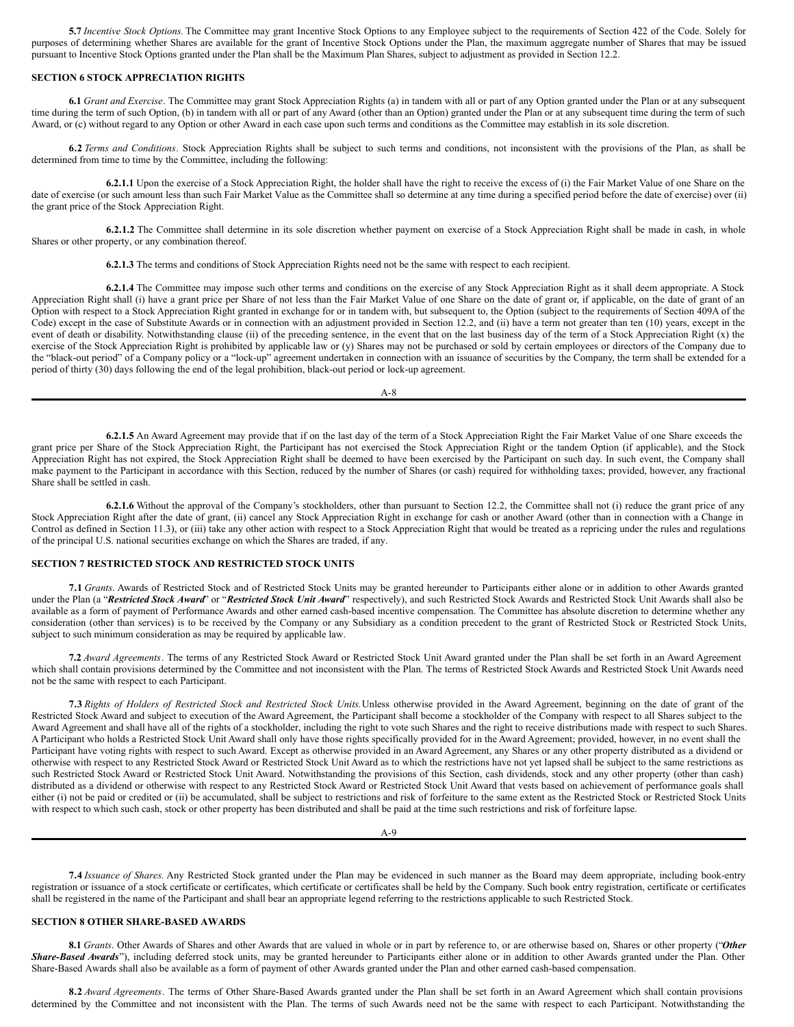**5.7** *Incentive Stock Options.* The Committee may grant Incentive Stock Options to any Employee subject to the requirements of Section 422 of the Code. Solely for purposes of determining whether Shares are available for the grant of Incentive Stock Options under the Plan, the maximum aggregate number of Shares that may be issued pursuant to Incentive Stock Options granted under the Plan shall be the Maximum Plan Shares, subject to adjustment as provided in Section 12.2.

## **SECTION 6 STOCK APPRECIATION RIGHTS**

**6.1** *Grant and Exercise*. The Committee may grant Stock Appreciation Rights (a) in tandem with all or part of any Option granted under the Plan or at any subsequent time during the term of such Option, (b) in tandem with all or part of any Award (other than an Option) granted under the Plan or at any subsequent time during the term of such Award, or (c) without regard to any Option or other Award in each case upon such terms and conditions as the Committee may establish in its sole discretion.

**6.2** *Terms and Conditions*. Stock Appreciation Rights shall be subject to such terms and conditions, not inconsistent with the provisions of the Plan, as shall be determined from time to time by the Committee, including the following:

**6.2.1.1** Upon the exercise of a Stock Appreciation Right, the holder shall have the right to receive the excess of (i) the Fair Market Value of one Share on the date of exercise (or such amount less than such Fair Market Value as the Committee shall so determine at any time during a specified period before the date of exercise) over (ii) the grant price of the Stock Appreciation Right.

**6.2.1.2** The Committee shall determine in its sole discretion whether payment on exercise of a Stock Appreciation Right shall be made in cash, in whole Shares or other property, or any combination thereof.

**6.2.1.3** The terms and conditions of Stock Appreciation Rights need not be the same with respect to each recipient.

**6.2.1.4** The Committee may impose such other terms and conditions on the exercise of any Stock Appreciation Right as it shall deem appropriate. A Stock Appreciation Right shall (i) have a grant price per Share of not less than the Fair Market Value of one Share on the date of grant or, if applicable, on the date of grant of an Option with respect to a Stock Appreciation Right granted in exchange for or in tandem with, but subsequent to, the Option (subject to the requirements of Section 409A of the Code) except in the case of Substitute Awards or in connection with an adjustment provided in Section 12.2, and (ii) have a term not greater than ten (10) years, except in the event of death or disability. Notwithstanding clause (ii) of the preceding sentence, in the event that on the last business day of the term of a Stock Appreciation Right (x) the exercise of the Stock Appreciation Right is prohibited by applicable law or (y) Shares may not be purchased or sold by certain employees or directors of the Company due to the "black-out period" of a Company policy or a "lock-up" agreement undertaken in connection with an issuance of securities by the Company, the term shall be extended for a period of thirty (30) days following the end of the legal prohibition, black-out period or lock-up agreement.

A-8

**6.2.1.5** An Award Agreement may provide that if on the last day of the term of a Stock Appreciation Right the Fair Market Value of one Share exceeds the grant price per Share of the Stock Appreciation Right, the Participant has not exercised the Stock Appreciation Right or the tandem Option (if applicable), and the Stock Appreciation Right has not expired, the Stock Appreciation Right shall be deemed to have been exercised by the Participant on such day. In such event, the Company shall make payment to the Participant in accordance with this Section, reduced by the number of Shares (or cash) required for withholding taxes; provided, however, any fractional Share shall be settled in cash.

**6.2.1.6** Without the approval of the Company's stockholders, other than pursuant to Section 12.2, the Committee shall not (i) reduce the grant price of any Stock Appreciation Right after the date of grant, (ii) cancel any Stock Appreciation Right in exchange for cash or another Award (other than in connection with a Change in Control as defined in Section 11.3), or (iii) take any other action with respect to a Stock Appreciation Right that would be treated as a repricing under the rules and regulations of the principal U.S. national securities exchange on which the Shares are traded, if any.

## **SECTION 7 RESTRICTED STOCK AND RESTRICTED STOCK UNITS**

**7.1** *Grants*. Awards of Restricted Stock and of Restricted Stock Units may be granted hereunder to Participants either alone or in addition to other Awards granted under the Plan (a "*Restricted Stock Award*" or "*Restricted Stock Unit Award*" respectively), and such Restricted Stock Awards and Restricted Stock Unit Awards shall also be available as a form of payment of Performance Awards and other earned cash-based incentive compensation. The Committee has absolute discretion to determine whether any consideration (other than services) is to be received by the Company or any Subsidiary as a condition precedent to the grant of Restricted Stock or Restricted Stock Units, subject to such minimum consideration as may be required by applicable law.

**7.2** *Award Agreements*. The terms of any Restricted Stock Award or Restricted Stock Unit Award granted under the Plan shall be set forth in an Award Agreement which shall contain provisions determined by the Committee and not inconsistent with the Plan. The terms of Restricted Stock Awards and Restricted Stock Unit Awards need not be the same with respect to each Participant.

7.3 Rights of Holders of Restricted Stock and Restricted Stock Units. Unless otherwise provided in the Award Agreement, beginning on the date of grant of the Restricted Stock Award and subject to execution of the Award Agreement, the Participant shall become a stockholder of the Company with respect to all Shares subject to the Award Agreement and shall have all of the rights of a stockholder, including the right to vote such Shares and the right to receive distributions made with respect to such Shares. A Participant who holds a Restricted Stock Unit Award shall only have those rights specifically provided for in the Award Agreement; provided, however, in no event shall the Participant have voting rights with respect to such Award. Except as otherwise provided in an Award Agreement, any Shares or any other property distributed as a dividend or otherwise with respect to any Restricted Stock Award or Restricted Stock Unit Award as to which the restrictions have not yet lapsed shall be subject to the same restrictions as such Restricted Stock Award or Restricted Stock Unit Award. Notwithstanding the provisions of this Section, cash dividends, stock and any other property (other than cash) distributed as a dividend or otherwise with respect to any Restricted Stock Award or Restricted Stock Unit Award that vests based on achievement of performance goals shall either (i) not be paid or credited or (ii) be accumulated, shall be subject to restrictions and risk of forfeiture to the same extent as the Restricted Stock or Restricted Stock Units with respect to which such cash, stock or other property has been distributed and shall be paid at the time such restrictions and risk of forfeiture lapse.

**7.4** *Issuance of Shares.* Any Restricted Stock granted under the Plan may be evidenced in such manner as the Board may deem appropriate, including book-entry registration or issuance of a stock certificate or certificates, which certificate or certificates shall be held by the Company. Such book entry registration, certificate or certificates shall be registered in the name of the Participant and shall bear an appropriate legend referring to the restrictions applicable to such Restricted Stock.

## **SECTION 8 OTHER SHARE-BASED AWARDS**

**8.1** *Grants*. Other Awards of Shares and other Awards that are valued in whole or in part by reference to, or are otherwise based on, Shares or other property ("*Other Share-Based Awards*"), including deferred stock units, may be granted hereunder to Participants either alone or in addition to other Awards granted under the Plan. Other Share-Based Awards shall also be available as a form of payment of other Awards granted under the Plan and other earned cash-based compensation.

**8.2** *Award Agreements*. The terms of Other Share-Based Awards granted under the Plan shall be set forth in an Award Agreement which shall contain provisions determined by the Committee and not inconsistent with the Plan. The terms of such Awards need not be the same with respect to each Participant. Notwithstanding the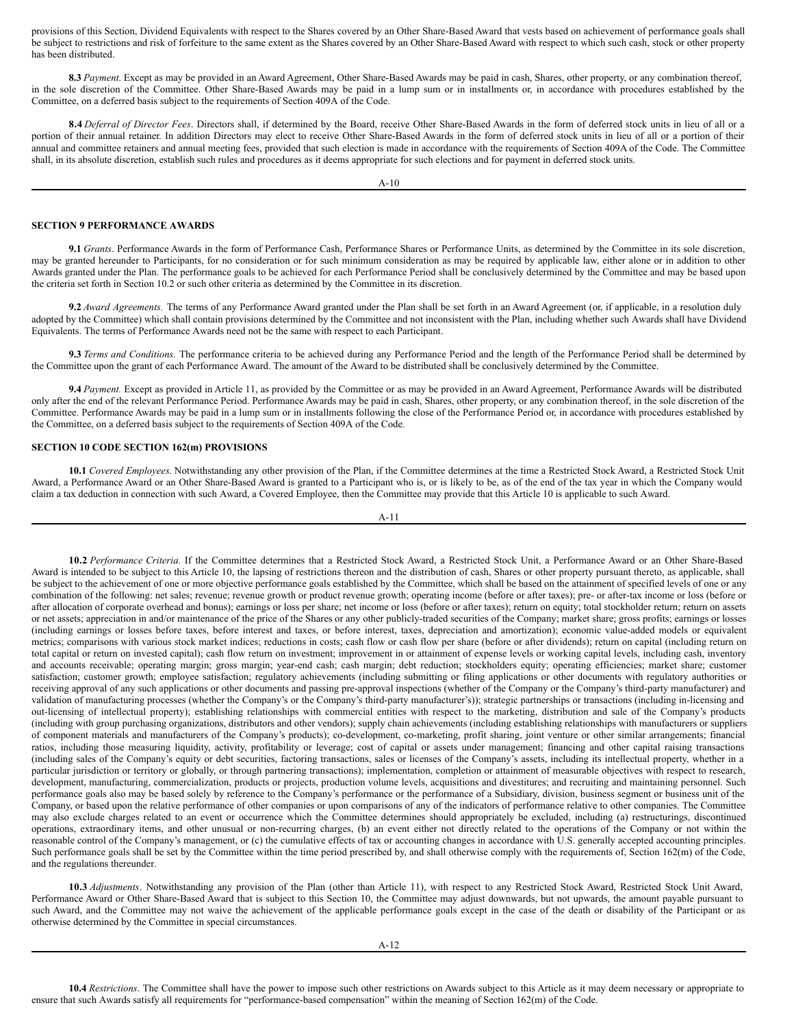provisions of this Section, Dividend Equivalents with respect to the Shares covered by an Other Share-Based Award that vests based on achievement of performance goals shall be subject to restrictions and risk of forfeiture to the same extent as the Shares covered by an Other Share-Based Award with respect to which such cash, stock or other property has been distributed.

**8.3** *Payment*. Except as may be provided in an Award Agreement, Other Share-Based Awards may be paid in cash, Shares, other property, or any combination thereof, in the sole discretion of the Committee. Other Share-Based Awards may be paid in a lump sum or in installments or, in accordance with procedures established by the Committee, on a deferred basis subject to the requirements of Section 409A of the Code.

**8.4** *Deferral of Director Fees*. Directors shall, if determined by the Board, receive Other Share-Based Awards in the form of deferred stock units in lieu of all or a portion of their annual retainer. In addition Directors may elect to receive Other Share-Based Awards in the form of deferred stock units in lieu of all or a portion of their annual and committee retainers and annual meeting fees, provided that such election is made in accordance with the requirements of Section 409A of the Code. The Committee shall, in its absolute discretion, establish such rules and procedures as it deems appropriate for such elections and for payment in deferred stock units.

A-10

#### **SECTION 9 PERFORMANCE AWARDS**

**9.1** *Grants*. Performance Awards in the form of Performance Cash, Performance Shares or Performance Units, as determined by the Committee in its sole discretion, may be granted hereunder to Participants, for no consideration or for such minimum consideration as may be required by applicable law, either alone or in addition to other Awards granted under the Plan. The performance goals to be achieved for each Performance Period shall be conclusively determined by the Committee and may be based upon the criteria set forth in Section 10.2 or such other criteria as determined by the Committee in its discretion.

**9.2** *Award Agreements.* The terms of any Performance Award granted under the Plan shall be set forth in an Award Agreement (or, if applicable, in a resolution duly adopted by the Committee) which shall contain provisions determined by the Committee and not inconsistent with the Plan, including whether such Awards shall have Dividend Equivalents. The terms of Performance Awards need not be the same with respect to each Participant.

**9.3** *Terms and Conditions.* The performance criteria to be achieved during any Performance Period and the length of the Performance Period shall be determined by the Committee upon the grant of each Performance Award. The amount of the Award to be distributed shall be conclusively determined by the Committee.

**9.4** *Payment.* Except as provided in Article 11, as provided by the Committee or as may be provided in an Award Agreement, Performance Awards will be distributed only after the end of the relevant Performance Period. Performance Awards may be paid in cash, Shares, other property, or any combination thereof, in the sole discretion of the Committee. Performance Awards may be paid in a lump sum or in installments following the close of the Performance Period or, in accordance with procedures established by the Committee, on a deferred basis subject to the requirements of Section 409A of the Code.

## **SECTION 10 CODE SECTION 162(m) PROVISIONS**

**10.1** *Covered Employees*. Notwithstanding any other provision of the Plan, if the Committee determines at the time a Restricted Stock Award, a Restricted Stock Unit Award, a Performance Award or an Other Share-Based Award is granted to a Participant who is, or is likely to be, as of the end of the tax year in which the Company would claim a tax deduction in connection with such Award, a Covered Employee, then the Committee may provide that this Article 10 is applicable to such Award.

A-11

**10.2** *Performance Criteria.* If the Committee determines that a Restricted Stock Award, a Restricted Stock Unit, a Performance Award or an Other Share-Based Award is intended to be subject to this Article 10, the lapsing of restrictions thereon and the distribution of cash, Shares or other property pursuant thereto, as applicable, shall be subject to the achievement of one or more objective performance goals established by the Committee, which shall be based on the attainment of specified levels of one or any combination of the following: net sales; revenue; revenue growth or product revenue growth; operating income (before or after taxes); pre- or after-tax income or loss (before or after allocation of corporate overhead and bonus); earnings or loss per share; net income or loss (before or after taxes); return on equity; total stockholder return; return on assets or net assets; appreciation in and/or maintenance of the price of the Shares or any other publicly-traded securities of the Company; market share; gross profits; earnings or losses (including earnings or losses before taxes, before interest and taxes, or before interest, taxes, depreciation and amortization); economic value-added models or equivalent metrics; comparisons with various stock market indices; reductions in costs; cash flow or cash flow per share (before or after dividends); return on capital (including return on total capital or return on invested capital); cash flow return on investment; improvement in or attainment of expense levels or working capital levels, including cash, inventory and accounts receivable; operating margin; gross margin; year-end cash; cash margin; debt reduction; stockholders equity; operating efficiencies; market share; customer satisfaction; customer growth; employee satisfaction; regulatory achievements (including submitting or filing applications or other documents with regulatory authorities or receiving approval of any such applications or other documents and passing pre-approval inspections (whether of the Company or the Company's third-party manufacturer) and validation of manufacturing processes (whether the Company's or the Company's third-party manufacturer's)); strategic partnerships or transactions (including in-licensing and out-licensing of intellectual property); establishing relationships with commercial entities with respect to the marketing, distribution and sale of the Company's products (including with group purchasing organizations, distributors and other vendors); supply chain achievements (including establishing relationships with manufacturers or suppliers of component materials and manufacturers of the Company's products); co-development, co-marketing, profit sharing, joint venture or other similar arrangements; financial ratios, including those measuring liquidity, activity, profitability or leverage; cost of capital or assets under management; financing and other capital raising transactions (including sales of the Company's equity or debt securities, factoring transactions, sales or licenses of the Company's assets, including its intellectual property, whether in a particular jurisdiction or territory or globally, or through partnering transactions); implementation, completion or attainment of measurable objectives with respect to research, development, manufacturing, commercialization, products or projects, production volume levels, acquisitions and divestitures; and recruiting and maintaining personnel. Such performance goals also may be based solely by reference to the Company's performance or the performance of a Subsidiary, division, business segment or business unit of the Company, or based upon the relative performance of other companies or upon comparisons of any of the indicators of performance relative to other companies. The Committee may also exclude charges related to an event or occurrence which the Committee determines should appropriately be excluded, including (a) restructurings, discontinued operations, extraordinary items, and other unusual or non-recurring charges, (b) an event either not directly related to the operations of the Company or not within the reasonable control of the Company's management, or (c) the cumulative effects of tax or accounting changes in accordance with U.S. generally accepted accounting principles. Such performance goals shall be set by the Committee within the time period prescribed by, and shall otherwise comply with the requirements of, Section 162(m) of the Code, and the regulations thereunder.

**10.3** *Adjustments*. Notwithstanding any provision of the Plan (other than Article 11), with respect to any Restricted Stock Award, Restricted Stock Unit Award, Performance Award or Other Share-Based Award that is subject to this Section 10, the Committee may adjust downwards, but not upwards, the amount payable pursuant to such Award, and the Committee may not waive the achievement of the applicable performance goals except in the case of the death or disability of the Participant or as otherwise determined by the Committee in special circumstances.

**10.4** *Restrictions*. The Committee shall have the power to impose such other restrictions on Awards subject to this Article as it may deem necessary or appropriate to ensure that such Awards satisfy all requirements for "performance-based compensation" within the meaning of Section 162(m) of the Code.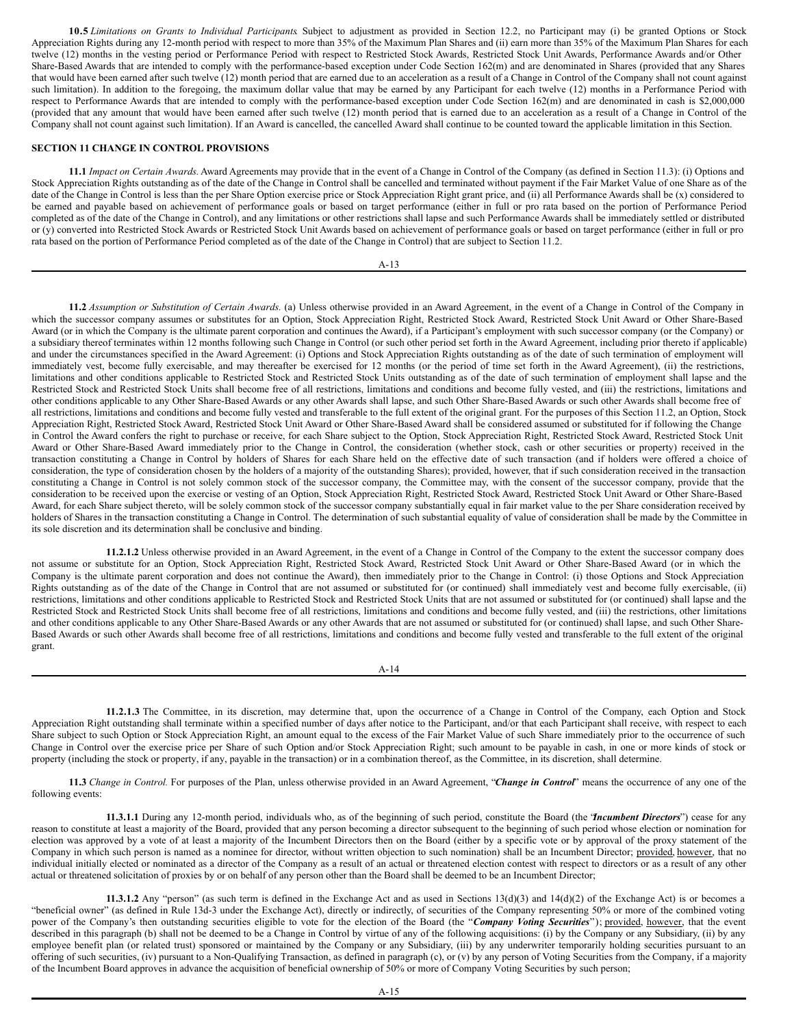**10.5** *Limitations on Grants to Individual Participants*. Subject to adjustment as provided in Section 12.2, no Participant may (i) be granted Options or Stock Appreciation Rights during any 12-month period with respect to more than 35% of the Maximum Plan Shares and (ii) earn more than 35% of the Maximum Plan Shares for each twelve (12) months in the vesting period or Performance Period with respect to Restricted Stock Awards, Restricted Stock Unit Awards, Performance Awards and/or Other Share-Based Awards that are intended to comply with the performance-based exception under Code Section 162(m) and are denominated in Shares (provided that any Shares that would have been earned after such twelve (12) month period that are earned due to an acceleration as a result of a Change in Control of the Company shall not count against such limitation). In addition to the foregoing, the maximum dollar value that may be earned by any Participant for each twelve (12) months in a Performance Period with respect to Performance Awards that are intended to comply with the performance-based exception under Code Section 162(m) and are denominated in cash is \$2,000,000 (provided that any amount that would have been earned after such twelve (12) month period that is earned due to an acceleration as a result of a Change in Control of the Company shall not count against such limitation). If an Award is cancelled, the cancelled Award shall continue to be counted toward the applicable limitation in this Section.

## **SECTION 11 CHANGE IN CONTROL PROVISIONS**

**11.1** *Impact on Certain Awards.* Award Agreements may provide that in the event of a Change in Control of the Company (as defined in Section 11.3): (i) Options and Stock Appreciation Rights outstanding as of the date of the Change in Control shall be cancelled and terminated without payment if the Fair Market Value of one Share as of the date of the Change in Control is less than the per Share Option exercise price or Stock Appreciation Right grant price, and (ii) all Performance Awards shall be (x) considered to be earned and payable based on achievement of performance goals or based on target performance (either in full or pro rata based on the portion of Performance Period completed as of the date of the Change in Control), and any limitations or other restrictions shall lapse and such Performance Awards shall be immediately settled or distributed or (y) converted into Restricted Stock Awards or Restricted Stock Unit Awards based on achievement of performance goals or based on target performance (either in full or pro rata based on the portion of Performance Period completed as of the date of the Change in Control) that are subject to Section 11.2.

#### A-13

**11.2** *Assumption or Substitution of Certain Awards.* (a) Unless otherwise provided in an Award Agreement, in the event of a Change in Control of the Company in which the successor company assumes or substitutes for an Option, Stock Appreciation Right, Restricted Stock Award, Restricted Stock Unit Award or Other Share-Based Award (or in which the Company is the ultimate parent corporation and continues the Award), if a Participant's employment with such successor company (or the Company) or a subsidiary thereof terminates within 12 months following such Change in Control (or such other period set forth in the Award Agreement, including prior thereto if applicable) and under the circumstances specified in the Award Agreement: (i) Options and Stock Appreciation Rights outstanding as of the date of such termination of employment will immediately vest, become fully exercisable, and may thereafter be exercised for 12 months (or the period of time set forth in the Award Agreement), (ii) the restrictions, limitations and other conditions applicable to Restricted Stock and Restricted Stock Units outstanding as of the date of such termination of employment shall lapse and the Restricted Stock and Restricted Stock Units shall become free of all restrictions, limitations and conditions and become fully vested, and (iii) the restrictions, limitations and other conditions applicable to any Other Share-Based Awards or any other Awards shall lapse, and such Other Share-Based Awards or such other Awards shall become free of all restrictions, limitations and conditions and become fully vested and transferable to the full extent of the original grant. For the purposes of this Section 11.2, an Option, Stock Appreciation Right, Restricted Stock Award, Restricted Stock Unit Award or Other Share-Based Award shall be considered assumed or substituted for if following the Change in Control the Award confers the right to purchase or receive, for each Share subject to the Option, Stock Appreciation Right, Restricted Stock Award, Restricted Stock Unit Award or Other Share-Based Award immediately prior to the Change in Control, the consideration (whether stock, cash or other securities or property) received in the transaction constituting a Change in Control by holders of Shares for each Share held on the effective date of such transaction (and if holders were offered a choice of consideration, the type of consideration chosen by the holders of a majority of the outstanding Shares); provided, however, that if such consideration received in the transaction constituting a Change in Control is not solely common stock of the successor company, the Committee may, with the consent of the successor company, provide that the consideration to be received upon the exercise or vesting of an Option, Stock Appreciation Right, Restricted Stock Award, Restricted Stock Unit Award or Other Share-Based Award, for each Share subject thereto, will be solely common stock of the successor company substantially equal in fair market value to the per Share consideration received by holders of Shares in the transaction constituting a Change in Control. The determination of such substantial equality of value of consideration shall be made by the Committee in its sole discretion and its determination shall be conclusive and binding.

**11.2.1.2** Unless otherwise provided in an Award Agreement, in the event of a Change in Control of the Company to the extent the successor company does not assume or substitute for an Option, Stock Appreciation Right, Restricted Stock Award, Restricted Stock Unit Award or Other Share-Based Award (or in which the Company is the ultimate parent corporation and does not continue the Award), then immediately prior to the Change in Control: (i) those Options and Stock Appreciation Rights outstanding as of the date of the Change in Control that are not assumed or substituted for (or continued) shall immediately vest and become fully exercisable, (ii) restrictions, limitations and other conditions applicable to Restricted Stock and Restricted Stock Units that are not assumed or substituted for (or continued) shall lapse and the Restricted Stock and Restricted Stock Units shall become free of all restrictions, limitations and conditions and become fully vested, and (iii) the restrictions, other limitations and other conditions applicable to any Other Share-Based Awards or any other Awards that are not assumed or substituted for (or continued) shall lapse, and such Other Share-Based Awards or such other Awards shall become free of all restrictions, limitations and conditions and become fully vested and transferable to the full extent of the original grant.

#### A-14

**11.2.1.3** The Committee, in its discretion, may determine that, upon the occurrence of a Change in Control of the Company, each Option and Stock Appreciation Right outstanding shall terminate within a specified number of days after notice to the Participant, and/or that each Participant shall receive, with respect to each Share subject to such Option or Stock Appreciation Right, an amount equal to the excess of the Fair Market Value of such Share immediately prior to the occurrence of such Change in Control over the exercise price per Share of such Option and/or Stock Appreciation Right; such amount to be payable in cash, in one or more kinds of stock or property (including the stock or property, if any, payable in the transaction) or in a combination thereof, as the Committee, in its discretion, shall determine.

**11.3** *Change in Control.* For purposes of the Plan, unless otherwise provided in an Award Agreement, "*Change in Control*" means the occurrence of any one of the following events:

**11.3.1.1** During any 12-month period, individuals who, as of the beginning of such period, constitute the Board (the "*Incumbent Directors*") cease for any reason to constitute at least a majority of the Board, provided that any person becoming a director subsequent to the beginning of such period whose election or nomination for election was approved by a vote of at least a majority of the Incumbent Directors then on the Board (either by a specific vote or by approval of the proxy statement of the Company in which such person is named as a nominee for director, without written objection to such nomination) shall be an Incumbent Director; provided, however, that no individual initially elected or nominated as a director of the Company as a result of an actual or threatened election contest with respect to directors or as a result of any other actual or threatened solicitation of proxies by or on behalf of any person other than the Board shall be deemed to be an Incumbent Director;

**11.3.1.2** Any "person" (as such term is defined in the Exchange Act and as used in Sections 13(d)(3) and 14(d)(2) of the Exchange Act) is or becomes a "beneficial owner" (as defined in Rule 13d-3 under the Exchange Act), directly or indirectly, of securities of the Company representing 50% or more of the combined voting power of the Company's then outstanding securities eligible to vote for the election of the Board (the "Company Voting Securities"); provided, however, that the event described in this paragraph (b) shall not be deemed to be a Change in Control by virtue of any of the following acquisitions: (i) by the Company or any Subsidiary, (ii) by any employee benefit plan (or related trust) sponsored or maintained by the Company or any Subsidiary, (iii) by any underwriter temporarily holding securities pursuant to an offering of such securities, (iv) pursuant to a Non-Qualifying Transaction, as defined in paragraph (c), or (v) by any person of Voting Securities from the Company, if a majority of the Incumbent Board approves in advance the acquisition of beneficial ownership of 50% or more of Company Voting Securities by such person;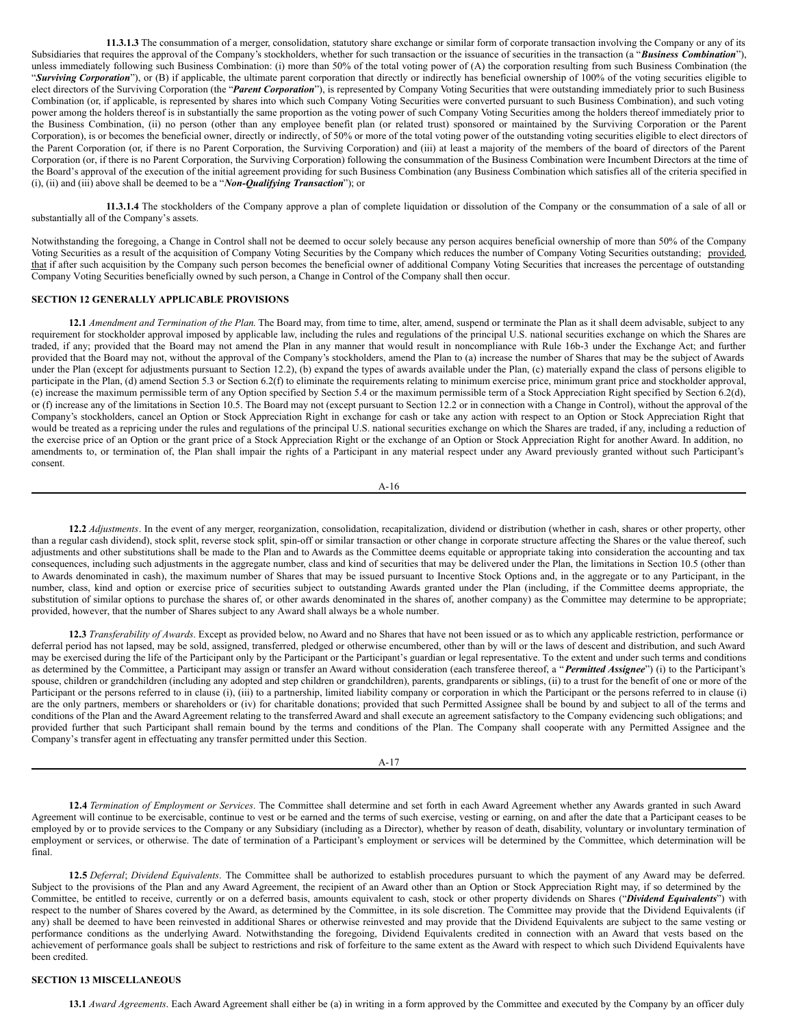**11.3.1.3** The consummation of a merger, consolidation, statutory share exchange or similar form of corporate transaction involving the Company or any of its Subsidiaries that requires the approval of the Company's stockholders, whether for such transaction or the issuance of securities in the transaction (a "*Business Combination*"), unless immediately following such Business Combination: (i) more than 50% of the total voting power of (A) the corporation resulting from such Business Combination (the "*Surviving Corporation*"), or (B) if applicable, the ultimate parent corporation that directly or indirectly has beneficial ownership of 100% of the voting securities eligible to elect directors of the Surviving Corporation (the "*Parent Corporation*"), is represented by Company Voting Securities that were outstanding immediately prior to such Business Combination (or, if applicable, is represented by shares into which such Company Voting Securities were converted pursuant to such Business Combination), and such voting power among the holders thereof is in substantially the same proportion as the voting power of such Company Voting Securities among the holders thereof immediately prior to the Business Combination, (ii) no person (other than any employee benefit plan (or related trust) sponsored or maintained by the Surviving Corporation or the Parent Corporation), is or becomes the beneficial owner, directly or indirectly, of 50% or more of the total voting power of the outstanding voting securities eligible to elect directors of the Parent Corporation (or, if there is no Parent Corporation, the Surviving Corporation) and (iii) at least a majority of the members of the board of directors of the Parent Corporation (or, if there is no Parent Corporation, the Surviving Corporation) following the consummation of the Business Combination were Incumbent Directors at the time of the Board's approval of the execution of the initial agreement providing for such Business Combination (any Business Combination which satisfies all of the criteria specified in (i), (ii) and (iii) above shall be deemed to be a "*Non-Qualifying Transaction*"); or

**11.3.1.4** The stockholders of the Company approve a plan of complete liquidation or dissolution of the Company or the consummation of a sale of all or substantially all of the Company's assets.

Notwithstanding the foregoing, a Change in Control shall not be deemed to occur solely because any person acquires beneficial ownership of more than 50% of the Company Voting Securities as a result of the acquisition of Company Voting Securities by the Company which reduces the number of Company Voting Securities outstanding; provided, that if after such acquisition by the Company such person becomes the beneficial owner of additional Company Voting Securities that increases the percentage of outstanding Company Voting Securities beneficially owned by such person, a Change in Control of the Company shall then occur.

#### **SECTION 12 GENERALLY APPLICABLE PROVISIONS**

**12.1** *Amendment and Termination of the Plan*. The Board may, from time to time, alter, amend, suspend or terminate the Plan as it shall deem advisable, subject to any requirement for stockholder approval imposed by applicable law, including the rules and regulations of the principal U.S. national securities exchange on which the Shares are traded, if any; provided that the Board may not amend the Plan in any manner that would result in noncompliance with Rule 16b-3 under the Exchange Act; and further provided that the Board may not, without the approval of the Company's stockholders, amend the Plan to (a) increase the number of Shares that may be the subject of Awards under the Plan (except for adjustments pursuant to Section 12.2), (b) expand the types of awards available under the Plan, (c) materially expand the class of persons eligible to participate in the Plan, (d) amend Section 5.3 or Section 6.2(f) to eliminate the requirements relating to minimum exercise price, minimum grant price and stockholder approval, (e) increase the maximum permissible term of any Option specified by Section 5.4 or the maximum permissible term of a Stock Appreciation Right specified by Section 6.2(d), or (f) increase any of the limitations in Section 10.5. The Board may not (except pursuant to Section 12.2 or in connection with a Change in Control), without the approval of the Company's stockholders, cancel an Option or Stock Appreciation Right in exchange for cash or take any action with respect to an Option or Stock Appreciation Right that would be treated as a repricing under the rules and regulations of the principal U.S. national securities exchange on which the Shares are traded, if any, including a reduction of the exercise price of an Option or the grant price of a Stock Appreciation Right or the exchange of an Option or Stock Appreciation Right for another Award. In addition, no amendments to, or termination of, the Plan shall impair the rights of a Participant in any material respect under any Award previously granted without such Participant's consent.

$$
A-16
$$

**12.2** *Adjustments*. In the event of any merger, reorganization, consolidation, recapitalization, dividend or distribution (whether in cash, shares or other property, other than a regular cash dividend), stock split, reverse stock split, spin-off or similar transaction or other change in corporate structure affecting the Shares or the value thereof, such adjustments and other substitutions shall be made to the Plan and to Awards as the Committee deems equitable or appropriate taking into consideration the accounting and tax consequences, including such adjustments in the aggregate number, class and kind of securities that may be delivered under the Plan, the limitations in Section 10.5 (other than to Awards denominated in cash), the maximum number of Shares that may be issued pursuant to Incentive Stock Options and, in the aggregate or to any Participant, in the number, class, kind and option or exercise price of securities subject to outstanding Awards granted under the Plan (including, if the Committee deems appropriate, the substitution of similar options to purchase the shares of, or other awards denominated in the shares of, another company) as the Committee may determine to be appropriate; provided, however, that the number of Shares subject to any Award shall always be a whole number.

**12.3** *Transferability of Awards*. Except as provided below, no Award and no Shares that have not been issued or as to which any applicable restriction, performance or deferral period has not lapsed, may be sold, assigned, transferred, pledged or otherwise encumbered, other than by will or the laws of descent and distribution, and such Award may be exercised during the life of the Participant only by the Participant or the Participant's guardian or legal representative. To the extent and under such terms and conditions as determined by the Committee, a Participant may assign or transfer an Award without consideration (each transferee thereof, a "*Permitted Assignee*") (i) to the Participant's spouse, children or grandchildren (including any adopted and step children or grandchildren), parents, grandparents or siblings, (ii) to a trust for the benefit of one or more of the Participant or the persons referred to in clause (i), (iii) to a partnership, limited liability company or corporation in which the Participant or the persons referred to in clause (i) are the only partners, members or shareholders or (iv) for charitable donations; provided that such Permitted Assignee shall be bound by and subject to all of the terms and conditions of the Plan and the Award Agreement relating to the transferred Award and shall execute an agreement satisfactory to the Company evidencing such obligations; and provided further that such Participant shall remain bound by the terms and conditions of the Plan. The Company shall cooperate with any Permitted Assignee and the Company's transfer agent in effectuating any transfer permitted under this Section.

#### A-17

**12.4** *Termination of Employment or Services*. The Committee shall determine and set forth in each Award Agreement whether any Awards granted in such Award Agreement will continue to be exercisable, continue to vest or be earned and the terms of such exercise, vesting or earning, on and after the date that a Participant ceases to be employed by or to provide services to the Company or any Subsidiary (including as a Director), whether by reason of death, disability, voluntary or involuntary termination of employment or services, or otherwise. The date of termination of a Participant's employment or services will be determined by the Committee, which determination will be final.

**12.5** *Deferral*; *Dividend Equivalents*. The Committee shall be authorized to establish procedures pursuant to which the payment of any Award may be deferred. Subject to the provisions of the Plan and any Award Agreement, the recipient of an Award other than an Option or Stock Appreciation Right may, if so determined by the Committee, be entitled to receive, currently or on a deferred basis, amounts equivalent to cash, stock or other property dividends on Shares ("*Dividend Equivalents*") with respect to the number of Shares covered by the Award, as determined by the Committee, in its sole discretion. The Committee may provide that the Dividend Equivalents (if any) shall be deemed to have been reinvested in additional Shares or otherwise reinvested and may provide that the Dividend Equivalents are subject to the same vesting or performance conditions as the underlying Award. Notwithstanding the foregoing, Dividend Equivalents credited in connection with an Award that vests based on the achievement of performance goals shall be subject to restrictions and risk of forfeiture to the same extent as the Award with respect to which such Dividend Equivalents have been credited.

#### **SECTION 13 MISCELLANEOUS**

**13.1** *Award Agreements*. Each Award Agreement shall either be (a) in writing in a form approved by the Committee and executed by the Company by an officer duly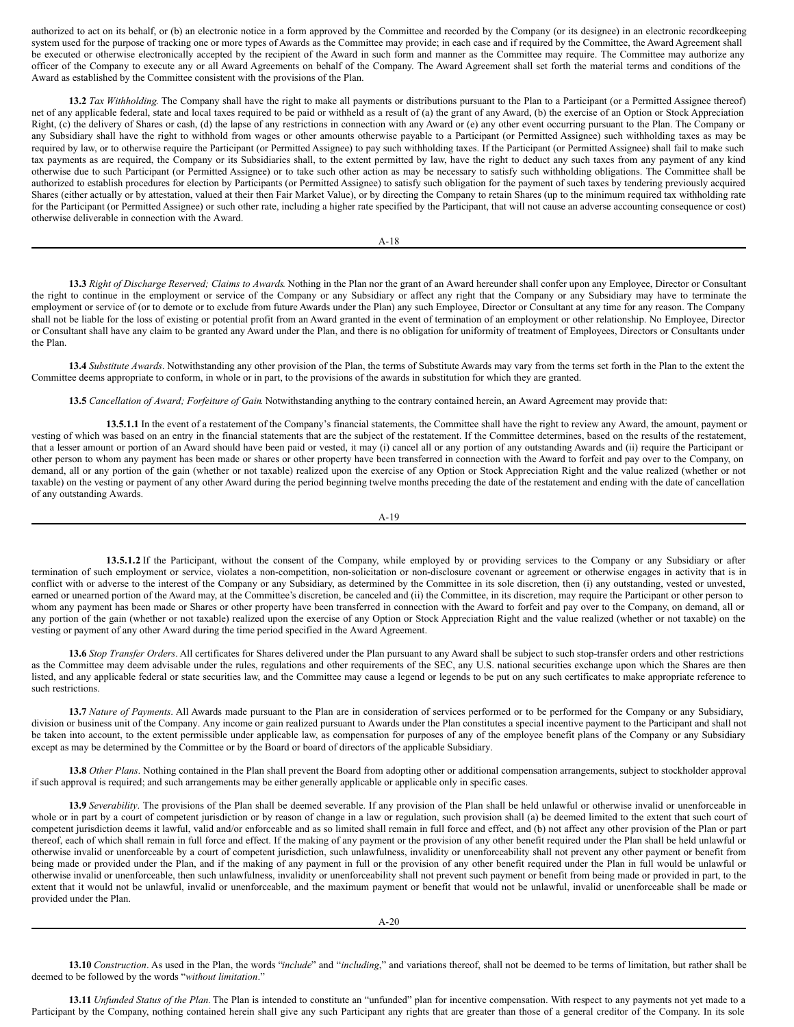authorized to act on its behalf, or (b) an electronic notice in a form approved by the Committee and recorded by the Company (or its designee) in an electronic recordkeeping system used for the purpose of tracking one or more types of Awards as the Committee may provide; in each case and if required by the Committee, the Award Agreement shall be executed or otherwise electronically accepted by the recipient of the Award in such form and manner as the Committee may require. The Committee may authorize any officer of the Company to execute any or all Award Agreements on behalf of the Company. The Award Agreement shall set forth the material terms and conditions of the Award as established by the Committee consistent with the provisions of the Plan.

**13.2** *Tax Withholding*. The Company shall have the right to make all payments or distributions pursuant to the Plan to a Participant (or a Permitted Assignee thereof) net of any applicable federal, state and local taxes required to be paid or withheld as a result of (a) the grant of any Award, (b) the exercise of an Option or Stock Appreciation Right, (c) the delivery of Shares or cash, (d) the lapse of any restrictions in connection with any Award or (e) any other event occurring pursuant to the Plan. The Company or any Subsidiary shall have the right to withhold from wages or other amounts otherwise payable to a Participant (or Permitted Assignee) such withholding taxes as may be required by law, or to otherwise require the Participant (or Permitted Assignee) to pay such withholding taxes. If the Participant (or Permitted Assignee) shall fail to make such tax payments as are required, the Company or its Subsidiaries shall, to the extent permitted by law, have the right to deduct any such taxes from any payment of any kind otherwise due to such Participant (or Permitted Assignee) or to take such other action as may be necessary to satisfy such withholding obligations. The Committee shall be authorized to establish procedures for election by Participants (or Permitted Assignee) to satisfy such obligation for the payment of such taxes by tendering previously acquired Shares (either actually or by attestation, valued at their then Fair Market Value), or by directing the Company to retain Shares (up to the minimum required tax withholding rate for the Participant (or Permitted Assignee) or such other rate, including a higher rate specified by the Participant, that will not cause an adverse accounting consequence or cost) otherwise deliverable in connection with the Award.

A-18

**13.3** *Right of Discharge Reserved; Claims to Awards*. Nothing in the Plan nor the grant of an Award hereunder shall confer upon any Employee, Director or Consultant the right to continue in the employment or service of the Company or any Subsidiary or affect any right that the Company or any Subsidiary may have to terminate the employment or service of (or to demote or to exclude from future Awards under the Plan) any such Employee, Director or Consultant at any time for any reason. The Company shall not be liable for the loss of existing or potential profit from an Award granted in the event of termination of an employment or other relationship. No Employee, Director or Consultant shall have any claim to be granted any Award under the Plan, and there is no obligation for uniformity of treatment of Employees, Directors or Consultants under the Plan.

**13.4** *Substitute Awards*. Notwithstanding any other provision of the Plan, the terms of Substitute Awards may vary from the terms set forth in the Plan to the extent the Committee deems appropriate to conform, in whole or in part, to the provisions of the awards in substitution for which they are granted.

**13.5** *Cancellation of Award; Forfeiture of Gain*. Notwithstanding anything to the contrary contained herein, an Award Agreement may provide that:

**13.5.1.1** In the event of a restatement of the Company's financial statements, the Committee shall have the right to review any Award, the amount, payment or vesting of which was based on an entry in the financial statements that are the subject of the restatement. If the Committee determines, based on the results of the restatement, that a lesser amount or portion of an Award should have been paid or vested, it may (i) cancel all or any portion of any outstanding Awards and (ii) require the Participant or other person to whom any payment has been made or shares or other property have been transferred in connection with the Award to forfeit and pay over to the Company, on demand, all or any portion of the gain (whether or not taxable) realized upon the exercise of any Option or Stock Appreciation Right and the value realized (whether or not taxable) on the vesting or payment of any other Award during the period beginning twelve months preceding the date of the restatement and ending with the date of cancellation of any outstanding Awards.

A-19

**13.5.1.2** If the Participant, without the consent of the Company, while employed by or providing services to the Company or any Subsidiary or after termination of such employment or service, violates a non-competition, non-solicitation or non-disclosure covenant or agreement or otherwise engages in activity that is in conflict with or adverse to the interest of the Company or any Subsidiary, as determined by the Committee in its sole discretion, then (i) any outstanding, vested or unvested, earned or unearned portion of the Award may, at the Committee's discretion, be canceled and (ii) the Committee, in its discretion, may require the Participant or other person to whom any payment has been made or Shares or other property have been transferred in connection with the Award to forfeit and pay over to the Company, on demand, all or any portion of the gain (whether or not taxable) realized upon the exercise of any Option or Stock Appreciation Right and the value realized (whether or not taxable) on the vesting or payment of any other Award during the time period specified in the Award Agreement.

**13.6** *Stop Transfer Orders*. All certificates for Shares delivered under the Plan pursuant to any Award shall be subject to such stop-transfer orders and other restrictions as the Committee may deem advisable under the rules, regulations and other requirements of the SEC, any U.S. national securities exchange upon which the Shares are then listed, and any applicable federal or state securities law, and the Committee may cause a legend or legends to be put on any such certificates to make appropriate reference to such restrictions.

**13.7** *Nature of Payments*. All Awards made pursuant to the Plan are in consideration of services performed or to be performed for the Company or any Subsidiary, division or business unit of the Company. Any income or gain realized pursuant to Awards under the Plan constitutes a special incentive payment to the Participant and shall not be taken into account, to the extent permissible under applicable law, as compensation for purposes of any of the employee benefit plans of the Company or any Subsidiary except as may be determined by the Committee or by the Board or board of directors of the applicable Subsidiary.

**13.8** *Other Plans*. Nothing contained in the Plan shall prevent the Board from adopting other or additional compensation arrangements, subject to stockholder approval if such approval is required; and such arrangements may be either generally applicable or applicable only in specific cases.

**13.9** *Severability*. The provisions of the Plan shall be deemed severable. If any provision of the Plan shall be held unlawful or otherwise invalid or unenforceable in whole or in part by a court of competent jurisdiction or by reason of change in a law or regulation, such provision shall (a) be deemed limited to the extent that such court of competent jurisdiction deems it lawful, valid and/or enforceable and as so limited shall remain in full force and effect, and (b) not affect any other provision of the Plan or part thereof, each of which shall remain in full force and effect. If the making of any payment or the provision of any other benefit required under the Plan shall be held unlawful or otherwise invalid or unenforceable by a court of competent jurisdiction, such unlawfulness, invalidity or unenforceability shall not prevent any other payment or benefit from being made or provided under the Plan, and if the making of any payment in full or the provision of any other benefit required under the Plan in full would be unlawful or otherwise invalid or unenforceable, then such unlawfulness, invalidity or unenforceability shall not prevent such payment or benefit from being made or provided in part, to the extent that it would not be unlawful, invalid or unenforceable, and the maximum payment or benefit that would not be unlawful, invalid or unenforceable shall be made or provided under the Plan.

**13.10** *Construction*. As used in the Plan, the words "*include*" and "*including*," and variations thereof, shall not be deemed to be terms of limitation, but rather shall be deemed to be followed by the words "*without limitation*."

**13.11** *Unfunded Status of the Plan.* The Plan is intended to constitute an "unfunded" plan for incentive compensation. With respect to any payments not yet made to a Participant by the Company, nothing contained herein shall give any such Participant any rights that are greater than those of a general creditor of the Company. In its sole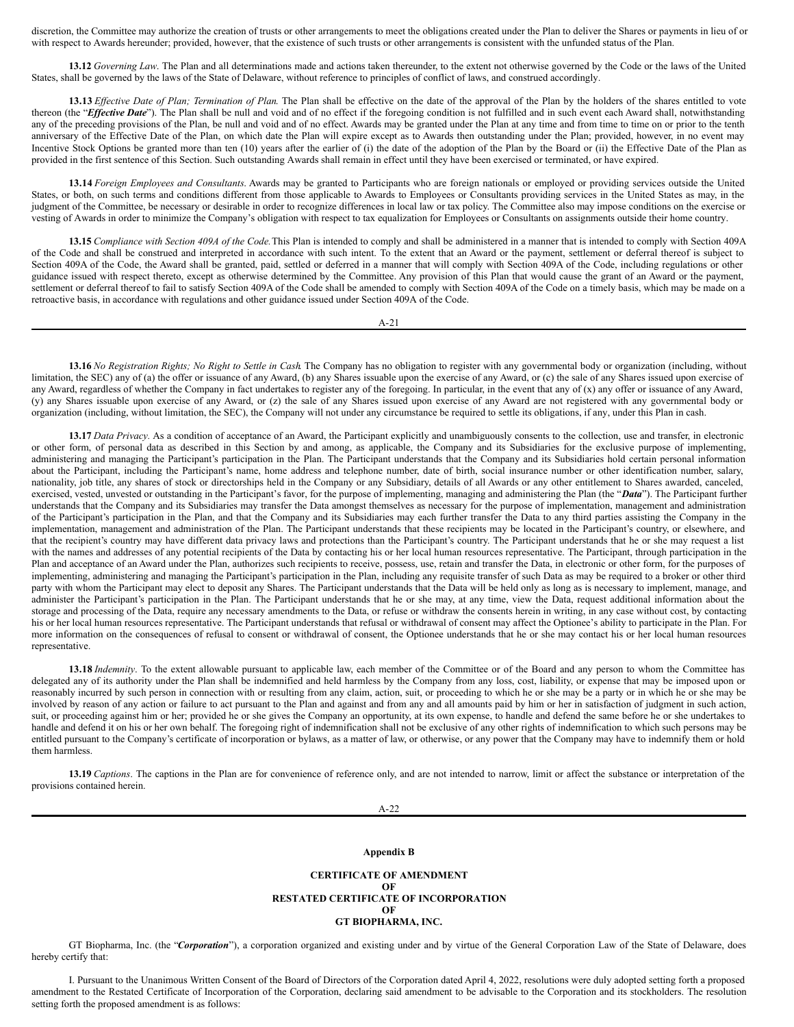discretion, the Committee may authorize the creation of trusts or other arrangements to meet the obligations created under the Plan to deliver the Shares or payments in lieu of or with respect to Awards hereunder; provided, however, that the existence of such trusts or other arrangements is consistent with the unfunded status of the Plan.

**13.12** *Governing Law*. The Plan and all determinations made and actions taken thereunder, to the extent not otherwise governed by the Code or the laws of the United States, shall be governed by the laws of the State of Delaware, without reference to principles of conflict of laws, and construed accordingly.

13.13 Effective Date of Plan; Termination of Plan. The Plan shall be effective on the date of the approval of the Plan by the holders of the shares entitled to vote thereon (the "*Effective Date*"). The Plan shall be null and void and of no effect if the foregoing condition is not fulfilled and in such event each Award shall, notwithstanding any of the preceding provisions of the Plan, be null and void and of no effect. Awards may be granted under the Plan at any time and from time to time on or prior to the tenth anniversary of the Effective Date of the Plan, on which date the Plan will expire except as to Awards then outstanding under the Plan; provided, however, in no event may Incentive Stock Options be granted more than ten (10) years after the earlier of (i) the date of the adoption of the Plan by the Board or (ii) the Effective Date of the Plan as provided in the first sentence of this Section. Such outstanding Awards shall remain in effect until they have been exercised or terminated, or have expired.

**13.14** *Foreign Employees and Consultants*. Awards may be granted to Participants who are foreign nationals or employed or providing services outside the United States, or both, on such terms and conditions different from those applicable to Awards to Employees or Consultants providing services in the United States as may, in the judgment of the Committee, be necessary or desirable in order to recognize differences in local law or tax policy. The Committee also may impose conditions on the exercise or vesting of Awards in order to minimize the Company's obligation with respect to tax equalization for Employees or Consultants on assignments outside their home country.

**13.15** *Compliance with Section 409A of the Code.*This Plan is intended to comply and shall be administered in a manner that is intended to comply with Section 409A of the Code and shall be construed and interpreted in accordance with such intent. To the extent that an Award or the payment, settlement or deferral thereof is subject to Section 409A of the Code, the Award shall be granted, paid, settled or deferred in a manner that will comply with Section 409A of the Code, including regulations or other guidance issued with respect thereto, except as otherwise determined by the Committee. Any provision of this Plan that would cause the grant of an Award or the payment, settlement or deferral thereof to fail to satisfy Section 409A of the Code shall be amended to comply with Section 409A of the Code on a timely basis, which may be made on a retroactive basis, in accordance with regulations and other guidance issued under Section 409A of the Code.

A-21

13.16 No Registration Rights; No Right to Settle in Cash. The Company has no obligation to register with any governmental body or organization (including, without limitation, the SEC) any of (a) the offer or issuance of any Award, (b) any Shares issuable upon the exercise of any Award, or (c) the sale of any Shares issued upon exercise of any Award, regardless of whether the Company in fact undertakes to register any of the foregoing. In particular, in the event that any of (x) any offer or issuance of any Award, (y) any Shares issuable upon exercise of any Award, or (z) the sale of any Shares issued upon exercise of any Award are not registered with any governmental body or organization (including, without limitation, the SEC), the Company will not under any circumstance be required to settle its obligations, if any, under this Plan in cash.

**13.17** *Data Privacy.* As a condition of acceptance of an Award, the Participant explicitly and unambiguously consents to the collection, use and transfer, in electronic or other form, of personal data as described in this Section by and among, as applicable, the Company and its Subsidiaries for the exclusive purpose of implementing, administering and managing the Participant's participation in the Plan. The Participant understands that the Company and its Subsidiaries hold certain personal information about the Participant, including the Participant's name, home address and telephone number, date of birth, social insurance number or other identification number, salary, nationality, job title, any shares of stock or directorships held in the Company or any Subsidiary, details of all Awards or any other entitlement to Shares awarded, canceled, exercised, vested, unvested or outstanding in the Participant's favor, for the purpose of implementing, managing and administering the Plan (the "*Data*"). The Participant further understands that the Company and its Subsidiaries may transfer the Data amongst themselves as necessary for the purpose of implementation, management and administration of the Participant's participation in the Plan, and that the Company and its Subsidiaries may each further transfer the Data to any third parties assisting the Company in the implementation, management and administration of the Plan. The Participant understands that these recipients may be located in the Participant's country, or elsewhere, and that the recipient's country may have different data privacy laws and protections than the Participant's country. The Participant understands that he or she may request a list with the names and addresses of any potential recipients of the Data by contacting his or her local human resources representative. The Participant, through participation in the Plan and acceptance of an Award under the Plan, authorizes such recipients to receive, possess, use, retain and transfer the Data, in electronic or other form, for the purposes of implementing, administering and managing the Participant's participation in the Plan, including any requisite transfer of such Data as may be required to a broker or other third party with whom the Participant may elect to deposit any Shares. The Participant understands that the Data will be held only as long as is necessary to implement, manage, and administer the Participant's participation in the Plan. The Participant understands that he or she may, at any time, view the Data, request additional information about the storage and processing of the Data, require any necessary amendments to the Data, or refuse or withdraw the consents herein in writing, in any case without cost, by contacting his or her local human resources representative. The Participant understands that refusal or withdrawal of consent may affect the Optionee's ability to participate in the Plan. For more information on the consequences of refusal to consent or withdrawal of consent, the Optionee understands that he or she may contact his or her local human resources representative.

**13.18** *Indemnity*. To the extent allowable pursuant to applicable law, each member of the Committee or of the Board and any person to whom the Committee has delegated any of its authority under the Plan shall be indemnified and held harmless by the Company from any loss, cost, liability, or expense that may be imposed upon or reasonably incurred by such person in connection with or resulting from any claim, action, suit, or proceeding to which he or she may be a party or in which he or she may be involved by reason of any action or failure to act pursuant to the Plan and against and from any and all amounts paid by him or her in satisfaction of judgment in such action, suit, or proceeding against him or her; provided he or she gives the Company an opportunity, at its own expense, to handle and defend the same before he or she undertakes to handle and defend it on his or her own behalf. The foregoing right of indemnification shall not be exclusive of any other rights of indemnification to which such persons may be entitled pursuant to the Company's certificate of incorporation or bylaws, as a matter of law, or otherwise, or any power that the Company may have to indemnify them or hold them harmless.

**13.19** *Captions*. The captions in the Plan are for convenience of reference only, and are not intended to narrow, limit or affect the substance or interpretation of the provisions contained herein.

A-22

## **Appendix B**

#### **CERTIFICATE OF AMENDMENT OF RESTATED CERTIFICATE OF INCORPORATION OF GT BIOPHARMA, INC.**

GT Biopharma, Inc. (the "*Corporation*"), a corporation organized and existing under and by virtue of the General Corporation Law of the State of Delaware, does hereby certify that:

I. Pursuant to the Unanimous Written Consent of the Board of Directors of the Corporation dated April 4, 2022, resolutions were duly adopted setting forth a proposed amendment to the Restated Certificate of Incorporation of the Corporation, declaring said amendment to be advisable to the Corporation and its stockholders. The resolution setting forth the proposed amendment is as follows: